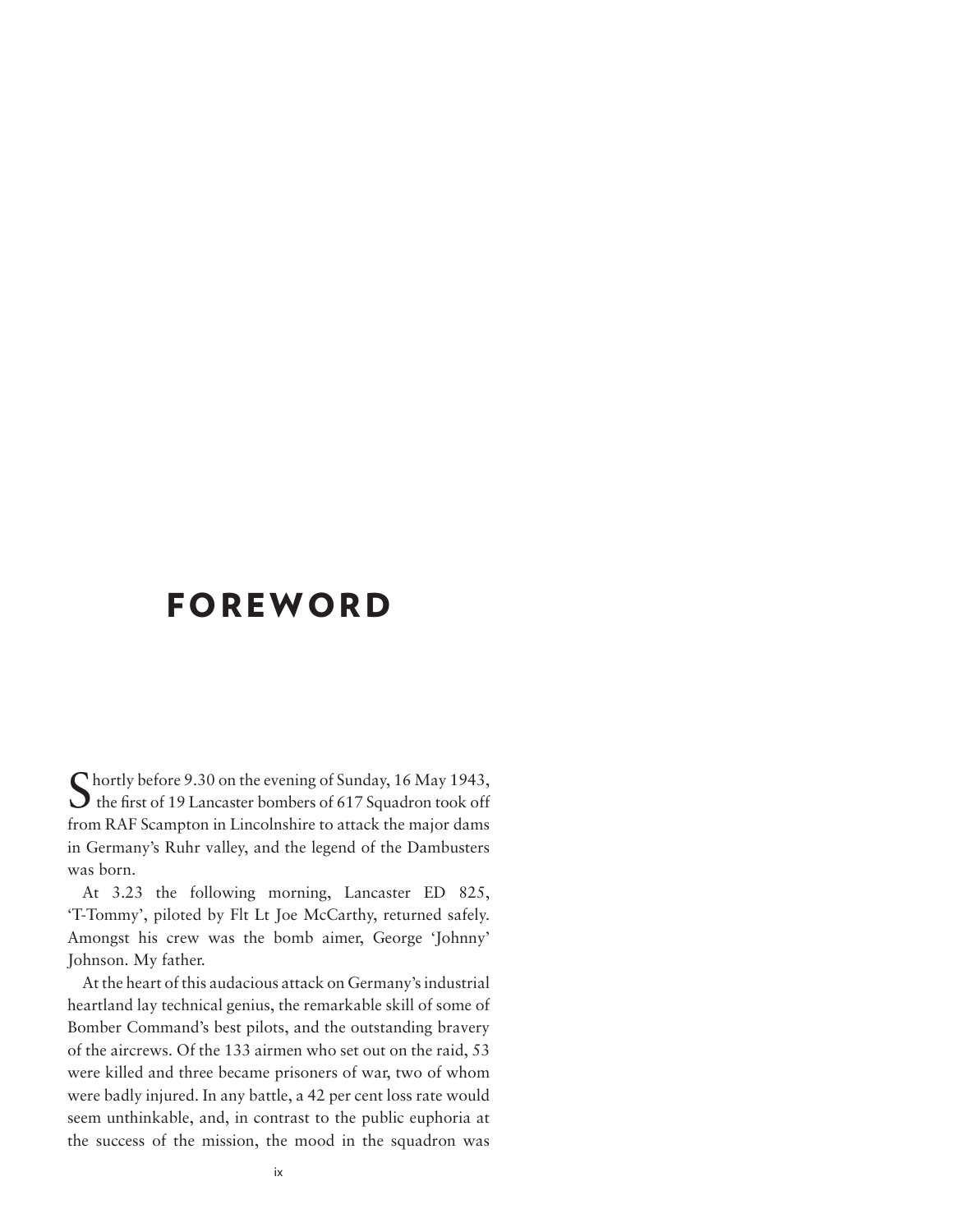# FOREWORD

Shortly before 9.30 on the evening of Sunday, 16 May 1943,<br>the first of 19 Lancaster bombers of 617 Squadron took off from RAF Scampton in Lincolnshire to attack the major dams in Germany's Ruhr valley, and the legend of the Dambusters was born.

 At 3.23 the following morning, Lancaster ED 825, 'T-Tommy', piloted by Flt Lt Joe McCarthy, returned safely. Amongst his crew was the bomb aimer, George 'Johnny' Johnson. My father.

 At the heart of this audacious attack on Germany's industrial heartland lay technical genius, the remarkable skill of some of Bomber Command's best pilots, and the outstanding bravery of the aircrews. Of the 133 airmen who set out on the raid, 53 were killed and three became prisoners of war, two of whom were badly injured. In any battle, a 42 per cent loss rate would seem unthinkable, and, in contrast to the public euphoria at the success of the mission, the mood in the squadron was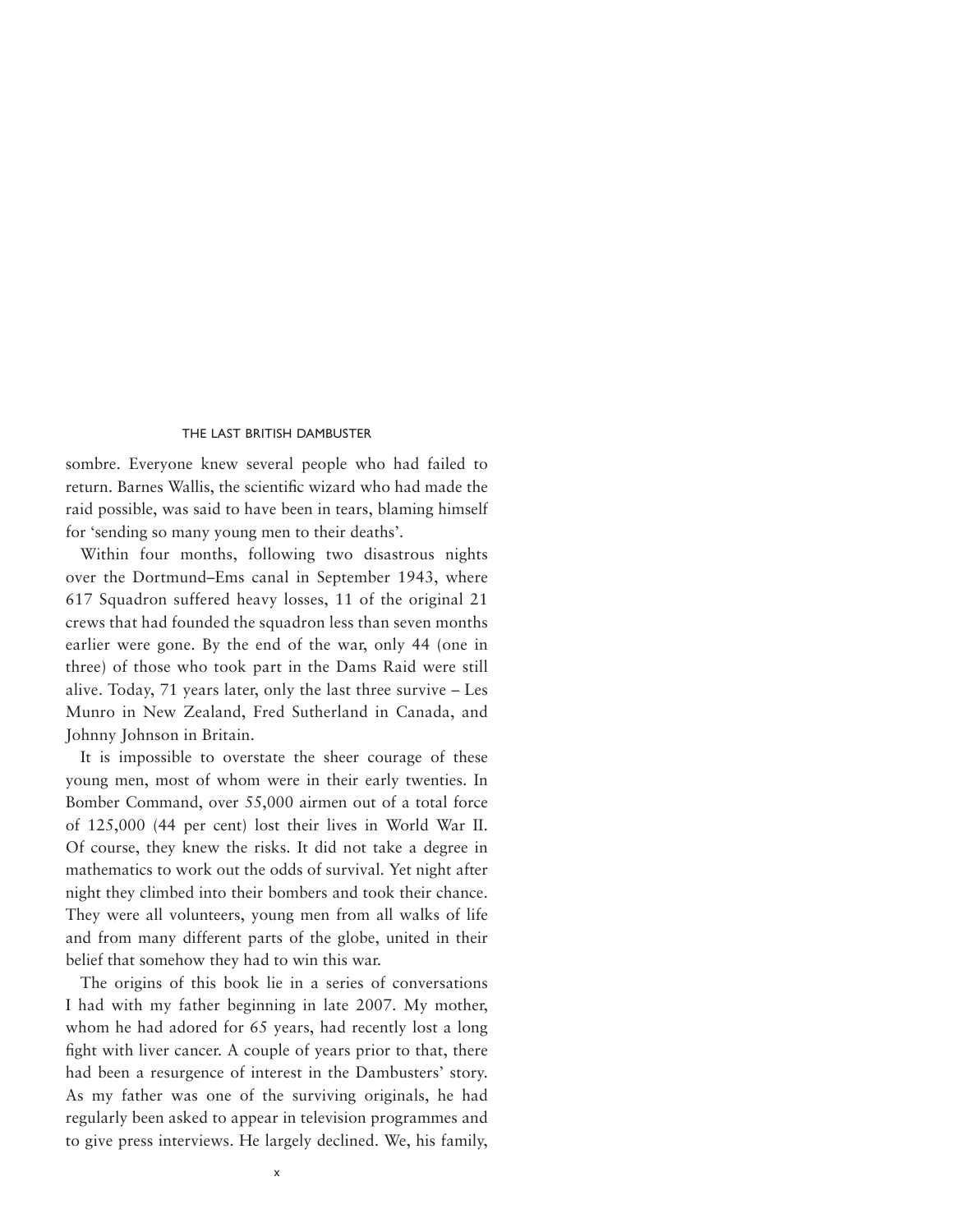sombre. Everyone knew several people who had failed to return. Barnes Wallis, the scientific wizard who had made the raid possible, was said to have been in tears, blaming himself for 'sending so many young men to their deaths'.

 Within four months, following two disastrous nights over the Dortmund–Ems canal in September 1943, where 617 Squadron suffered heavy losses, 11 of the original 21 crews that had founded the squadron less than seven months earlier were gone. By the end of the war, only 44 (one in three) of those who took part in the Dams Raid were still alive. Today, 71 years later, only the last three survive – Les Munro in New Zealand, Fred Sutherland in Canada, and Johnny Johnson in Britain.

 It is impossible to overstate the sheer courage of these young men, most of whom were in their early twenties. In Bomber Command, over 55,000 airmen out of a total force of 125,000 (44 per cent) lost their lives in World War II. Of course, they knew the risks. It did not take a degree in mathematics to work out the odds of survival. Yet night after night they climbed into their bombers and took their chance. They were all volunteers, young men from all walks of life and from many different parts of the globe, united in their belief that somehow they had to win this war.

 The origins of this book lie in a series of conversations I had with my father beginning in late 2007. My mother, whom he had adored for 65 years, had recently lost a long fight with liver cancer. A couple of years prior to that, there had been a resurgence of interest in the Dambusters' story. As my father was one of the surviving originals, he had regularly been asked to appear in television programmes and to give press interviews. He largely declined. We, his family,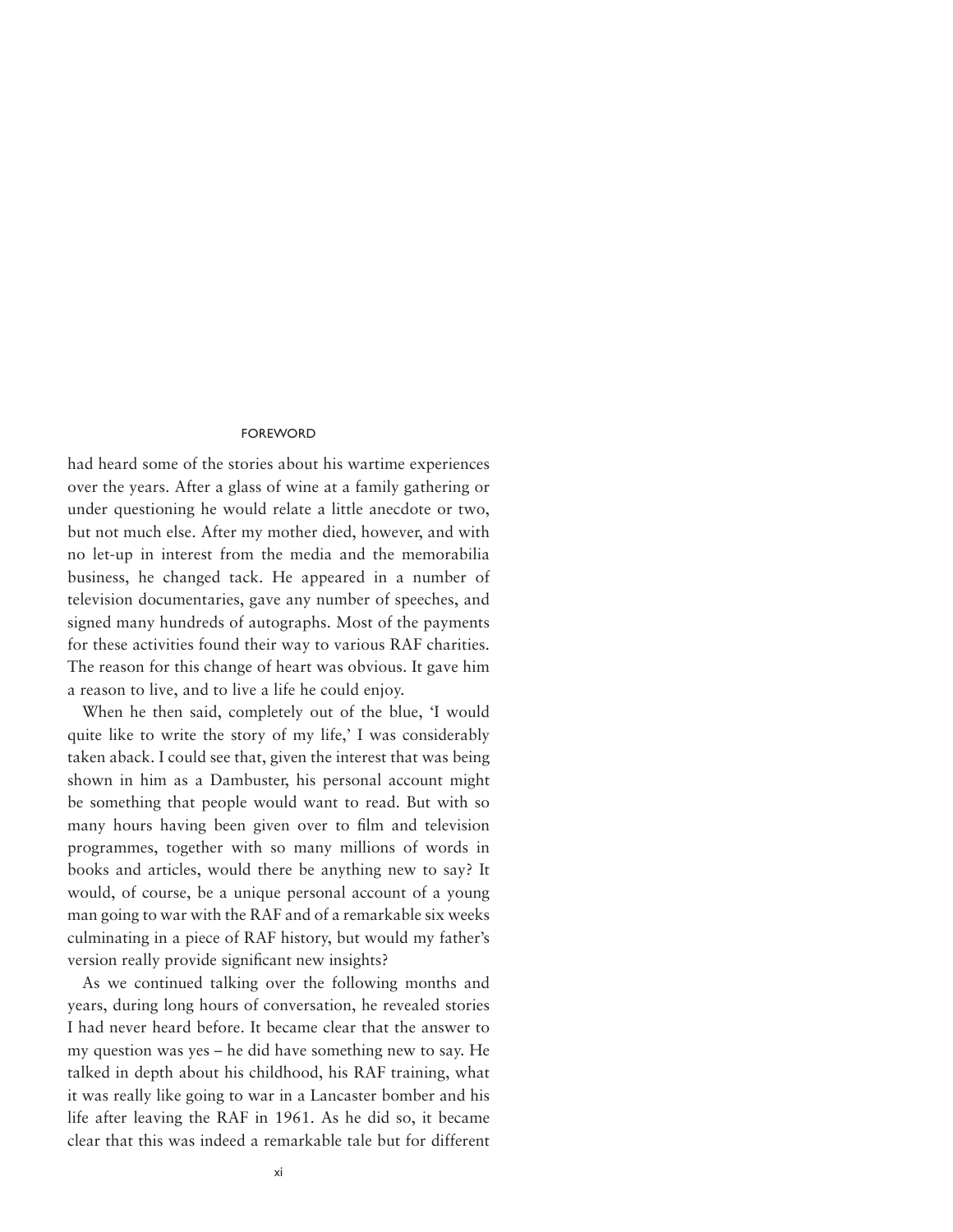#### **FOREWORD**

had heard some of the stories about his wartime experiences over the years. After a glass of wine at a family gathering or under questioning he would relate a little anecdote or two, but not much else. After my mother died, however, and with no let-up in interest from the media and the memorabilia business, he changed tack. He appeared in a number of television documentaries, gave any number of speeches, and signed many hundreds of autographs. Most of the payments for these activities found their way to various RAF charities. The reason for this change of heart was obvious. It gave him a reason to live, and to live a life he could enjoy.

 When he then said, completely out of the blue, 'I would quite like to write the story of my life,' I was considerably taken aback. I could see that, given the interest that was being shown in him as a Dambuster, his personal account might be something that people would want to read. But with so many hours having been given over to film and television programmes, together with so many millions of words in books and articles, would there be anything new to say? It would, of course, be a unique personal account of a young man going to war with the RAF and of a remarkable six weeks culminating in a piece of RAF history, but would my father's version really provide significant new insights?

 As we continued talking over the following months and years, during long hours of conversation, he revealed stories I had never heard before. It became clear that the answer to my question was yes – he did have something new to say. He talked in depth about his childhood, his RAF training, what it was really like going to war in a Lancaster bomber and his life after leaving the RAF in 1961. As he did so, it became clear that this was indeed a remarkable tale but for different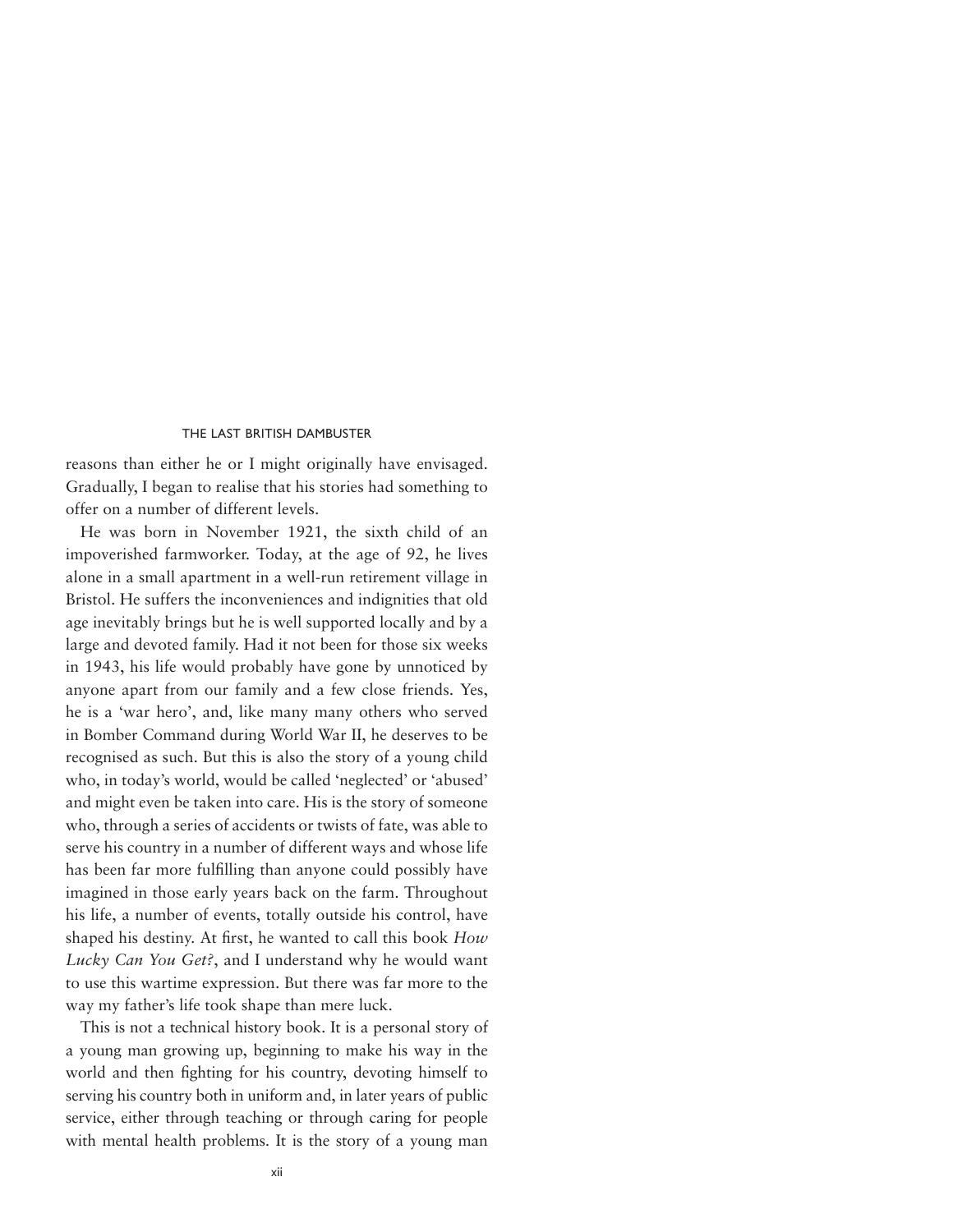reasons than either he or I might originally have envisaged. Gradually, I began to realise that his stories had something to offer on a number of different levels.

 He was born in November 1921, the sixth child of an impoverished farmworker. Today, at the age of 92, he lives alone in a small apartment in a well-run retirement village in Bristol. He suffers the inconveniences and indignities that old age inevitably brings but he is well supported locally and by a large and devoted family. Had it not been for those six weeks in 1943, his life would probably have gone by unnoticed by anyone apart from our family and a few close friends. Yes, he is a 'war hero', and, like many many others who served in Bomber Command during World War II, he deserves to be recognised as such. But this is also the story of a young child who, in today's world, would be called 'neglected' or 'abused' and might even be taken into care. His is the story of someone who, through a series of accidents or twists of fate, was able to serve his country in a number of different ways and whose life has been far more fulfilling than anyone could possibly have imagined in those early years back on the farm. Throughout his life, a number of events, totally outside his control, have shaped his destiny. At first, he wanted to call this book *How Lucky Can You Get?*, and I understand why he would want to use this wartime expression. But there was far more to the way my father's life took shape than mere luck.

 This is not a technical history book. It is a personal story of a young man growing up, beginning to make his way in the world and then fighting for his country, devoting himself to serving his country both in uniform and, in later years of public service, either through teaching or through caring for people with mental health problems. It is the story of a young man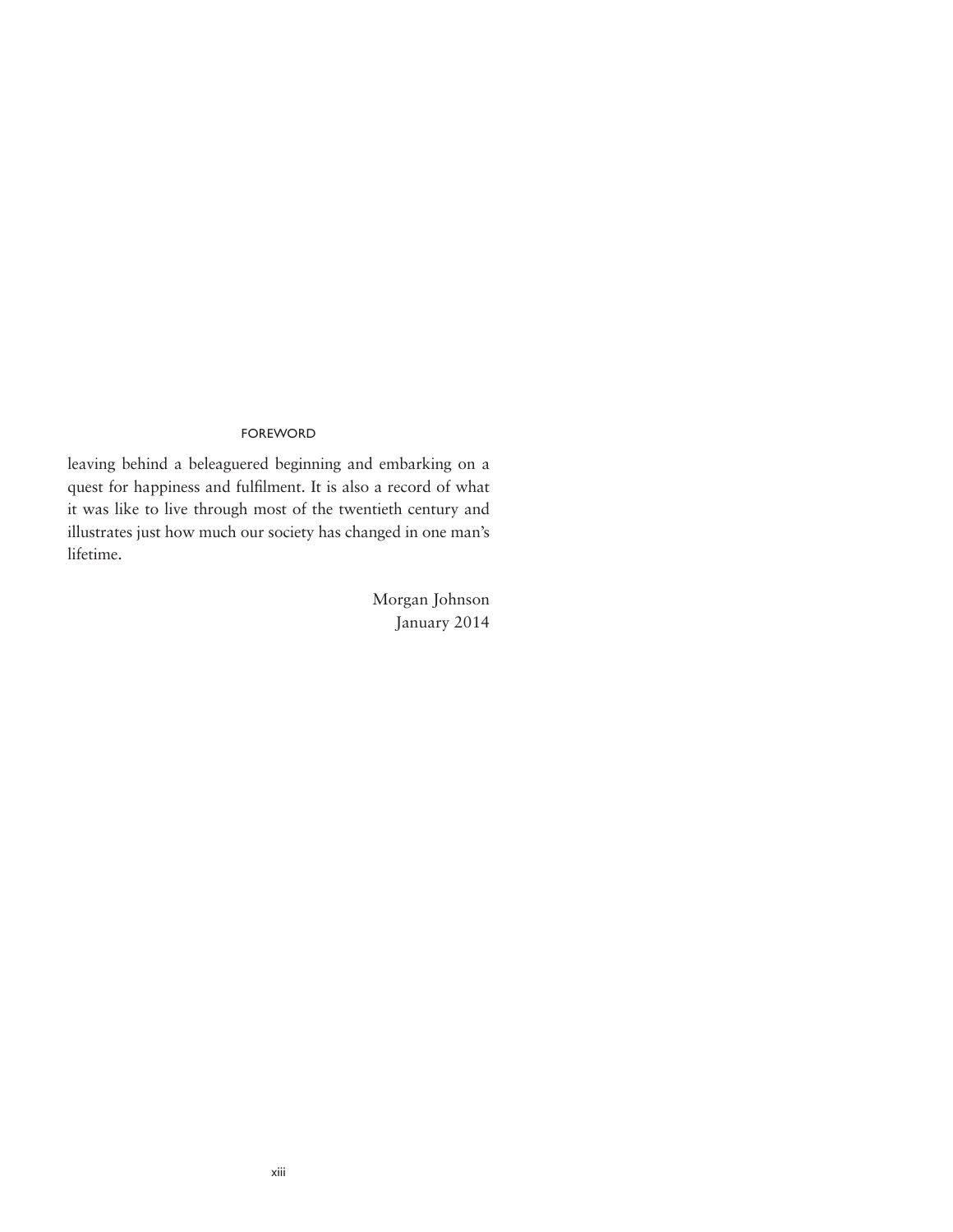# FOREWORD

leaving behind a beleaguered beginning and embarking on a quest for happiness and fulfilment. It is also a record of what it was like to live through most of the twentieth century and illustrates just how much our society has changed in one man's lifetime.

> Morgan Johnson January 2014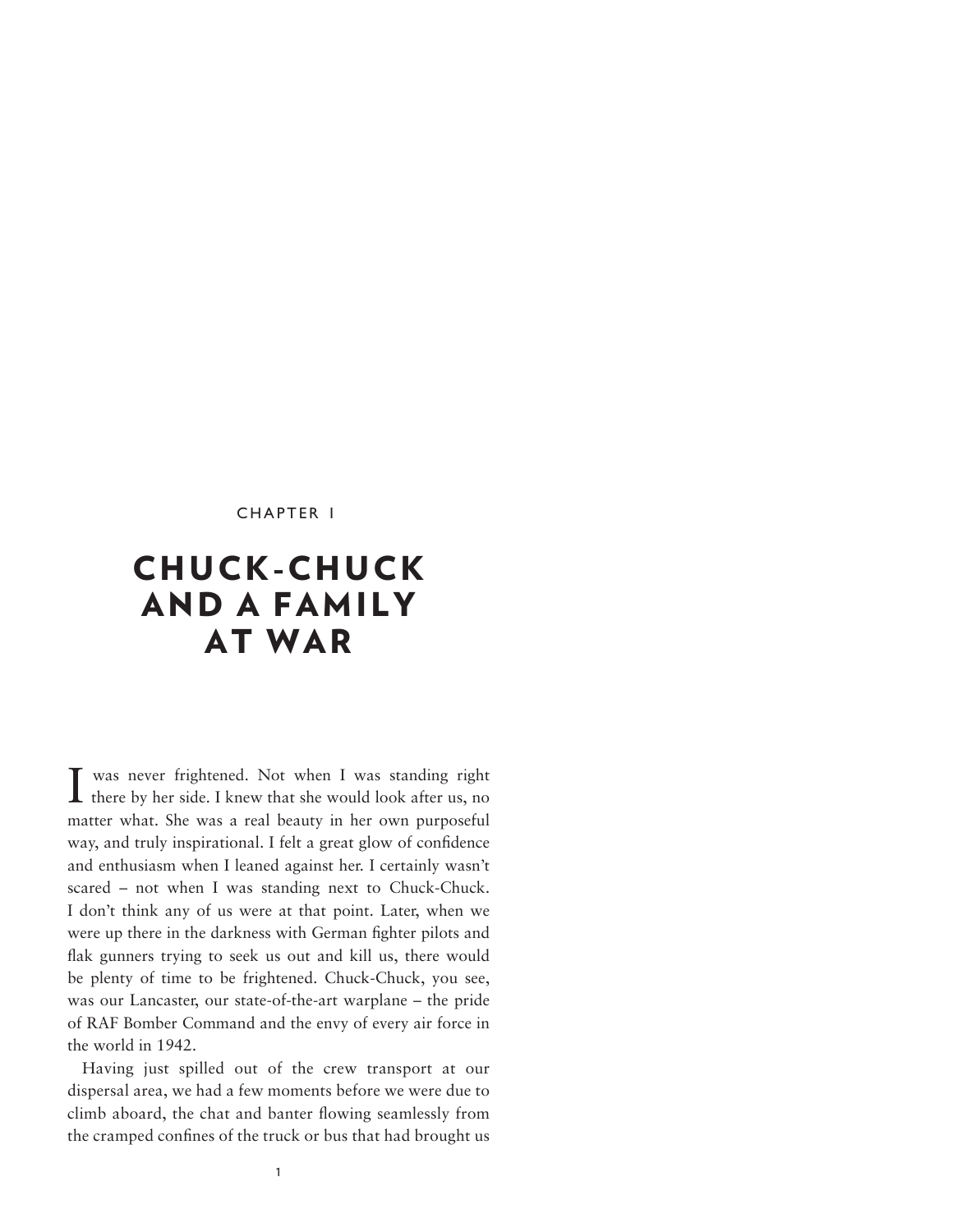## CHAPTER 1

# **CHUCK-CHUCK** AND A FAMILY AT WAR

I was never frightened. Not when I was standing right there by her side. I knew that she would look after us, no  $\blacktriangle$  there by her side. I knew that she would look after us, no matter what. She was a real beauty in her own purposeful way, and truly inspirational. I felt a great glow of confidence and enthusiasm when I leaned against her. I certainly wasn't scared – not when I was standing next to Chuck-Chuck. I don't think any of us were at that point. Later, when we were up there in the darkness with German fighter pilots and flak gunners trying to seek us out and kill us, there would be plenty of time to be frightened. Chuck-Chuck, you see, was our Lancaster, our state-of-the-art warplane – the pride of RAF Bomber Command and the envy of every air force in the world in 1942.

 Having just spilled out of the crew transport at our dispersal area, we had a few moments before we were due to climb aboard, the chat and banter flowing seamlessly from the cramped confines of the truck or bus that had brought us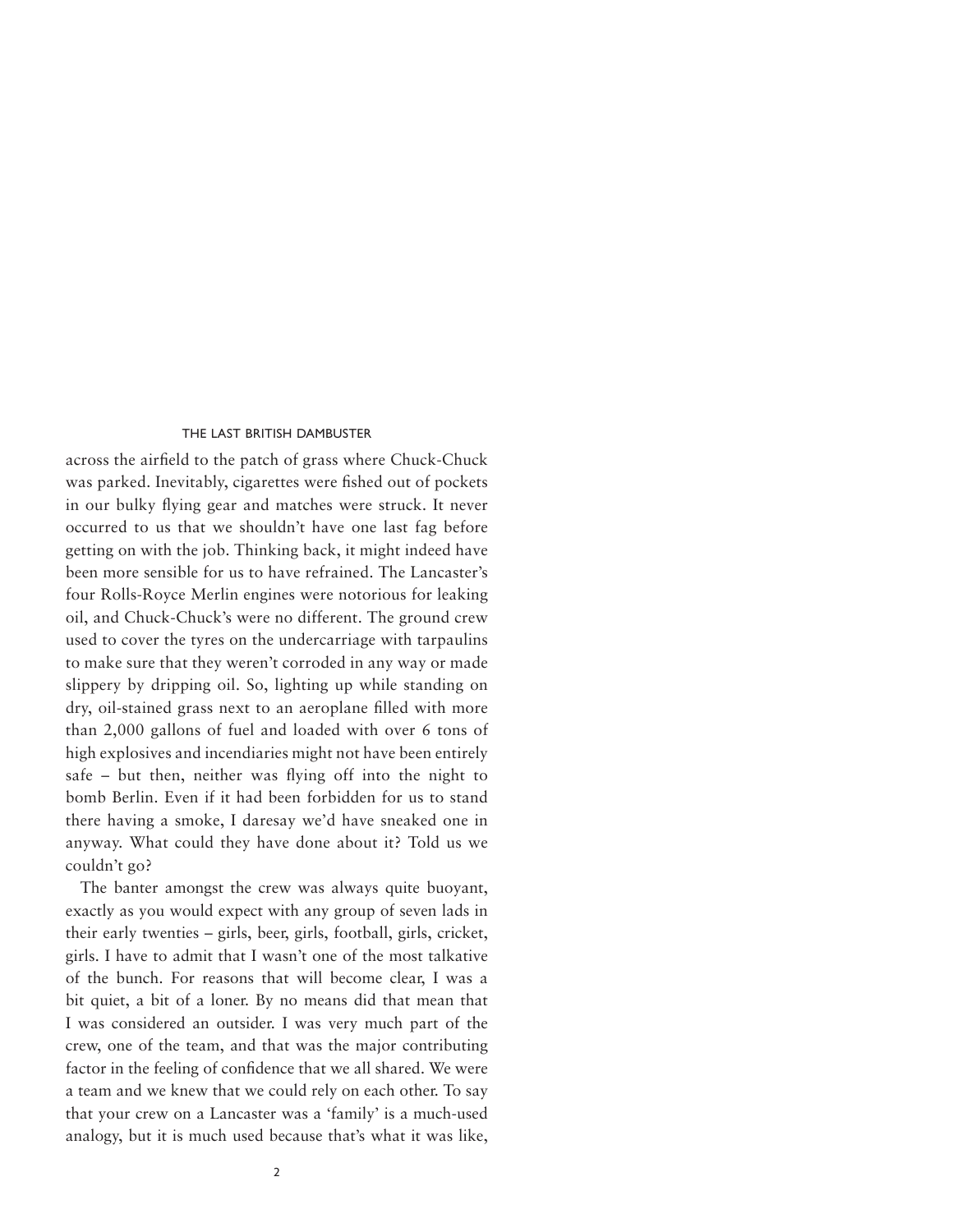across the airfield to the patch of grass where Chuck-Chuck was parked. Inevitably, cigarettes were fished out of pockets in our bulky flying gear and matches were struck. It never occurred to us that we shouldn't have one last fag before getting on with the job. Thinking back, it might indeed have been more sensible for us to have refrained. The Lancaster's four Rolls-Royce Merlin engines were notorious for leaking oil, and Chuck-Chuck's were no different. The ground crew used to cover the tyres on the undercarriage with tarpaulins to make sure that they weren't corroded in any way or made slippery by dripping oil. So, lighting up while standing on dry, oil-stained grass next to an aeroplane filled with more than 2,000 gallons of fuel and loaded with over 6 tons of high explosives and incendiaries might not have been entirely safe – but then, neither was flying off into the night to bomb Berlin. Even if it had been forbidden for us to stand there having a smoke, I daresay we'd have sneaked one in anyway. What could they have done about it? Told us we couldn't go?

 The banter amongst the crew was always quite buoyant, exactly as you would expect with any group of seven lads in their early twenties – girls, beer, girls, football, girls, cricket, girls. I have to admit that I wasn't one of the most talkative of the bunch. For reasons that will become clear, I was a bit quiet, a bit of a loner. By no means did that mean that I was considered an outsider. I was very much part of the crew, one of the team, and that was the major contributing factor in the feeling of confidence that we all shared. We were a team and we knew that we could rely on each other. To say that your crew on a Lancaster was a 'family' is a much-used analogy, but it is much used because that's what it was like,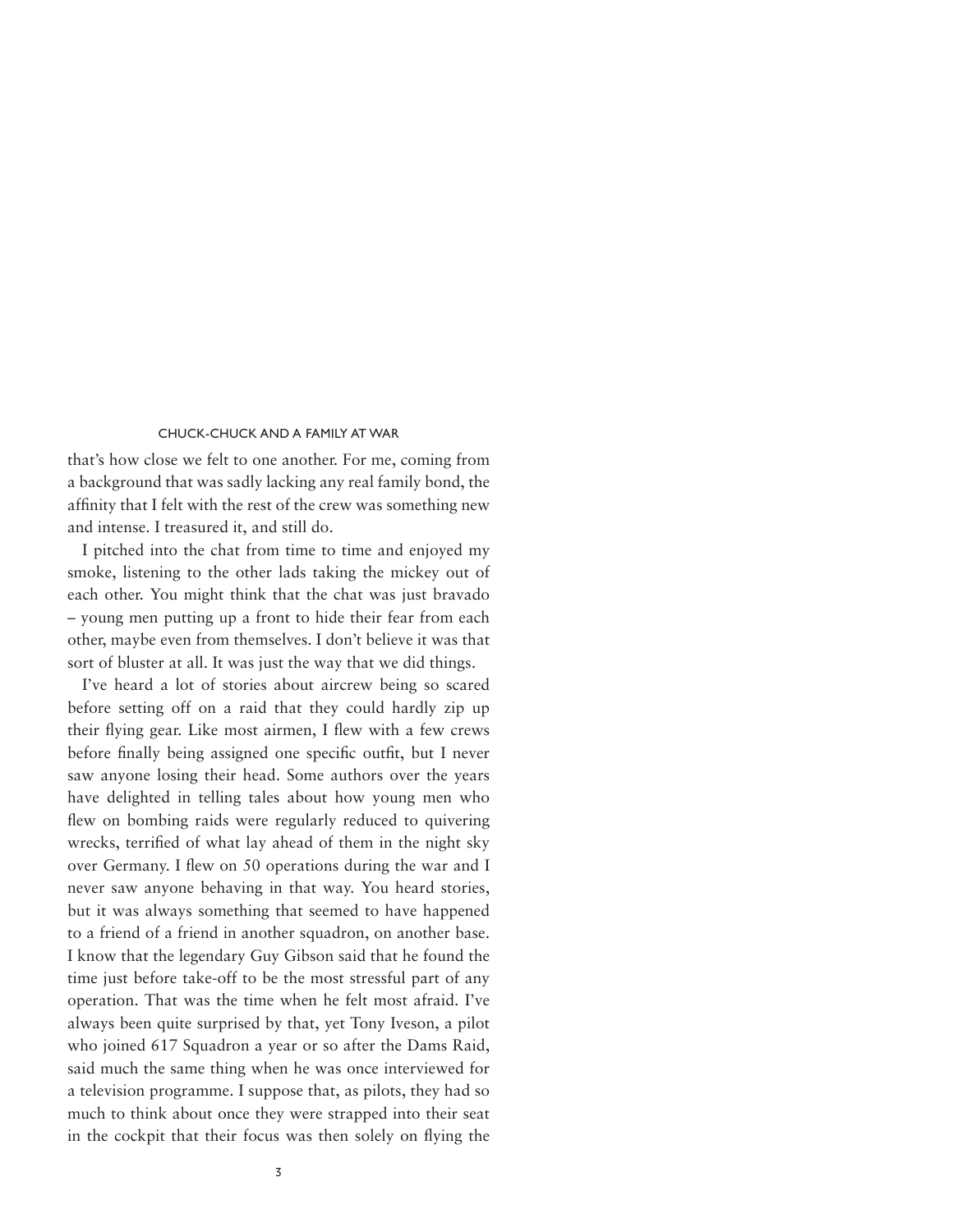that's how close we felt to one another. For me, coming from a background that was sadly lacking any real family bond, the affinity that I felt with the rest of the crew was something new and intense. I treasured it, and still do.

 I pitched into the chat from time to time and enjoyed my smoke, listening to the other lads taking the mickey out of each other. You might think that the chat was just bravado – young men putting up a front to hide their fear from each other, maybe even from themselves. I don't believe it was that sort of bluster at all. It was just the way that we did things.

 I've heard a lot of stories about aircrew being so scared before setting off on a raid that they could hardly zip up their flying gear. Like most airmen, I flew with a few crews before finally being assigned one specific outfit, but I never saw anyone losing their head. Some authors over the years have delighted in telling tales about how young men who flew on bombing raids were regularly reduced to quivering wrecks, terrified of what lay ahead of them in the night sky over Germany. I flew on 50 operations during the war and I never saw anyone behaving in that way. You heard stories, but it was always something that seemed to have happened to a friend of a friend in another squadron, on another base. I know that the legendary Guy Gibson said that he found the time just before take-off to be the most stressful part of any operation. That was the time when he felt most afraid. I've always been quite surprised by that, yet Tony Iveson, a pilot who joined 617 Squadron a year or so after the Dams Raid, said much the same thing when he was once interviewed for a television programme. I suppose that, as pilots, they had so much to think about once they were strapped into their seat in the cockpit that their focus was then solely on flying the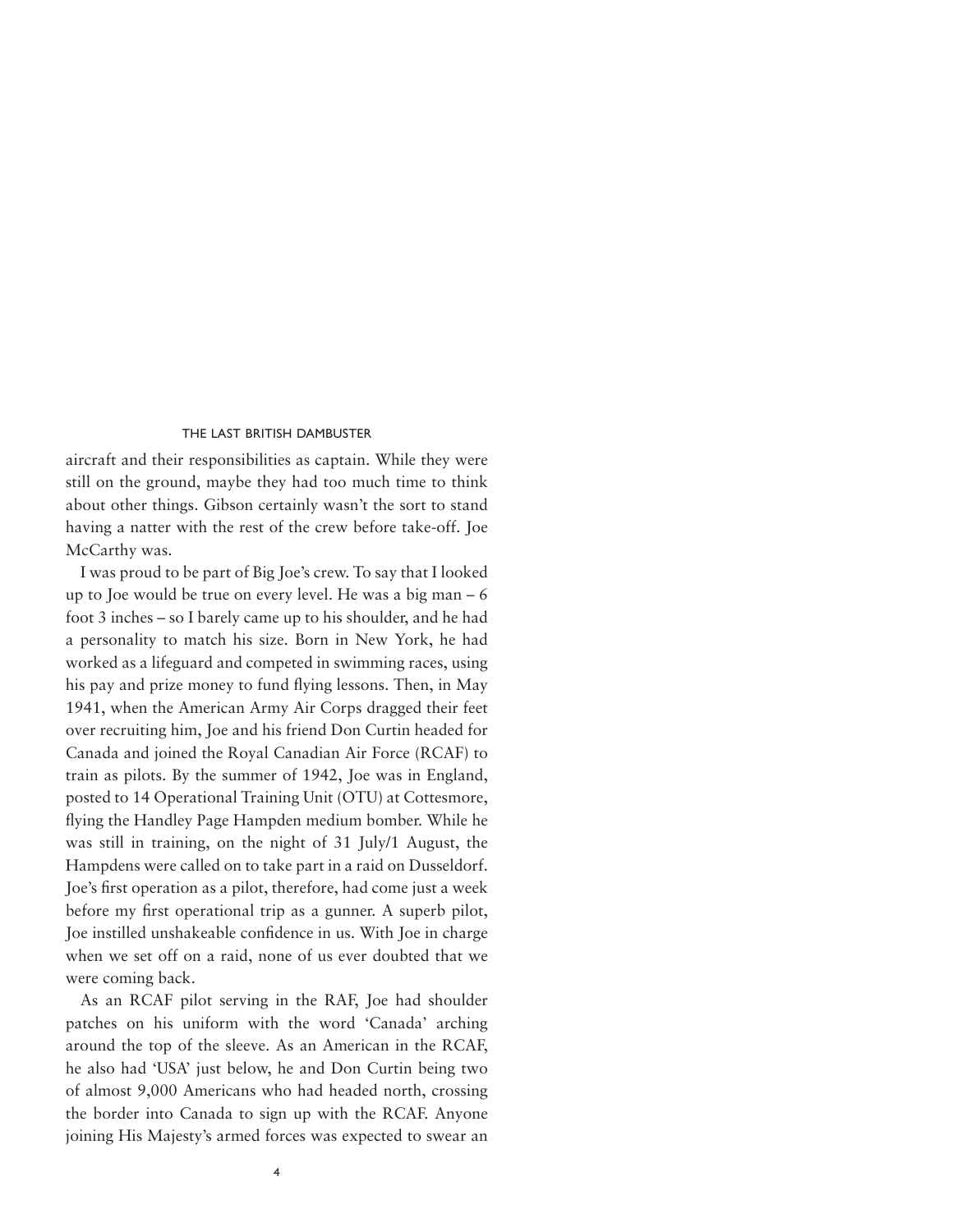aircraft and their responsibilities as captain. While they were still on the ground, maybe they had too much time to think about other things. Gibson certainly wasn't the sort to stand having a natter with the rest of the crew before take-off. Joe McCarthy was.

 I was proud to be part of Big Joe's crew. To say that I looked up to Joe would be true on every level. He was a big man – 6 foot 3 inches – so I barely came up to his shoulder, and he had a personality to match his size. Born in New York, he had worked as a lifeguard and competed in swimming races, using his pay and prize money to fund flying lessons. Then, in May 1941, when the American Army Air Corps dragged their feet over recruiting him, Joe and his friend Don Curtin headed for Canada and joined the Royal Canadian Air Force (RCAF) to train as pilots. By the summer of 1942, Joe was in England, posted to 14 Operational Training Unit (OTU) at Cottesmore, flying the Handley Page Hampden medium bomber. While he was still in training, on the night of 31 July/1 August, the Hampdens were called on to take part in a raid on Dusseldorf. Joe's first operation as a pilot, therefore, had come just a week before my first operational trip as a gunner. A superb pilot, Joe instilled unshakeable confidence in us. With Joe in charge when we set off on a raid, none of us ever doubted that we were coming back.

 As an RCAF pilot serving in the RAF, Joe had shoulder patches on his uniform with the word 'Canada' arching around the top of the sleeve. As an American in the RCAF, he also had 'USA' just below, he and Don Curtin being two of almost 9,000 Americans who had headed north, crossing the border into Canada to sign up with the RCAF. Anyone joining His Majesty's armed forces was expected to swear an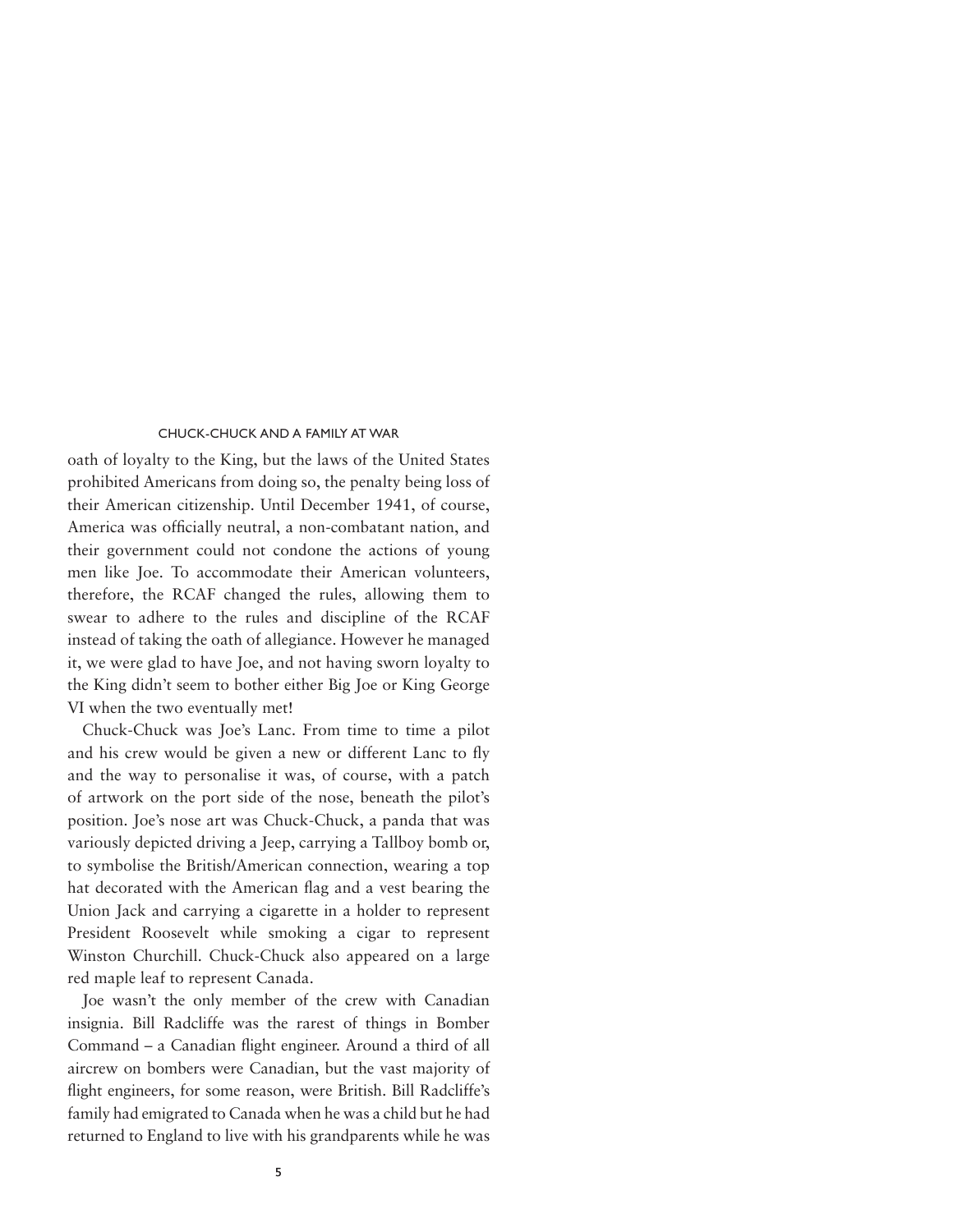## CHUCK-CHUCK AND A FAMILY AT WAR

oath of loyalty to the King, but the laws of the United States prohibited Americans from doing so, the penalty being loss of their American citizenship. Until December 1941, of course, America was officially neutral, a non-combatant nation, and their government could not condone the actions of young men like Joe. To accommodate their American volunteers, therefore, the RCAF changed the rules, allowing them to swear to adhere to the rules and discipline of the RCAF instead of taking the oath of allegiance. However he managed it, we were glad to have Joe, and not having sworn loyalty to the King didn't seem to bother either Big Joe or King George VI when the two eventually met!

 Chuck-Chuck was Joe's Lanc. From time to time a pilot and his crew would be given a new or different Lanc to fly and the way to personalise it was, of course, with a patch of artwork on the port side of the nose, beneath the pilot's position. Joe's nose art was Chuck-Chuck, a panda that was variously depicted driving a Jeep, carrying a Tallboy bomb or, to symbolise the British/American connection, wearing a top hat decorated with the American flag and a vest bearing the Union Jack and carrying a cigarette in a holder to represent President Roosevelt while smoking a cigar to represent Winston Churchill. Chuck-Chuck also appeared on a large red maple leaf to represent Canada.

 Joe wasn't the only member of the crew with Canadian insignia. Bill Radcliffe was the rarest of things in Bomber Command – a Canadian flight engineer. Around a third of all aircrew on bombers were Canadian, but the vast majority of flight engineers, for some reason, were British. Bill Radcliffe's family had emigrated to Canada when he was a child but he had returned to England to live with his grandparents while he was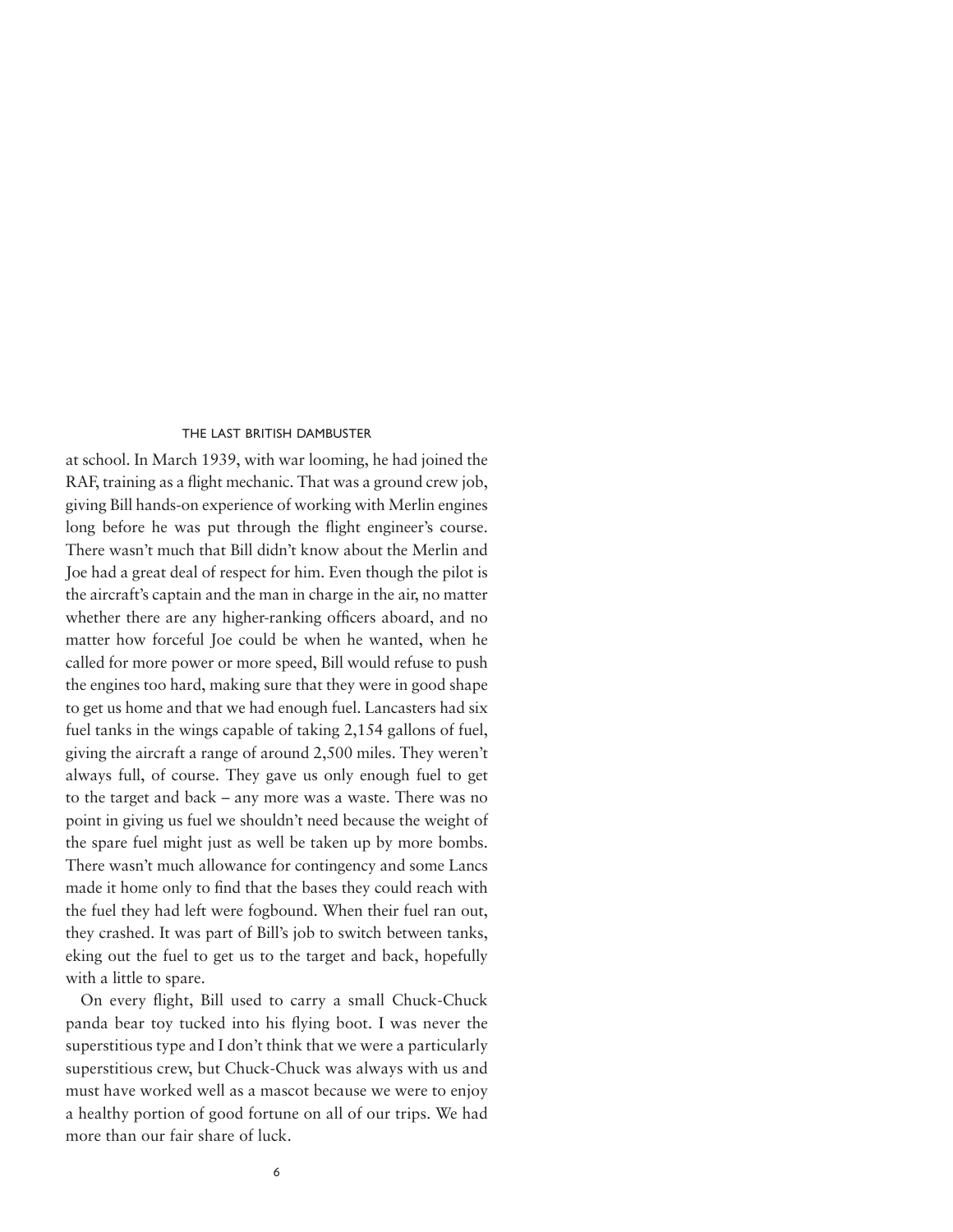at school. In March 1939, with war looming, he had joined the RAF, training as a flight mechanic. That was a ground crew job, giving Bill hands-on experience of working with Merlin engines long before he was put through the flight engineer's course. There wasn't much that Bill didn't know about the Merlin and Joe had a great deal of respect for him. Even though the pilot is the aircraft's captain and the man in charge in the air, no matter whether there are any higher-ranking officers aboard, and no matter how forceful Joe could be when he wanted, when he called for more power or more speed, Bill would refuse to push the engines too hard, making sure that they were in good shape to get us home and that we had enough fuel. Lancasters had six fuel tanks in the wings capable of taking 2,154 gallons of fuel, giving the aircraft a range of around 2,500 miles. They weren't always full, of course. They gave us only enough fuel to get to the target and back – any more was a waste. There was no point in giving us fuel we shouldn't need because the weight of the spare fuel might just as well be taken up by more bombs. There wasn't much allowance for contingency and some Lancs made it home only to find that the bases they could reach with the fuel they had left were fogbound. When their fuel ran out, they crashed. It was part of Bill's job to switch between tanks, eking out the fuel to get us to the target and back, hopefully with a little to spare.

On every flight, Bill used to carry a small Chuck-Chuck panda bear toy tucked into his flying boot. I was never the superstitious type and I don't think that we were a particularly superstitious crew, but Chuck-Chuck was always with us and must have worked well as a mascot because we were to enjoy a healthy portion of good fortune on all of our trips. We had more than our fair share of luck.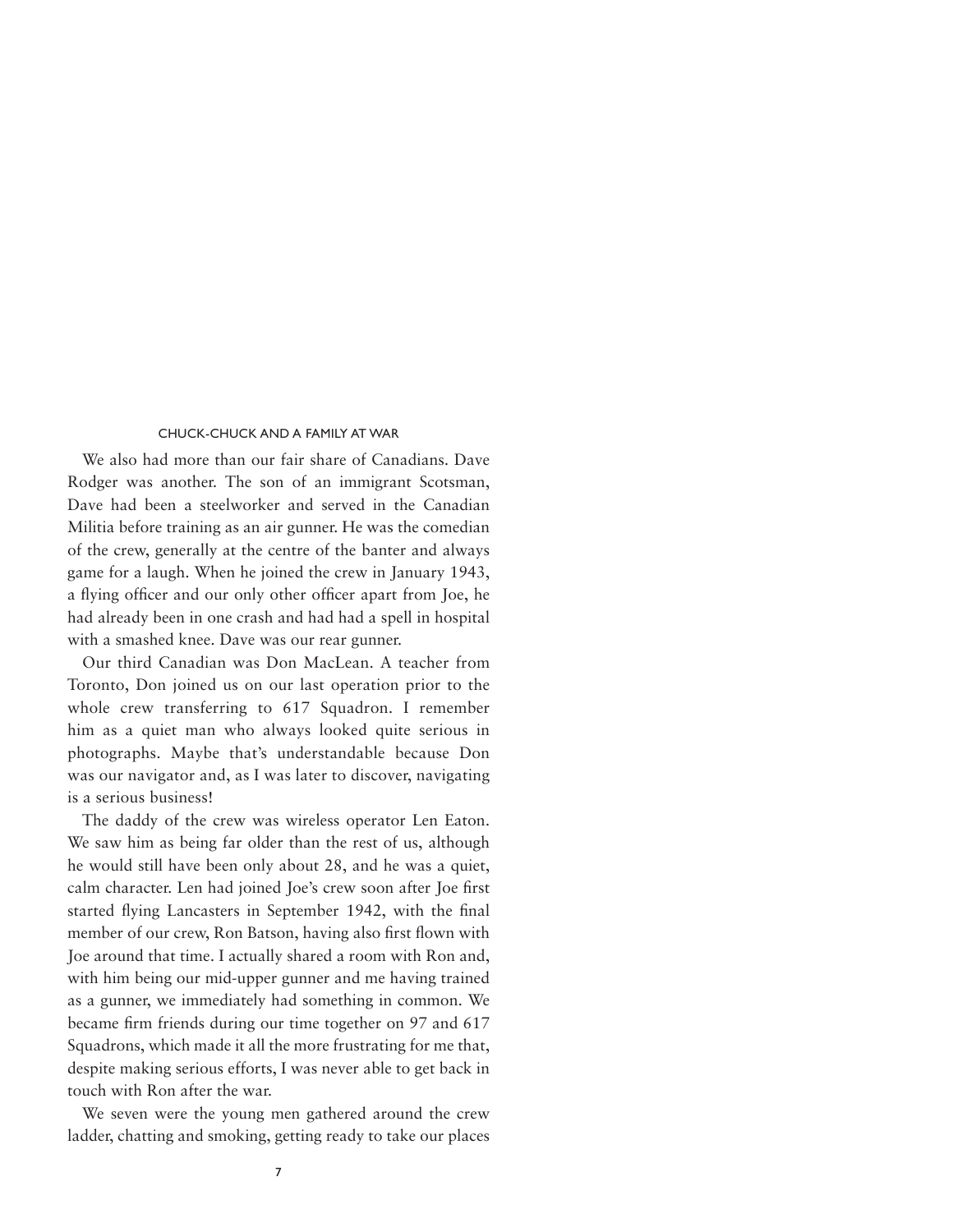## CHUCK-CHUCK AND A FAMILY AT WAR

 We also had more than our fair share of Canadians. Dave Rodger was another. The son of an immigrant Scotsman, Dave had been a steelworker and served in the Canadian Militia before training as an air gunner. He was the comedian of the crew, generally at the centre of the banter and always game for a laugh. When he joined the crew in January 1943, a flying officer and our only other officer apart from Joe, he had already been in one crash and had had a spell in hospital with a smashed knee. Dave was our rear gunner.

 Our third Canadian was Don MacLean. A teacher from Toronto, Don joined us on our last operation prior to the whole crew transferring to 617 Squadron. I remember him as a quiet man who always looked quite serious in photographs. Maybe that's understandable because Don was our navigator and, as I was later to discover, navigating is a serious business!

 The daddy of the crew was wireless operator Len Eaton. We saw him as being far older than the rest of us, although he would still have been only about 28, and he was a quiet, calm character. Len had joined Joe's crew soon after Joe first started flying Lancasters in September 1942, with the final member of our crew, Ron Batson, having also first flown with Joe around that time. I actually shared a room with Ron and, with him being our mid-upper gunner and me having trained as a gunner, we immediately had something in common. We became firm friends during our time together on 97 and 617 Squadrons, which made it all the more frustrating for me that, despite making serious efforts, I was never able to get back in touch with Ron after the war.

 We seven were the young men gathered around the crew ladder, chatting and smoking, getting ready to take our places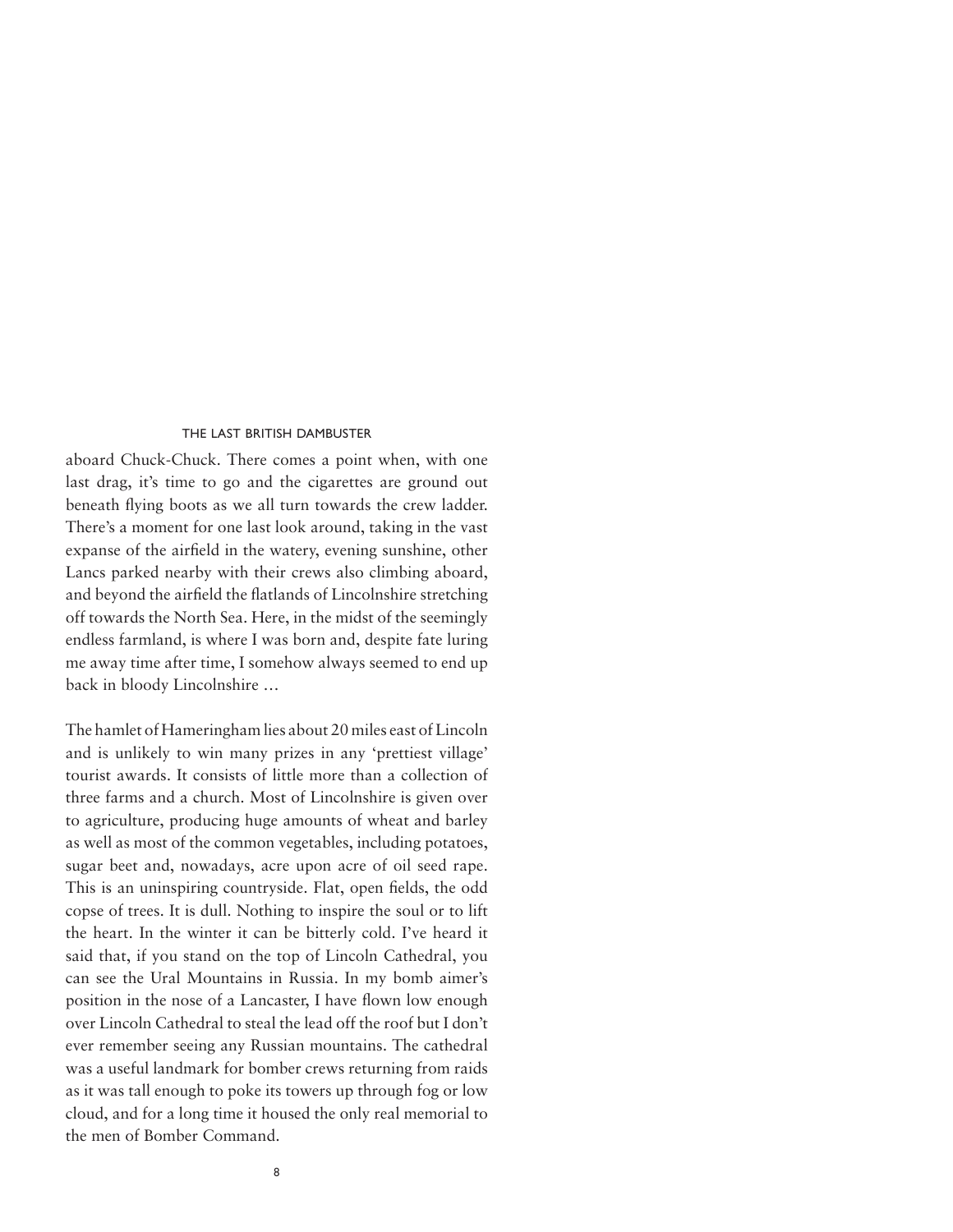aboard Chuck-Chuck. There comes a point when, with one last drag, it's time to go and the cigarettes are ground out beneath flying boots as we all turn towards the crew ladder. There's a moment for one last look around, taking in the vast expanse of the airfield in the watery, evening sunshine, other Lancs parked nearby with their crews also climbing aboard, and beyond the airfield the flatlands of Lincolnshire stretching off towards the North Sea. Here, in the midst of the seemingly endless farmland, is where I was born and, despite fate luring me away time after time, I somehow always seemed to end up back in bloody Lincolnshire …

The hamlet of Hameringham lies about 20 miles east of Lincoln and is unlikely to win many prizes in any 'prettiest village' tourist awards. It consists of little more than a collection of three farms and a church. Most of Lincolnshire is given over to agriculture, producing huge amounts of wheat and barley as well as most of the common vegetables, including potatoes, sugar beet and, nowadays, acre upon acre of oil seed rape. This is an uninspiring countryside. Flat, open fields, the odd copse of trees. It is dull. Nothing to inspire the soul or to lift the heart. In the winter it can be bitterly cold. I've heard it said that, if you stand on the top of Lincoln Cathedral, you can see the Ural Mountains in Russia. In my bomb aimer's position in the nose of a Lancaster, I have flown low enough over Lincoln Cathedral to steal the lead off the roof but I don't ever remember seeing any Russian mountains. The cathedral was a useful landmark for bomber crews returning from raids as it was tall enough to poke its towers up through fog or low cloud, and for a long time it housed the only real memorial to the men of Bomber Command.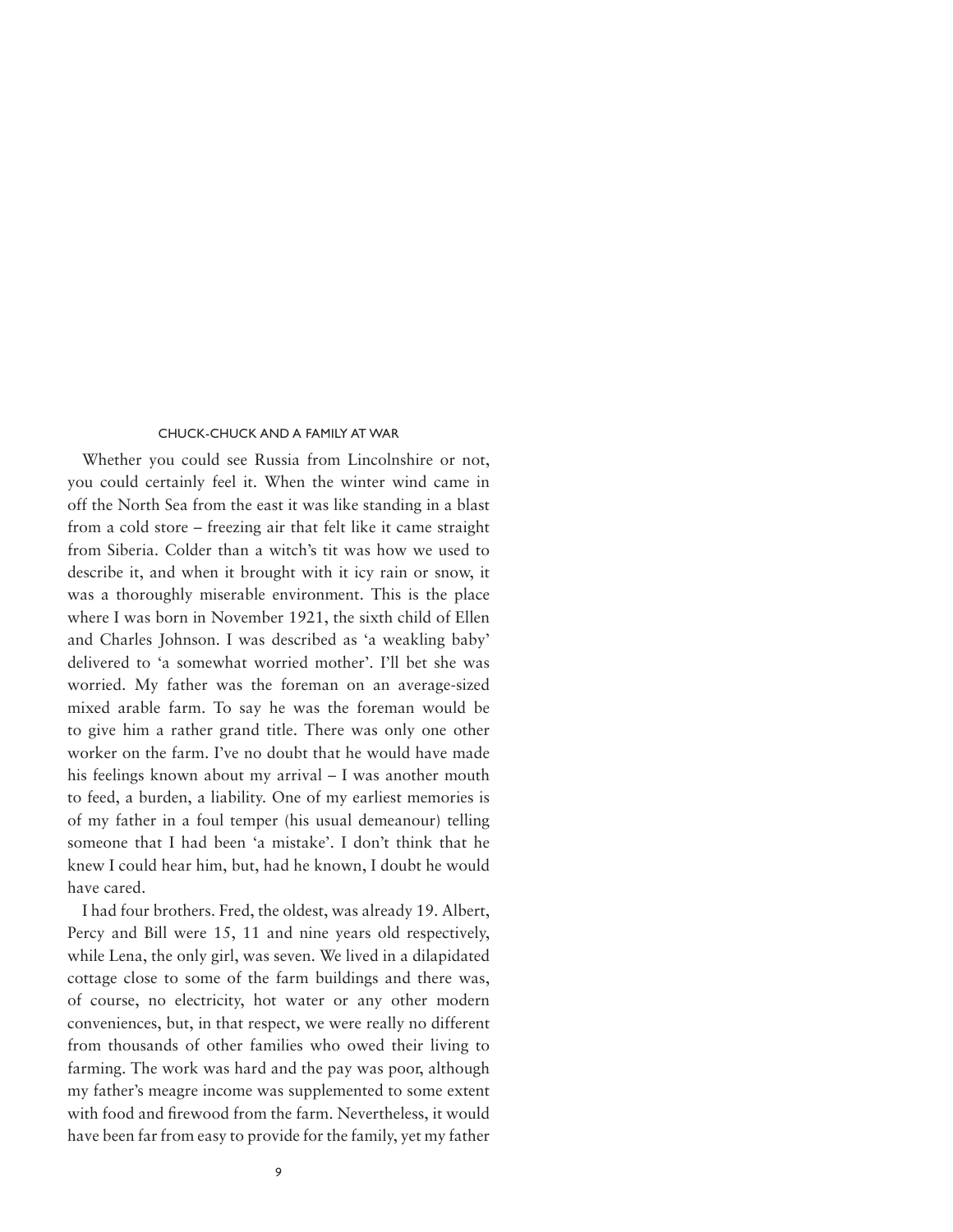# CHUCK-CHUCK AND A FAMILY AT WAR

 Whether you could see Russia from Lincolnshire or not, you could certainly feel it. When the winter wind came in off the North Sea from the east it was like standing in a blast from a cold store – freezing air that felt like it came straight from Siberia. Colder than a witch's tit was how we used to describe it, and when it brought with it icy rain or snow, it was a thoroughly miserable environment. This is the place where I was born in November 1921, the sixth child of Ellen and Charles Johnson. I was described as 'a weakling baby' delivered to 'a somewhat worried mother'. I'll bet she was worried. My father was the foreman on an average-sized mixed arable farm. To say he was the foreman would be to give him a rather grand title. There was only one other worker on the farm. I've no doubt that he would have made his feelings known about my arrival – I was another mouth to feed, a burden, a liability. One of my earliest memories is of my father in a foul temper (his usual demeanour) telling someone that I had been 'a mistake'. I don't think that he knew I could hear him, but, had he known, I doubt he would have cared.

 I had four brothers. Fred, the oldest, was already 19. Albert, Percy and Bill were 15, 11 and nine years old respectively, while Lena, the only girl, was seven. We lived in a dilapidated cottage close to some of the farm buildings and there was, of course, no electricity, hot water or any other modern conveniences, but, in that respect, we were really no different from thousands of other families who owed their living to farming. The work was hard and the pay was poor, although my father's meagre income was supplemented to some extent with food and firewood from the farm. Nevertheless, it would have been far from easy to provide for the family, yet my father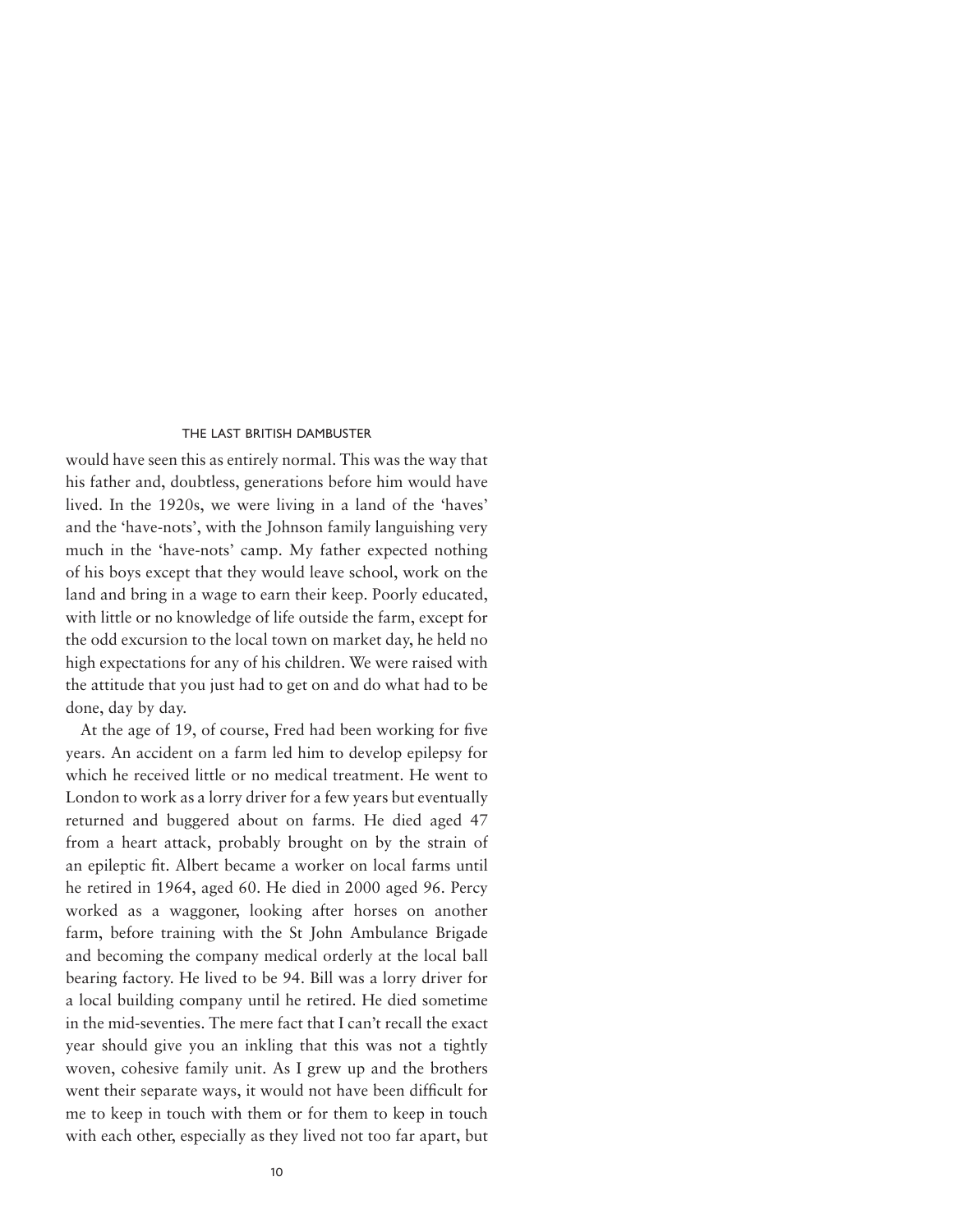would have seen this as entirely normal. This was the way that his father and, doubtless, generations before him would have lived. In the 1920s, we were living in a land of the 'haves' and the 'have-nots', with the Johnson family languishing very much in the 'have-nots' camp. My father expected nothing of his boys except that they would leave school, work on the land and bring in a wage to earn their keep. Poorly educated, with little or no knowledge of life outside the farm, except for the odd excursion to the local town on market day, he held no high expectations for any of his children. We were raised with the attitude that you just had to get on and do what had to be done, day by day.

At the age of 19, of course, Fred had been working for five years. An accident on a farm led him to develop epilepsy for which he received little or no medical treatment. He went to London to work as a lorry driver for a few years but eventually returned and buggered about on farms. He died aged 47 from a heart attack, probably brought on by the strain of an epileptic fit. Albert became a worker on local farms until he retired in 1964, aged 60. He died in 2000 aged 96. Percy worked as a waggoner, looking after horses on another farm, before training with the St John Ambulance Brigade and becoming the company medical orderly at the local ball bearing factory. He lived to be 94. Bill was a lorry driver for a local building company until he retired. He died sometime in the mid-seventies. The mere fact that I can't recall the exact year should give you an inkling that this was not a tightly woven, cohesive family unit. As I grew up and the brothers went their separate ways, it would not have been difficult for me to keep in touch with them or for them to keep in touch with each other, especially as they lived not too far apart, but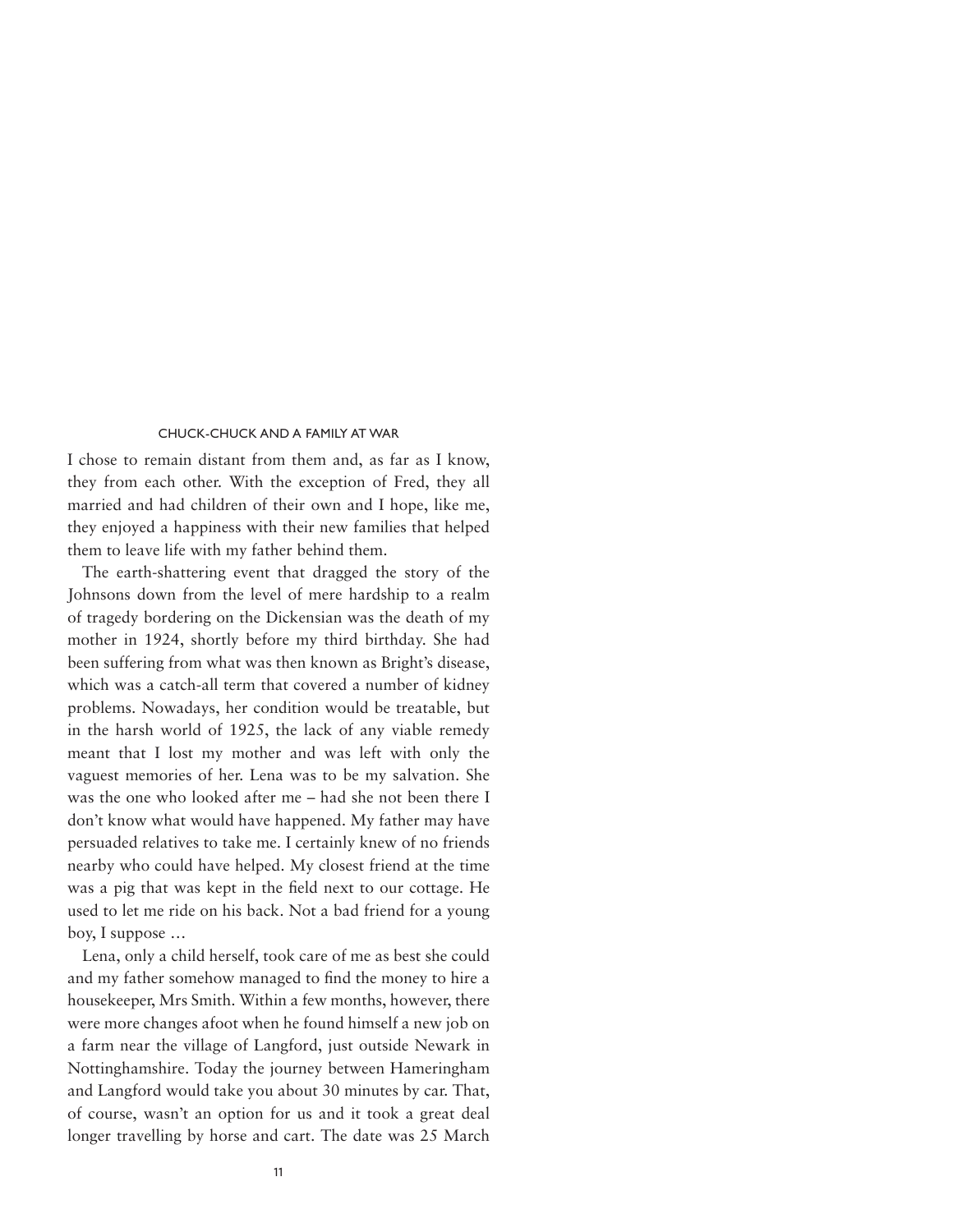# CHUCK-CHUCK AND A FAMILY AT WAR

I chose to remain distant from them and, as far as I know, they from each other. With the exception of Fred, they all married and had children of their own and I hope, like me, they enjoyed a happiness with their new families that helped them to leave life with my father behind them.

 The earth-shattering event that dragged the story of the Johnsons down from the level of mere hardship to a realm of tragedy bordering on the Dickensian was the death of my mother in 1924, shortly before my third birthday. She had been suffering from what was then known as Bright's disease, which was a catch-all term that covered a number of kidney problems. Nowadays, her condition would be treatable, but in the harsh world of 1925, the lack of any viable remedy meant that I lost my mother and was left with only the vaguest memories of her. Lena was to be my salvation. She was the one who looked after me – had she not been there I don't know what would have happened. My father may have persuaded relatives to take me. I certainly knew of no friends nearby who could have helped. My closest friend at the time was a pig that was kept in the field next to our cottage. He used to let me ride on his back. Not a bad friend for a young boy, I suppose …

 Lena, only a child herself, took care of me as best she could and my father somehow managed to find the money to hire a housekeeper, Mrs Smith. Within a few months, however, there were more changes afoot when he found himself a new job on a farm near the village of Langford, just outside Newark in Nottinghamshire. Today the journey between Hameringham and Langford would take you about 30 minutes by car. That, of course, wasn't an option for us and it took a great deal longer travelling by horse and cart. The date was 25 March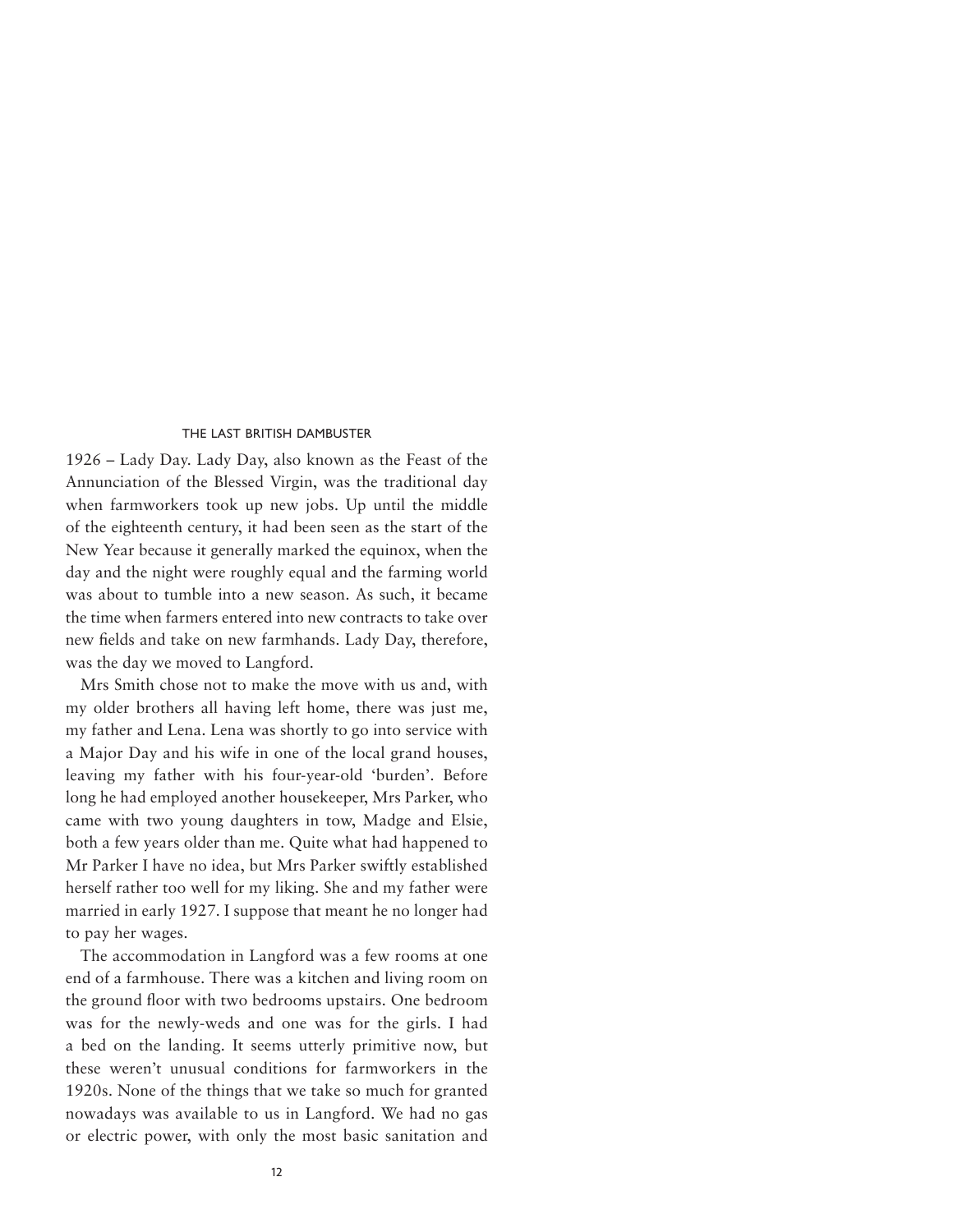1926 – Lady Day. Lady Day, also known as the Feast of the Annunciation of the Blessed Virgin, was the traditional day when farmworkers took up new jobs. Up until the middle of the eighteenth century, it had been seen as the start of the New Year because it generally marked the equinox, when the day and the night were roughly equal and the farming world was about to tumble into a new season. As such, it became the time when farmers entered into new contracts to take over new fields and take on new farmhands. Lady Day, therefore, was the day we moved to Langford.

 Mrs Smith chose not to make the move with us and, with my older brothers all having left home, there was just me, my father and Lena. Lena was shortly to go into service with a Major Day and his wife in one of the local grand houses, leaving my father with his four-year-old 'burden'. Before long he had employed another housekeeper, Mrs Parker, who came with two young daughters in tow, Madge and Elsie, both a few years older than me. Quite what had happened to Mr Parker I have no idea, but Mrs Parker swiftly established herself rather too well for my liking. She and my father were married in early 1927. I suppose that meant he no longer had to pay her wages.

 The accommodation in Langford was a few rooms at one end of a farmhouse. There was a kitchen and living room on the ground floor with two bedrooms upstairs. One bedroom was for the newly-weds and one was for the girls. I had a bed on the landing. It seems utterly primitive now, but these weren't unusual conditions for farmworkers in the 1920s. None of the things that we take so much for granted nowadays was available to us in Langford. We had no gas or electric power, with only the most basic sanitation and

12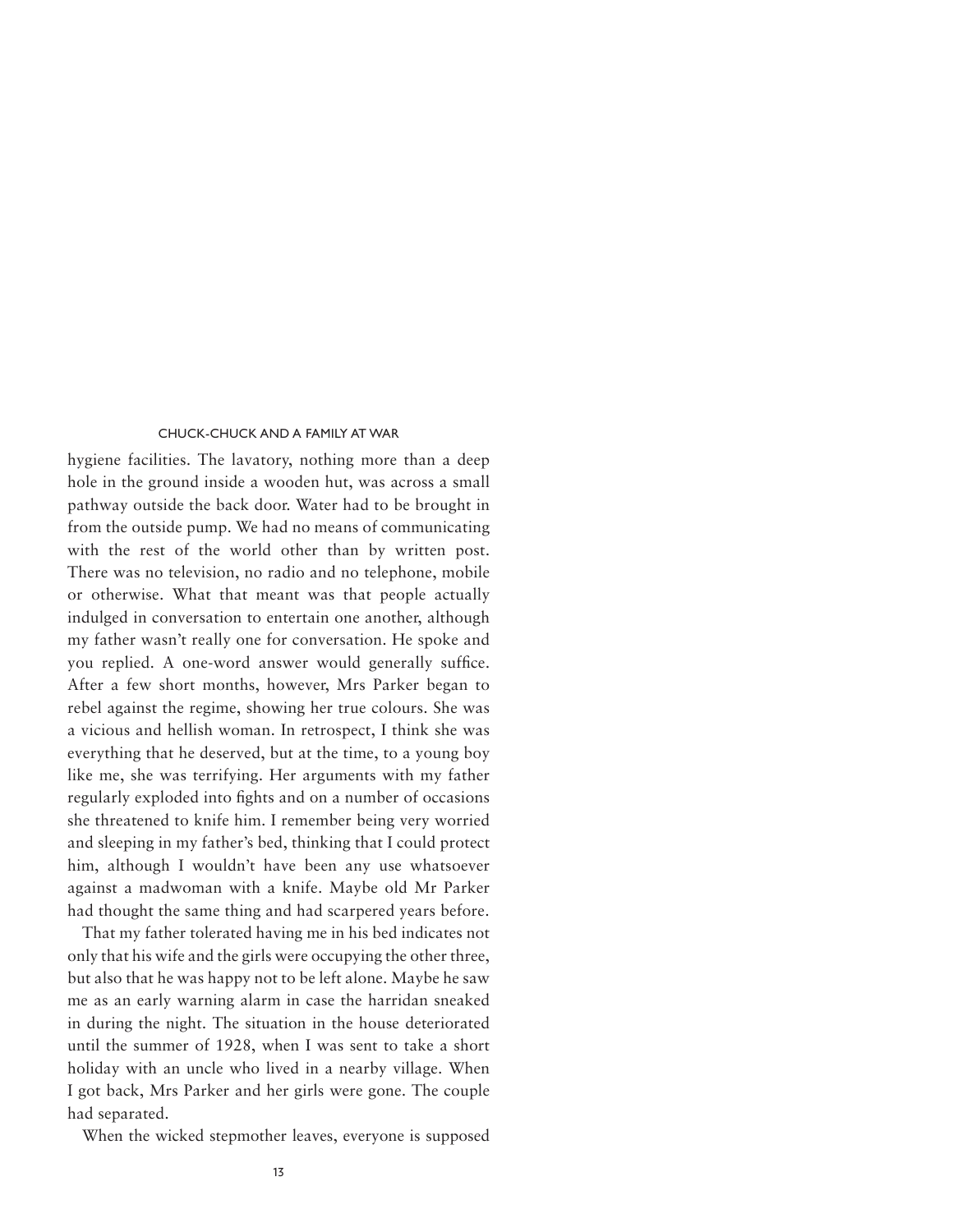## CHUCK-CHUCK AND A FAMILY AT WAR

hygiene facilities. The lavatory, nothing more than a deep hole in the ground inside a wooden hut, was across a small pathway outside the back door. Water had to be brought in from the outside pump. We had no means of communicating with the rest of the world other than by written post. There was no television, no radio and no telephone, mobile or otherwise. What that meant was that people actually indulged in conversation to entertain one another, although my father wasn't really one for conversation. He spoke and you replied. A one-word answer would generally suffice. After a few short months, however, Mrs Parker began to rebel against the regime, showing her true colours. She was a vicious and hellish woman. In retrospect, I think she was everything that he deserved, but at the time, to a young boy like me, she was terrifying. Her arguments with my father regularly exploded into fights and on a number of occasions she threatened to knife him. I remember being very worried and sleeping in my father's bed, thinking that I could protect him, although I wouldn't have been any use whatsoever against a madwoman with a knife. Maybe old Mr Parker had thought the same thing and had scarpered years before.

 That my father tolerated having me in his bed indicates not only that his wife and the girls were occupying the other three, but also that he was happy not to be left alone. Maybe he saw me as an early warning alarm in case the harridan sneaked in during the night. The situation in the house deteriorated until the summer of 1928, when I was sent to take a short holiday with an uncle who lived in a nearby village. When I got back, Mrs Parker and her girls were gone. The couple had separated.

When the wicked stepmother leaves, everyone is supposed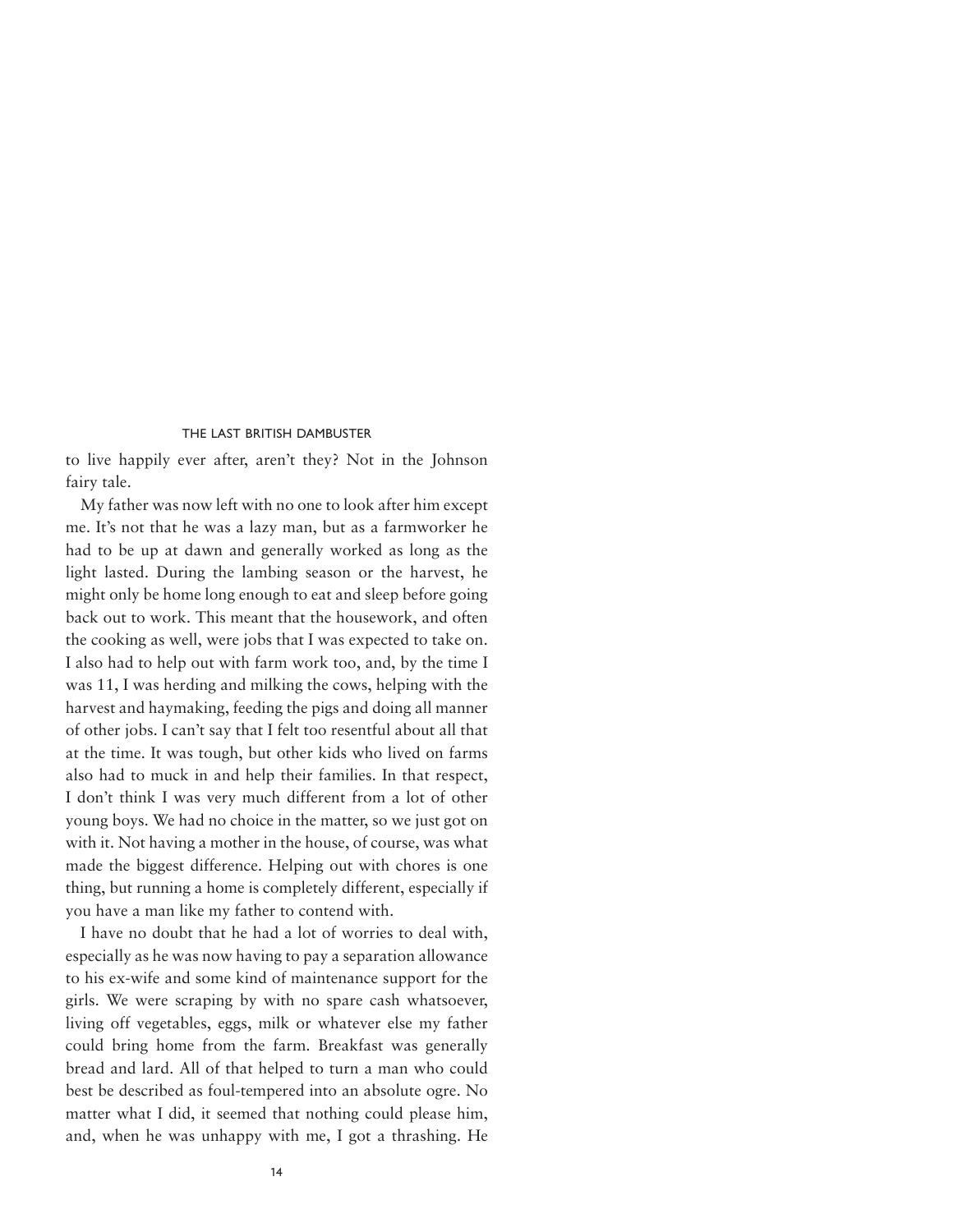to live happily ever after, aren't they? Not in the Johnson fairy tale.

 My father was now left with no one to look after him except me. It's not that he was a lazy man, but as a farmworker he had to be up at dawn and generally worked as long as the light lasted. During the lambing season or the harvest, he might only be home long enough to eat and sleep before going back out to work. This meant that the housework, and often the cooking as well, were jobs that I was expected to take on. I also had to help out with farm work too, and, by the time I was 11, I was herding and milking the cows, helping with the harvest and haymaking, feeding the pigs and doing all manner of other jobs. I can't say that I felt too resentful about all that at the time. It was tough, but other kids who lived on farms also had to muck in and help their families. In that respect, I don't think I was very much different from a lot of other young boys. We had no choice in the matter, so we just got on with it. Not having a mother in the house, of course, was what made the biggest difference. Helping out with chores is one thing, but running a home is completely different, especially if you have a man like my father to contend with.

 I have no doubt that he had a lot of worries to deal with, especially as he was now having to pay a separation allowance to his ex-wife and some kind of maintenance support for the girls. We were scraping by with no spare cash whatsoever, living off vegetables, eggs, milk or whatever else my father could bring home from the farm. Breakfast was generally bread and lard. All of that helped to turn a man who could best be described as foul-tempered into an absolute ogre. No matter what I did, it seemed that nothing could please him, and, when he was unhappy with me, I got a thrashing. He

14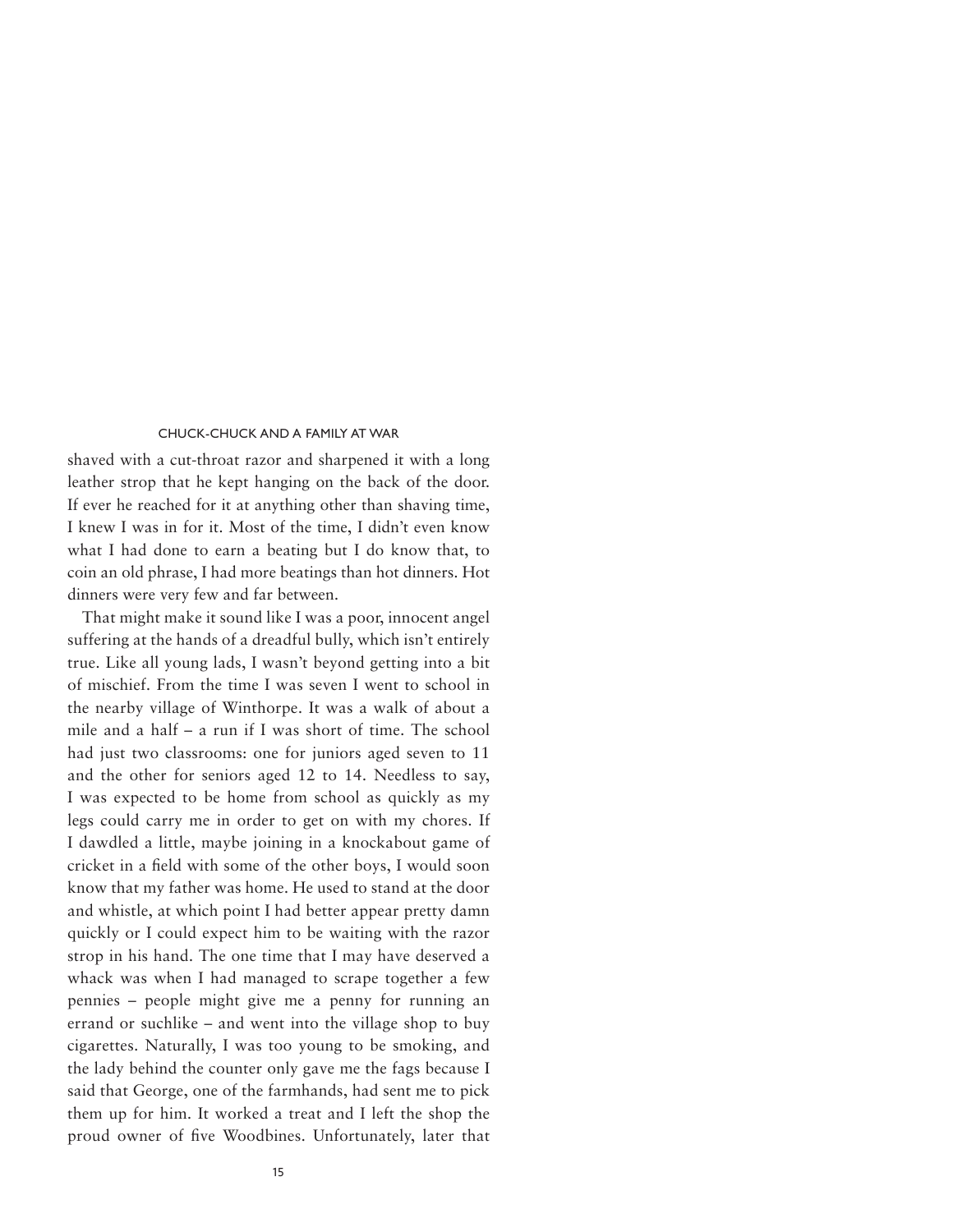# CHUCK-CHUCK AND A FAMILY AT WAR

shaved with a cut-throat razor and sharpened it with a long leather strop that he kept hanging on the back of the door. If ever he reached for it at anything other than shaving time, I knew I was in for it. Most of the time, I didn't even know what I had done to earn a beating but I do know that, to coin an old phrase, I had more beatings than hot dinners. Hot dinners were very few and far between.

 That might make it sound like I was a poor, innocent angel suffering at the hands of a dreadful bully, which isn't entirely true. Like all young lads, I wasn't beyond getting into a bit of mischief. From the time I was seven I went to school in the nearby village of Winthorpe. It was a walk of about a mile and a half – a run if I was short of time. The school had just two classrooms: one for juniors aged seven to 11 and the other for seniors aged 12 to 14. Needless to say, I was expected to be home from school as quickly as my legs could carry me in order to get on with my chores. If I dawdled a little, maybe joining in a knockabout game of cricket in a field with some of the other boys, I would soon know that my father was home. He used to stand at the door and whistle, at which point I had better appear pretty damn quickly or I could expect him to be waiting with the razor strop in his hand. The one time that I may have deserved a whack was when I had managed to scrape together a few pennies – people might give me a penny for running an errand or suchlike – and went into the village shop to buy cigarettes. Naturally, I was too young to be smoking, and the lady behind the counter only gave me the fags because I said that George, one of the farmhands, had sent me to pick them up for him. It worked a treat and I left the shop the proud owner of five Woodbines. Unfortunately, later that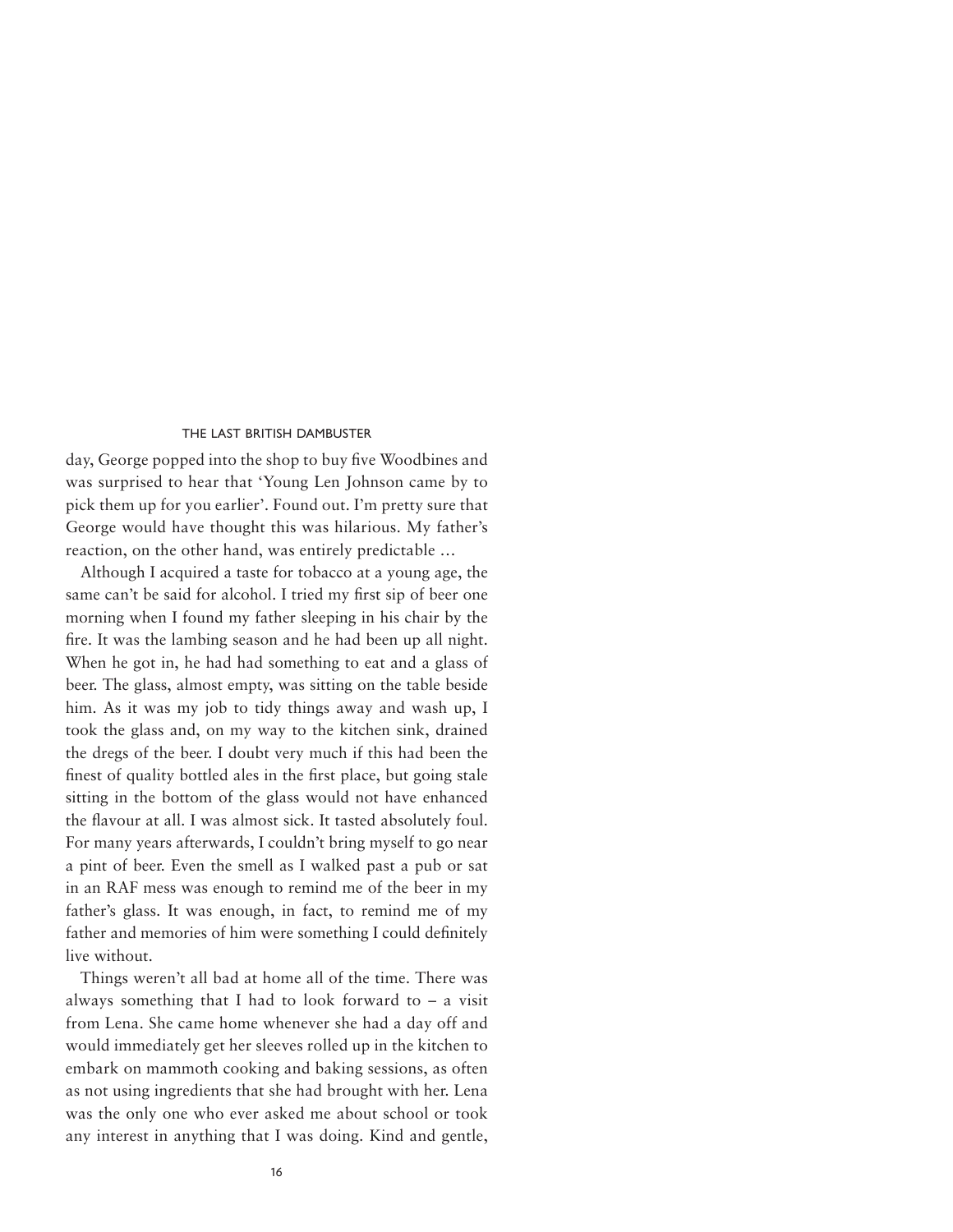day, George popped into the shop to buy five Woodbines and was surprised to hear that 'Young Len Johnson came by to pick them up for you earlier'. Found out. I'm pretty sure that George would have thought this was hilarious. My father's reaction, on the other hand, was entirely predictable …

 Although I acquired a taste for tobacco at a young age, the same can't be said for alcohol. I tried my first sip of beer one morning when I found my father sleeping in his chair by the fire. It was the lambing season and he had been up all night. When he got in, he had had something to eat and a glass of beer. The glass, almost empty, was sitting on the table beside him. As it was my job to tidy things away and wash up, I took the glass and, on my way to the kitchen sink, drained the dregs of the beer. I doubt very much if this had been the finest of quality bottled ales in the first place, but going stale sitting in the bottom of the glass would not have enhanced the flavour at all. I was almost sick. It tasted absolutely foul. For many years afterwards, I couldn't bring myself to go near a pint of beer. Even the smell as I walked past a pub or sat in an RAF mess was enough to remind me of the beer in my father's glass. It was enough, in fact, to remind me of my father and memories of him were something I could definitely live without.

 Things weren't all bad at home all of the time. There was always something that I had to look forward to – a visit from Lena. She came home whenever she had a day off and would immediately get her sleeves rolled up in the kitchen to embark on mammoth cooking and baking sessions, as often as not using ingredients that she had brought with her. Lena was the only one who ever asked me about school or took any interest in anything that I was doing. Kind and gentle,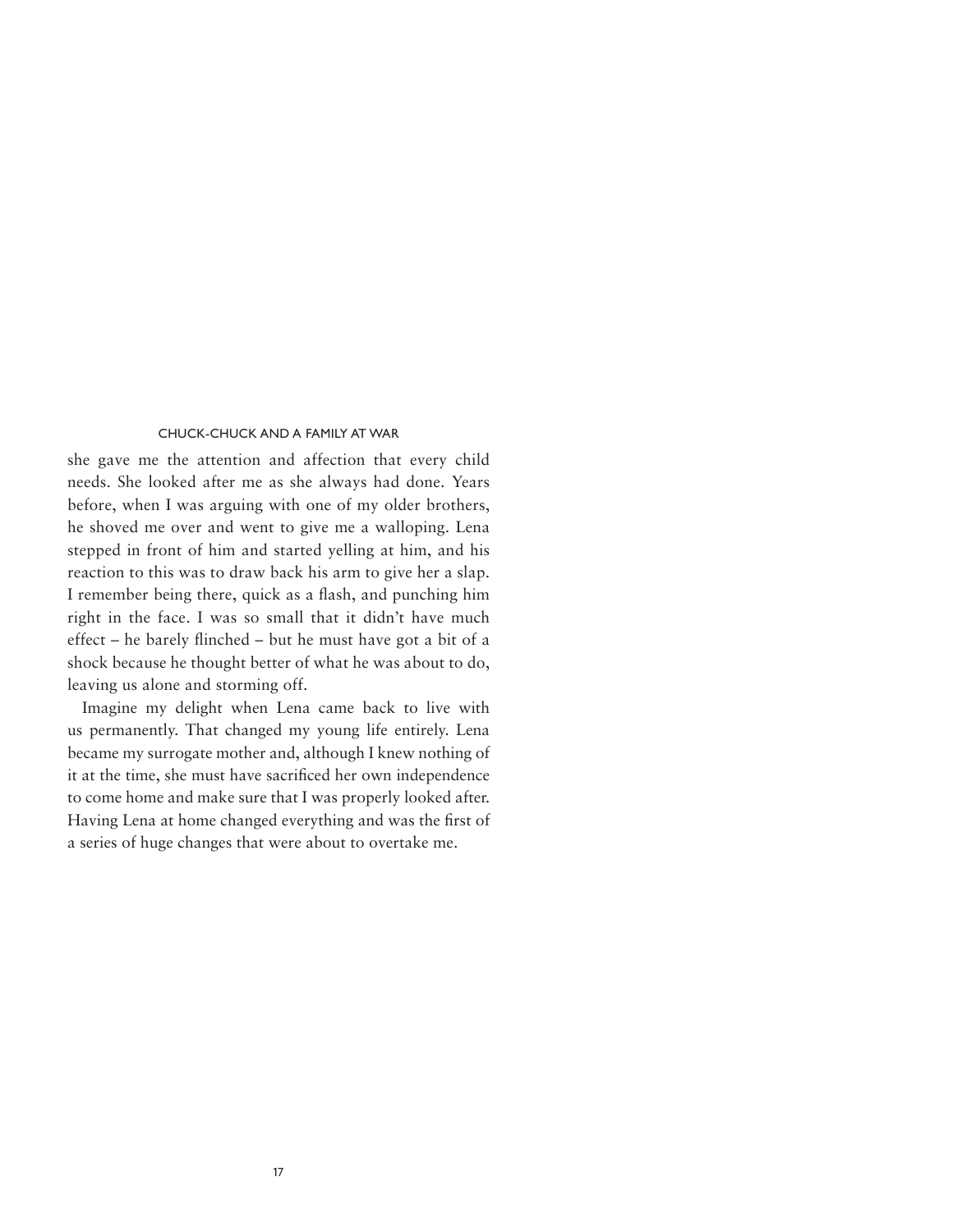## CHUCK-CHUCK AND A FAMILY AT WAR

she gave me the attention and affection that every child needs. She looked after me as she always had done. Years before, when I was arguing with one of my older brothers, he shoved me over and went to give me a walloping. Lena stepped in front of him and started yelling at him, and his reaction to this was to draw back his arm to give her a slap. I remember being there, quick as a flash, and punching him right in the face. I was so small that it didn't have much effect – he barely flinched – but he must have got a bit of a shock because he thought better of what he was about to do, leaving us alone and storming off.

 Imagine my delight when Lena came back to live with us permanently. That changed my young life entirely. Lena became my surrogate mother and, although I knew nothing of it at the time, she must have sacrificed her own independence to come home and make sure that I was properly looked after. Having Lena at home changed everything and was the first of a series of huge changes that were about to overtake me.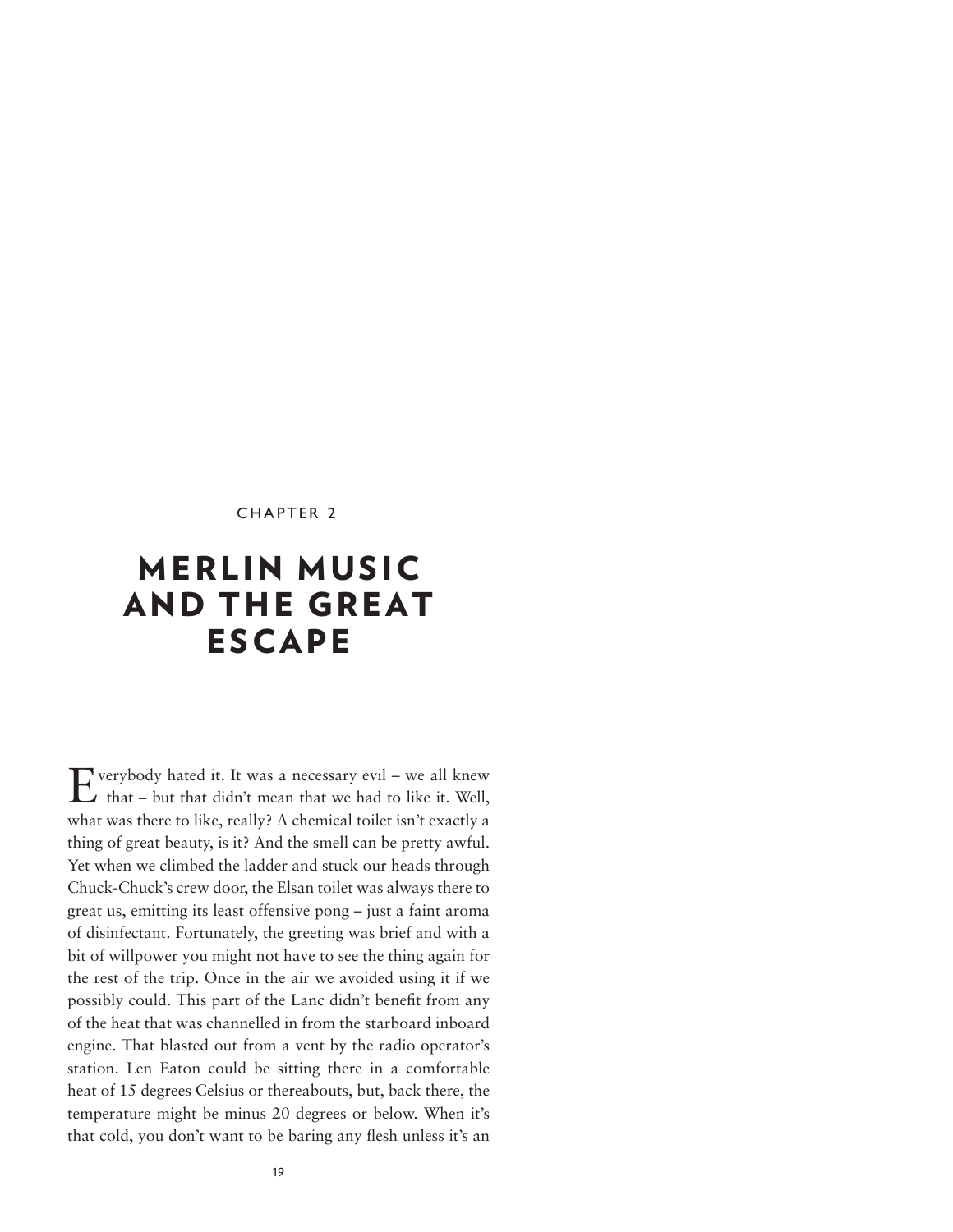# CHAPTER 2

# **MERLIN MUSIC AND THE GREAT** ESCAPE

Everybody hated it. It was a necessary evil – we all knew that – but that didn't mean that we had to like it. Well, what was there to like, really? A chemical toilet isn't exactly a thing of great beauty, is it? And the smell can be pretty awful. Yet when we climbed the ladder and stuck our heads through Chuck-Chuck's crew door, the Elsan toilet was always there to great us, emitting its least offensive pong – just a faint aroma of disinfectant. Fortunately, the greeting was brief and with a bit of willpower you might not have to see the thing again for the rest of the trip. Once in the air we avoided using it if we possibly could. This part of the Lanc didn't benefit from any of the heat that was channelled in from the starboard inboard engine. That blasted out from a vent by the radio operator's station. Len Eaton could be sitting there in a comfortable heat of 15 degrees Celsius or thereabouts, but, back there, the temperature might be minus 20 degrees or below. When it's that cold, you don't want to be baring any flesh unless it's an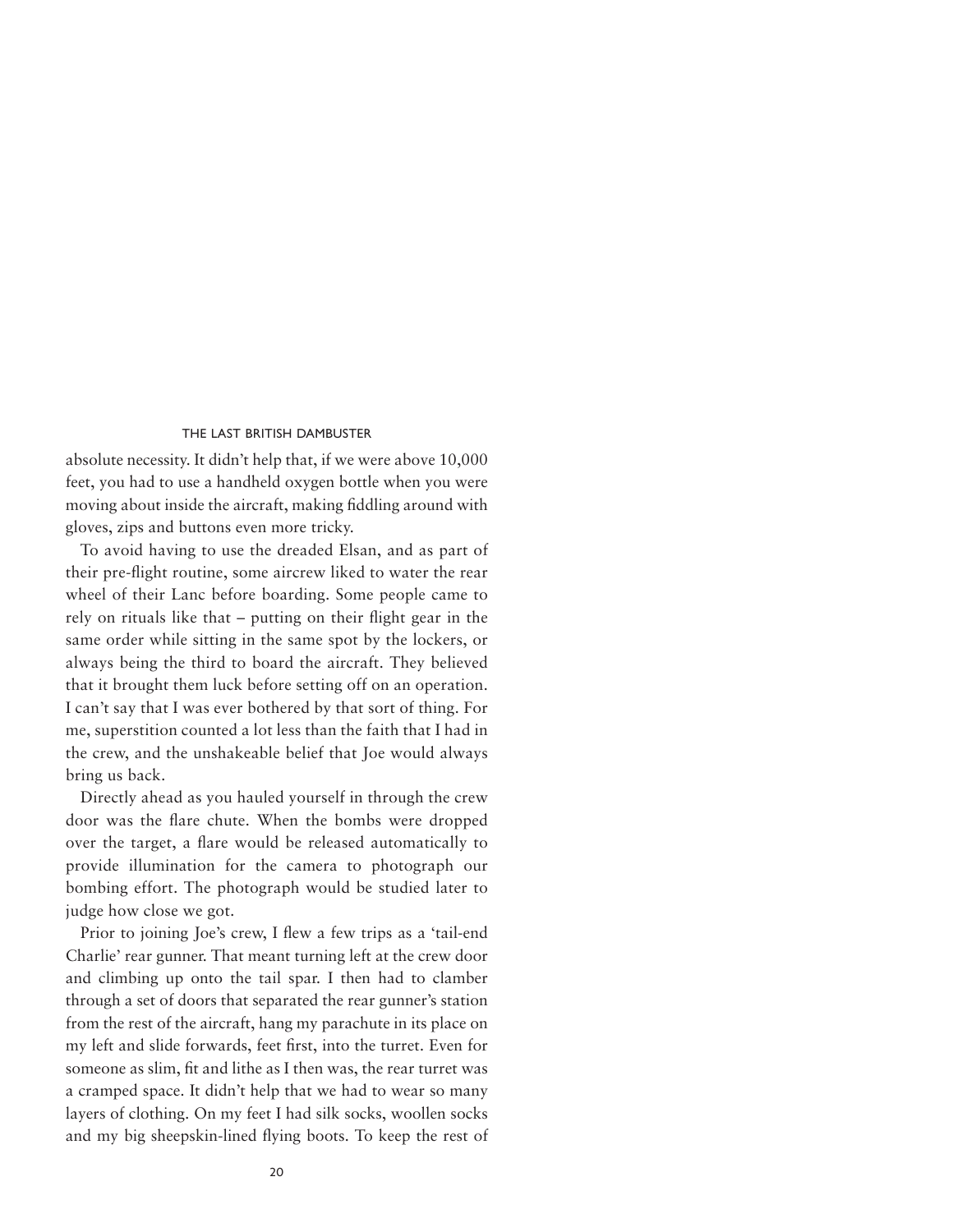absolute necessity. It didn't help that, if we were above 10,000 feet, you had to use a handheld oxygen bottle when you were moving about inside the aircraft, making fiddling around with gloves, zips and buttons even more tricky.

 To avoid having to use the dreaded Elsan, and as part of their pre-flight routine, some aircrew liked to water the rear wheel of their Lanc before boarding. Some people came to rely on rituals like that  $-$  putting on their flight gear in the same order while sitting in the same spot by the lockers, or always being the third to board the aircraft. They believed that it brought them luck before setting off on an operation. I can't say that I was ever bothered by that sort of thing. For me, superstition counted a lot less than the faith that I had in the crew, and the unshakeable belief that Joe would always bring us back.

 Directly ahead as you hauled yourself in through the crew door was the flare chute. When the bombs were dropped over the target, a flare would be released automatically to provide illumination for the camera to photograph our bombing effort. The photograph would be studied later to judge how close we got.

Prior to joining Joe's crew, I flew a few trips as a 'tail-end Charlie' rear gunner. That meant turning left at the crew door and climbing up onto the tail spar. I then had to clamber through a set of doors that separated the rear gunner's station from the rest of the aircraft, hang my parachute in its place on my left and slide forwards, feet first, into the turret. Even for someone as slim, fit and lithe as I then was, the rear turret was a cramped space. It didn't help that we had to wear so many layers of clothing. On my feet I had silk socks, woollen socks and my big sheepskin-lined flying boots. To keep the rest of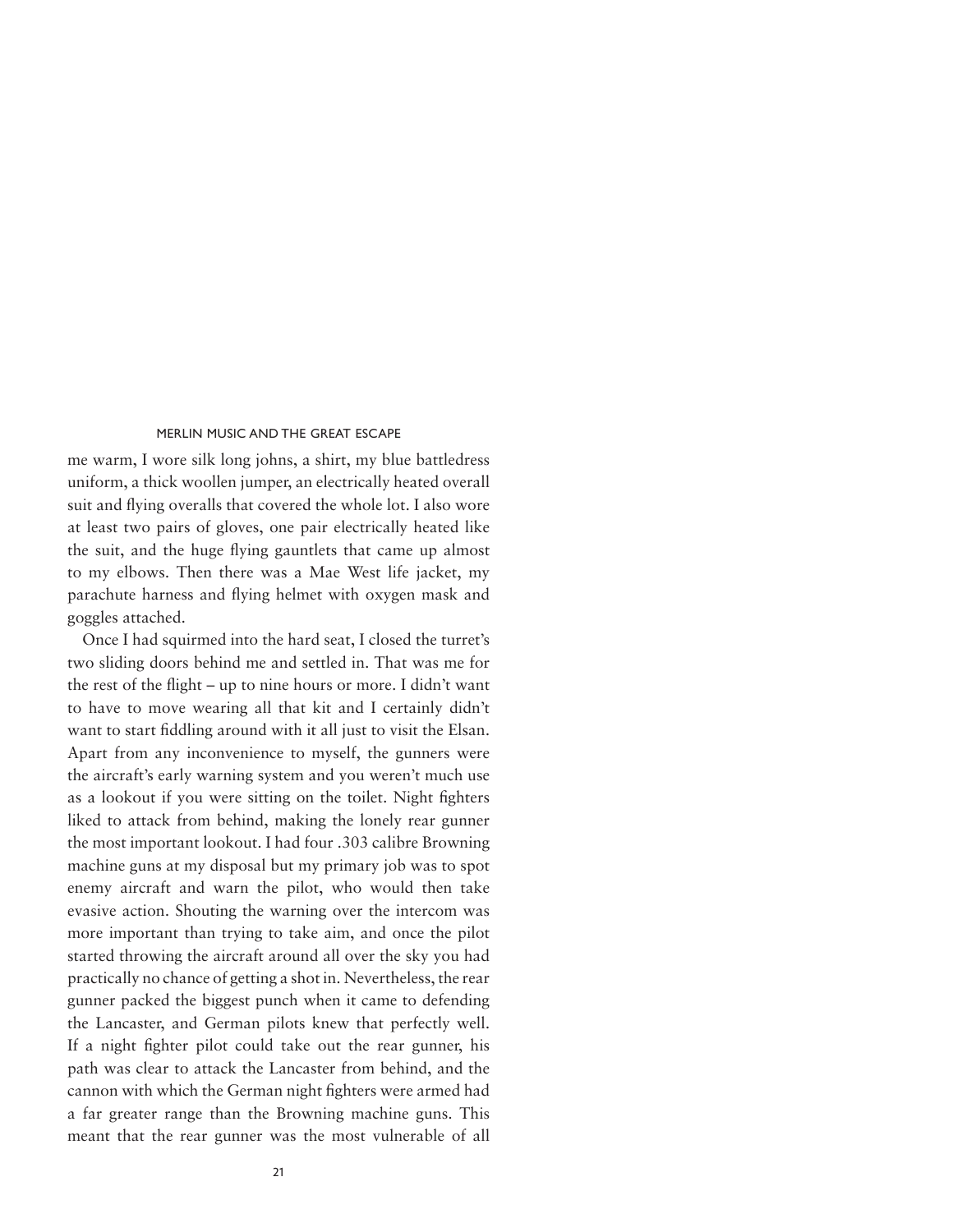me warm, I wore silk long johns, a shirt, my blue battledress uniform, a thick woollen jumper, an electrically heated overall suit and flying overalls that covered the whole lot. I also wore at least two pairs of gloves, one pair electrically heated like the suit, and the huge flying gauntlets that came up almost to my elbows. Then there was a Mae West life jacket, my parachute harness and flying helmet with oxygen mask and goggles attached.

 Once I had squirmed into the hard seat, I closed the turret's two sliding doors behind me and settled in. That was me for the rest of the flight – up to nine hours or more. I didn't want to have to move wearing all that kit and I certainly didn't want to start fiddling around with it all just to visit the Elsan. Apart from any inconvenience to myself, the gunners were the aircraft's early warning system and you weren't much use as a lookout if you were sitting on the toilet. Night fighters liked to attack from behind, making the lonely rear gunner the most important lookout. I had four .303 calibre Browning machine guns at my disposal but my primary job was to spot enemy aircraft and warn the pilot, who would then take evasive action. Shouting the warning over the intercom was more important than trying to take aim, and once the pilot started throwing the aircraft around all over the sky you had practically no chance of getting a shot in. Nevertheless, the rear gunner packed the biggest punch when it came to defending the Lancaster, and German pilots knew that perfectly well. If a night fighter pilot could take out the rear gunner, his path was clear to attack the Lancaster from behind, and the cannon with which the German night fighters were armed had a far greater range than the Browning machine guns. This meant that the rear gunner was the most vulnerable of all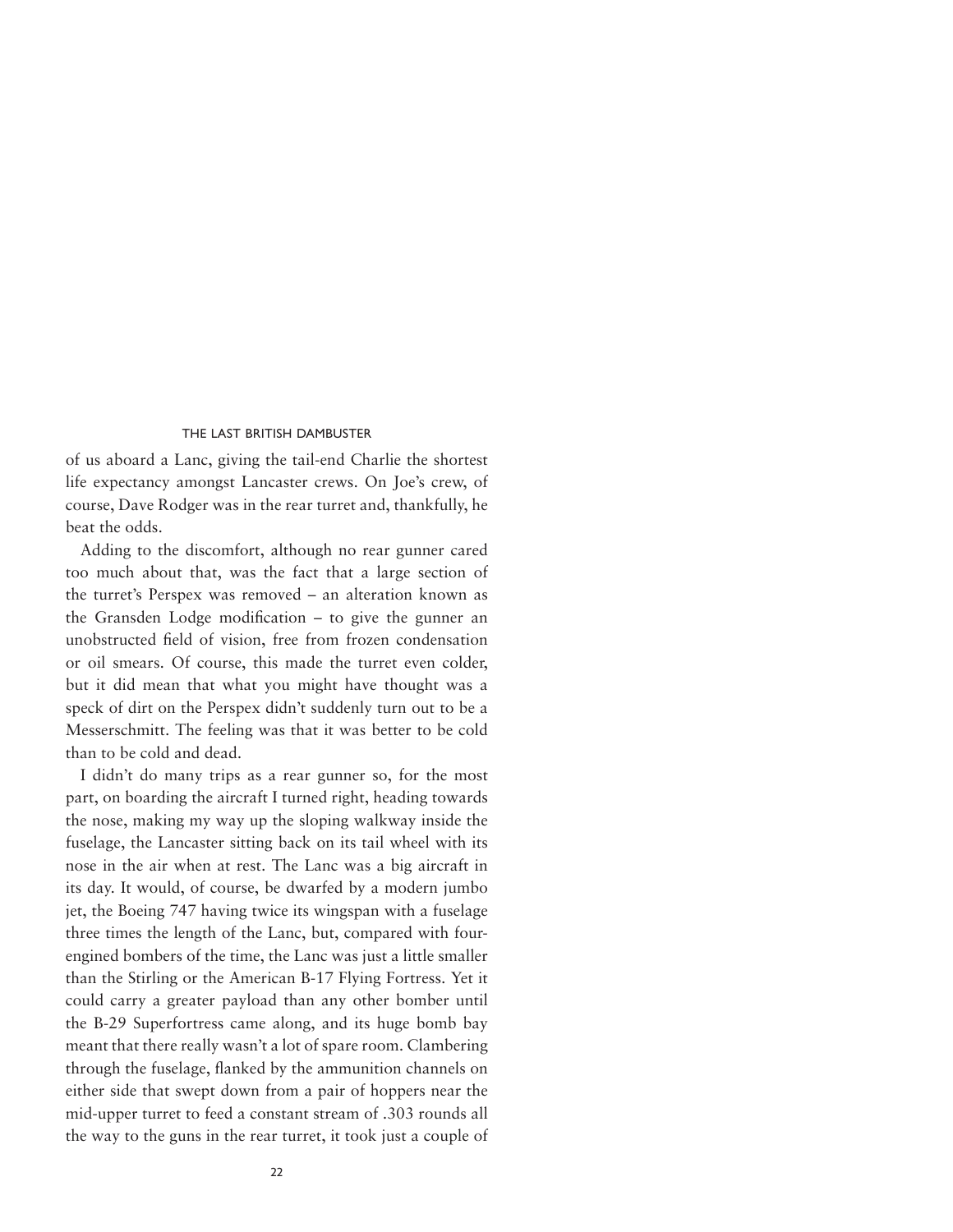of us aboard a Lanc, giving the tail-end Charlie the shortest life expectancy amongst Lancaster crews. On Joe's crew, of course, Dave Rodger was in the rear turret and, thankfully, he beat the odds.

 Adding to the discomfort, although no rear gunner cared too much about that, was the fact that a large section of the turret's Perspex was removed – an alteration known as the Gransden Lodge modification  $-$  to give the gunner an unobstructed field of vision, free from frozen condensation or oil smears. Of course, this made the turret even colder, but it did mean that what you might have thought was a speck of dirt on the Perspex didn't suddenly turn out to be a Messerschmitt. The feeling was that it was better to be cold than to be cold and dead.

 I didn't do many trips as a rear gunner so, for the most part, on boarding the aircraft I turned right, heading towards the nose, making my way up the sloping walkway inside the fuselage, the Lancaster sitting back on its tail wheel with its nose in the air when at rest. The Lanc was a big aircraft in its day. It would, of course, be dwarfed by a modern jumbo jet, the Boeing 747 having twice its wingspan with a fuselage three times the length of the Lanc, but, compared with fourengined bombers of the time, the Lanc was just a little smaller than the Stirling or the American B-17 Flying Fortress. Yet it could carry a greater payload than any other bomber until the B-29 Superfortress came along, and its huge bomb bay meant that there really wasn't a lot of spare room. Clambering through the fuselage, flanked by the ammunition channels on either side that swept down from a pair of hoppers near the mid-upper turret to feed a constant stream of .303 rounds all the way to the guns in the rear turret, it took just a couple of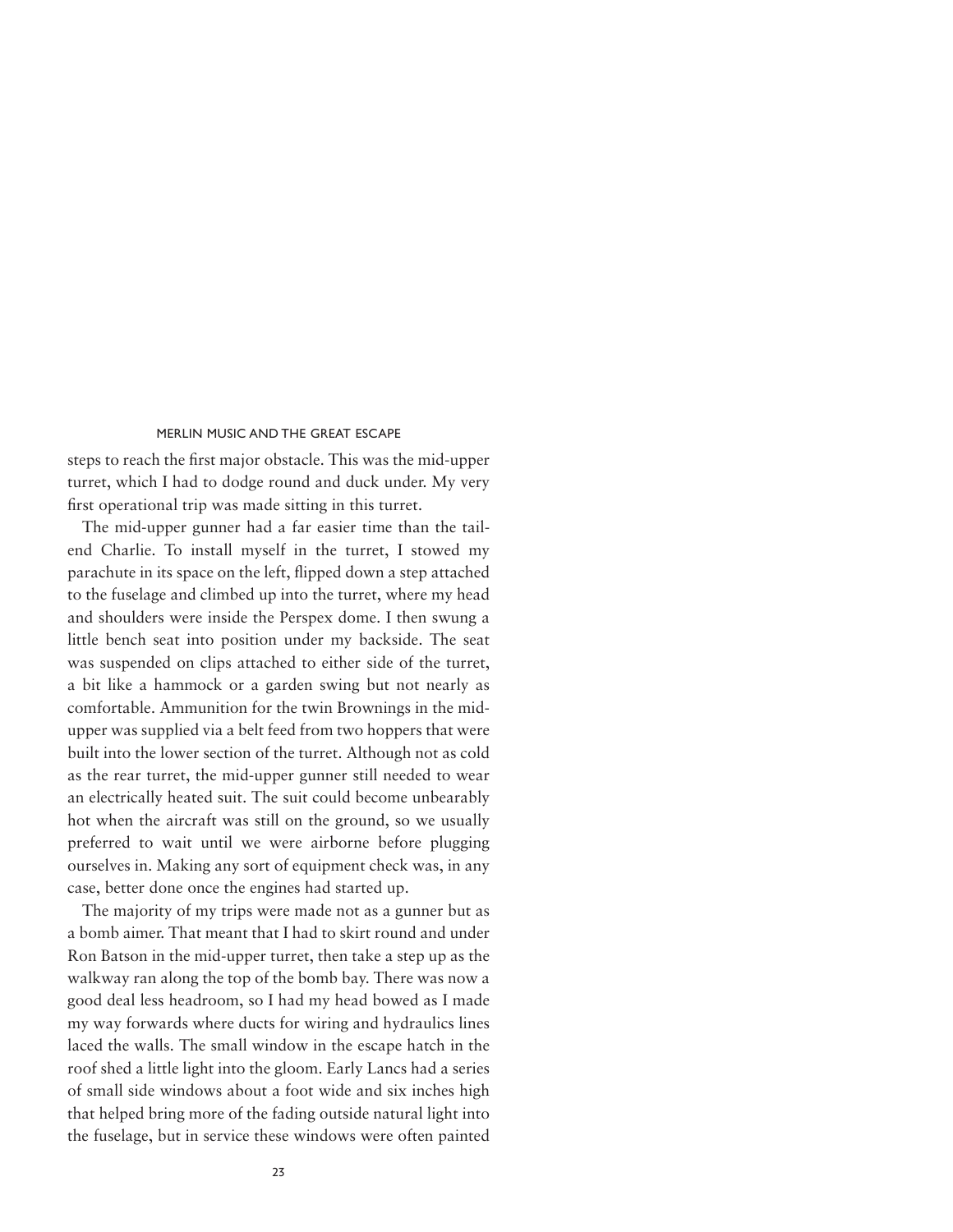steps to reach the first major obstacle. This was the mid-upper turret, which I had to dodge round and duck under. My very first operational trip was made sitting in this turret.

 The mid-upper gunner had a far easier time than the tailend Charlie. To install myself in the turret, I stowed my parachute in its space on the left, flipped down a step attached to the fuselage and climbed up into the turret, where my head and shoulders were inside the Perspex dome. I then swung a little bench seat into position under my backside. The seat was suspended on clips attached to either side of the turret, a bit like a hammock or a garden swing but not nearly as comfortable. Ammunition for the twin Brownings in the midupper was supplied via a belt feed from two hoppers that were built into the lower section of the turret. Although not as cold as the rear turret, the mid-upper gunner still needed to wear an electrically heated suit. The suit could become unbearably hot when the aircraft was still on the ground, so we usually preferred to wait until we were airborne before plugging ourselves in. Making any sort of equipment check was, in any case, better done once the engines had started up.

 The majority of my trips were made not as a gunner but as a bomb aimer. That meant that I had to skirt round and under Ron Batson in the mid-upper turret, then take a step up as the walkway ran along the top of the bomb bay. There was now a good deal less headroom, so I had my head bowed as I made my way forwards where ducts for wiring and hydraulics lines laced the walls. The small window in the escape hatch in the roof shed a little light into the gloom. Early Lancs had a series of small side windows about a foot wide and six inches high that helped bring more of the fading outside natural light into the fuselage, but in service these windows were often painted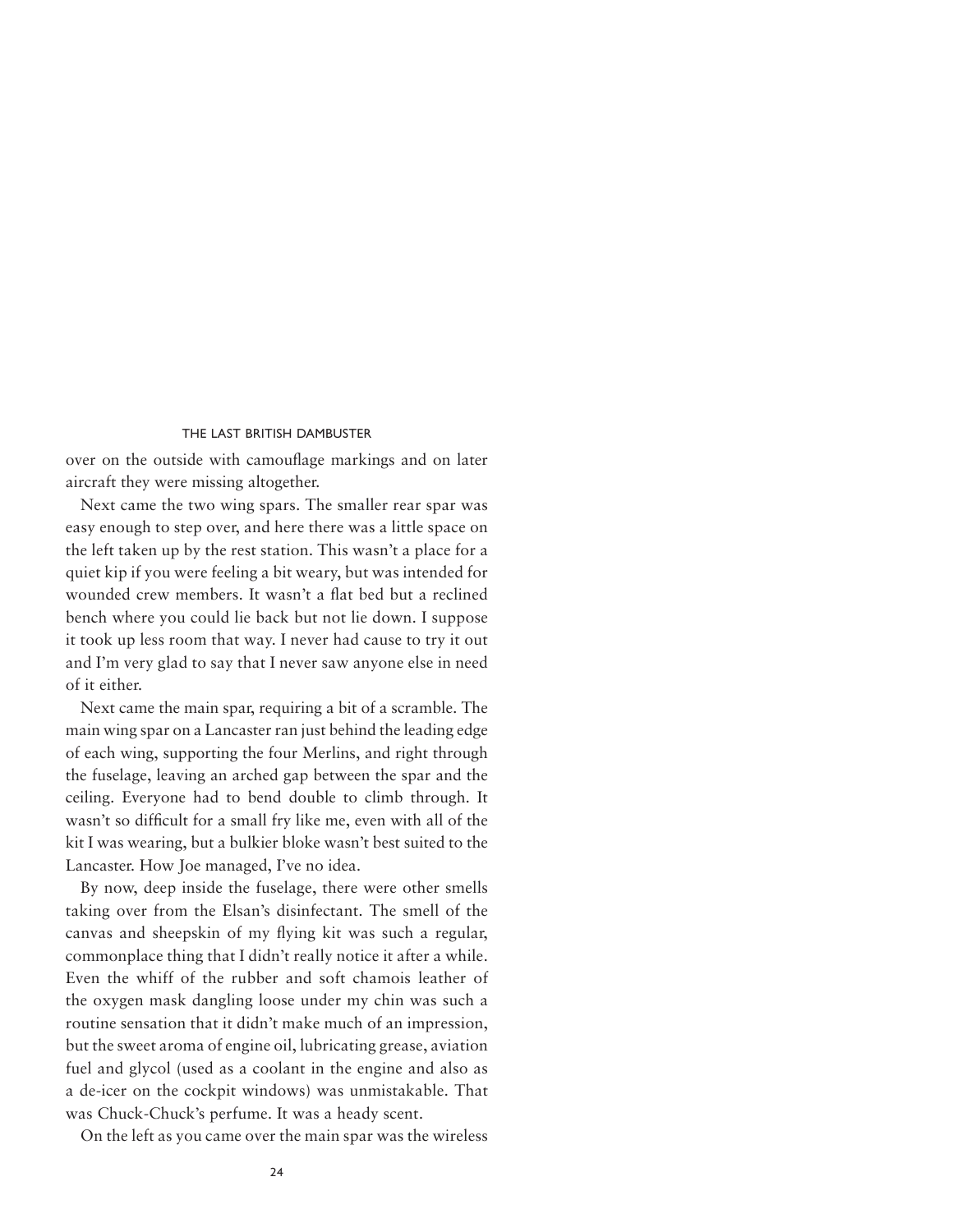over on the outside with camouflage markings and on later aircraft they were missing altogether.

 Next came the two wing spars. The smaller rear spar was easy enough to step over, and here there was a little space on the left taken up by the rest station. This wasn't a place for a quiet kip if you were feeling a bit weary, but was intended for wounded crew members. It wasn't a flat bed but a reclined bench where you could lie back but not lie down. I suppose it took up less room that way. I never had cause to try it out and I'm very glad to say that I never saw anyone else in need of it either.

 Next came the main spar, requiring a bit of a scramble. The main wing spar on a Lancaster ran just behind the leading edge of each wing, supporting the four Merlins, and right through the fuselage, leaving an arched gap between the spar and the ceiling. Everyone had to bend double to climb through. It wasn't so difficult for a small fry like me, even with all of the kit I was wearing, but a bulkier bloke wasn't best suited to the Lancaster. How Joe managed, I've no idea.

 By now, deep inside the fuselage, there were other smells taking over from the Elsan's disinfectant. The smell of the canvas and sheepskin of my flying kit was such a regular, commonplace thing that I didn't really notice it after a while. Even the whiff of the rubber and soft chamois leather of the oxygen mask dangling loose under my chin was such a routine sensation that it didn't make much of an impression, but the sweet aroma of engine oil, lubricating grease, aviation fuel and glycol (used as a coolant in the engine and also as a de-icer on the cockpit windows) was unmistakable. That was Chuck-Chuck's perfume. It was a heady scent.

On the left as you came over the main spar was the wireless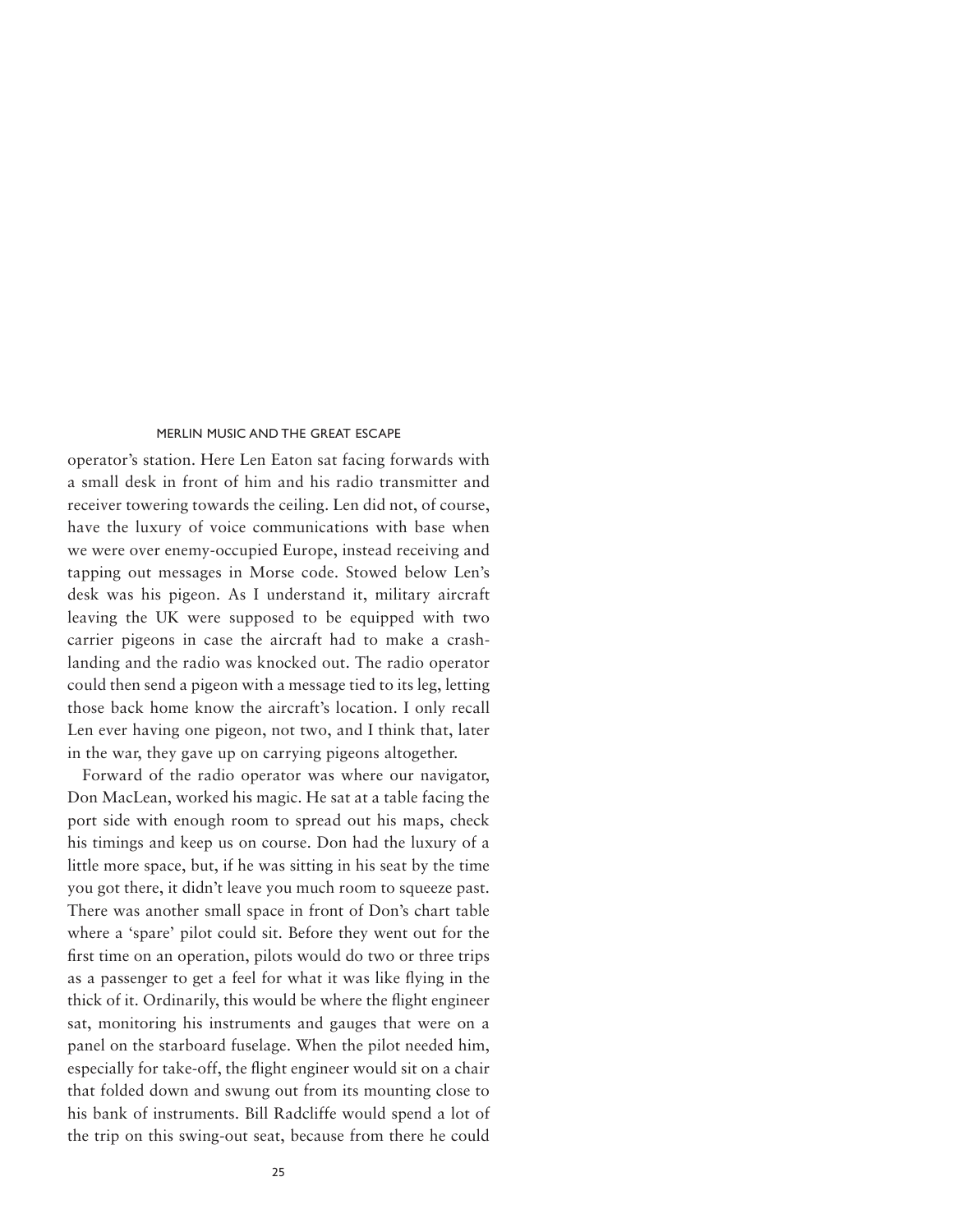operator's station. Here Len Eaton sat facing forwards with a small desk in front of him and his radio transmitter and receiver towering towards the ceiling. Len did not, of course, have the luxury of voice communications with base when we were over enemy-occupied Europe, instead receiving and tapping out messages in Morse code. Stowed below Len's desk was his pigeon. As I understand it, military aircraft leaving the UK were supposed to be equipped with two carrier pigeons in case the aircraft had to make a crashlanding and the radio was knocked out. The radio operator could then send a pigeon with a message tied to its leg, letting those back home know the aircraft's location. I only recall Len ever having one pigeon, not two, and I think that, later in the war, they gave up on carrying pigeons altogether.

 Forward of the radio operator was where our navigator, Don MacLean, worked his magic. He sat at a table facing the port side with enough room to spread out his maps, check his timings and keep us on course. Don had the luxury of a little more space, but, if he was sitting in his seat by the time you got there, it didn't leave you much room to squeeze past. There was another small space in front of Don's chart table where a 'spare' pilot could sit. Before they went out for the first time on an operation, pilots would do two or three trips as a passenger to get a feel for what it was like flying in the thick of it. Ordinarily, this would be where the flight engineer sat, monitoring his instruments and gauges that were on a panel on the starboard fuselage. When the pilot needed him, especially for take-off, the flight engineer would sit on a chair that folded down and swung out from its mounting close to his bank of instruments. Bill Radcliffe would spend a lot of the trip on this swing-out seat, because from there he could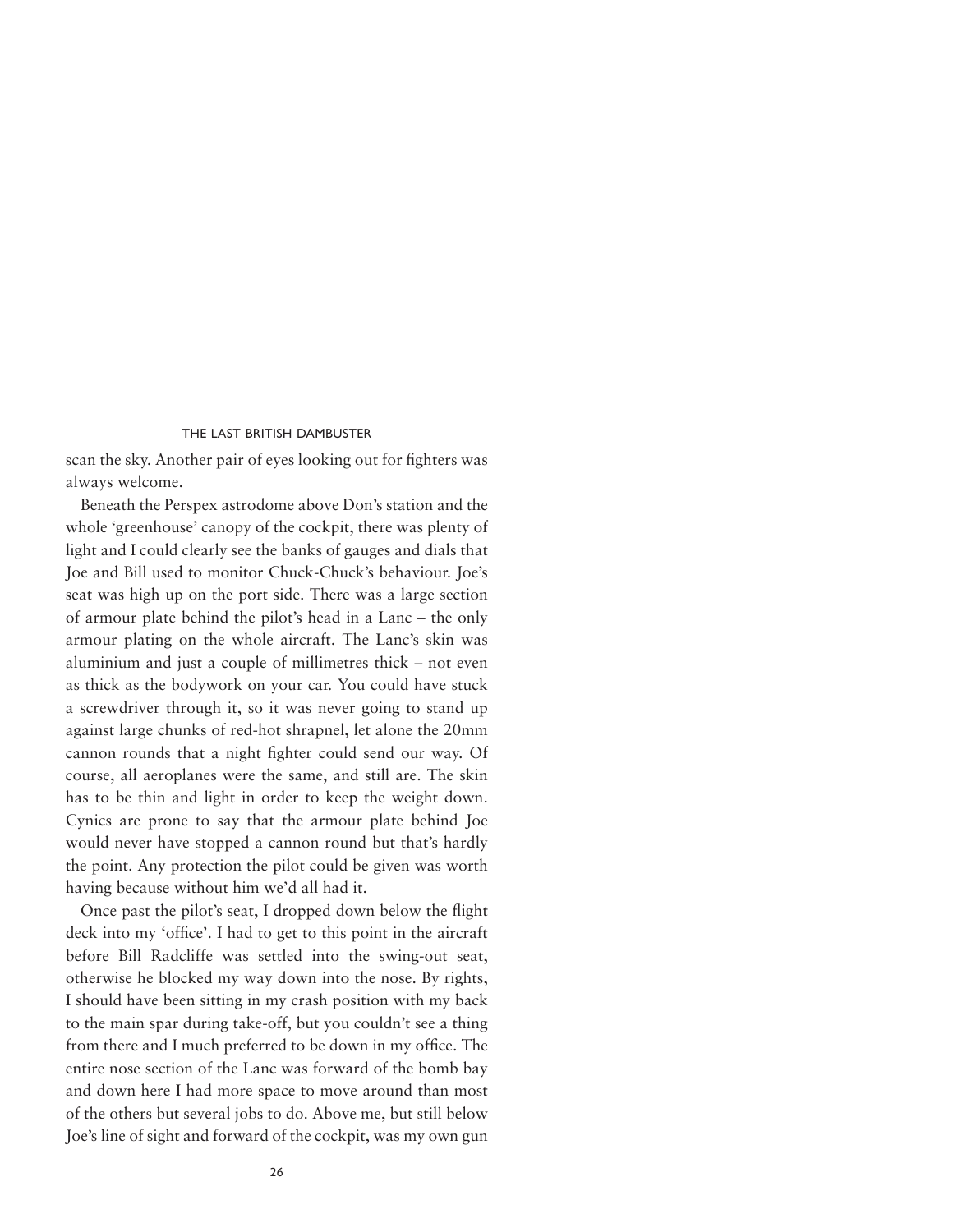scan the sky. Another pair of eyes looking out for fighters was always welcome.

 Beneath the Perspex astrodome above Don's station and the whole 'greenhouse' canopy of the cockpit, there was plenty of light and I could clearly see the banks of gauges and dials that Joe and Bill used to monitor Chuck-Chuck's behaviour. Joe's seat was high up on the port side. There was a large section of armour plate behind the pilot's head in a Lanc – the only armour plating on the whole aircraft. The Lanc's skin was aluminium and just a couple of millimetres thick – not even as thick as the bodywork on your car. You could have stuck a screwdriver through it, so it was never going to stand up against large chunks of red-hot shrapnel, let alone the 20mm cannon rounds that a night fighter could send our way. Of course, all aeroplanes were the same, and still are. The skin has to be thin and light in order to keep the weight down. Cynics are prone to say that the armour plate behind Joe would never have stopped a cannon round but that's hardly the point. Any protection the pilot could be given was worth having because without him we'd all had it.

Once past the pilot's seat, I dropped down below the flight deck into my 'office'. I had to get to this point in the aircraft before Bill Radcliffe was settled into the swing-out seat, otherwise he blocked my way down into the nose. By rights, I should have been sitting in my crash position with my back to the main spar during take-off, but you couldn't see a thing from there and I much preferred to be down in my office. The entire nose section of the Lanc was forward of the bomb bay and down here I had more space to move around than most of the others but several jobs to do. Above me, but still below Joe's line of sight and forward of the cockpit, was my own gun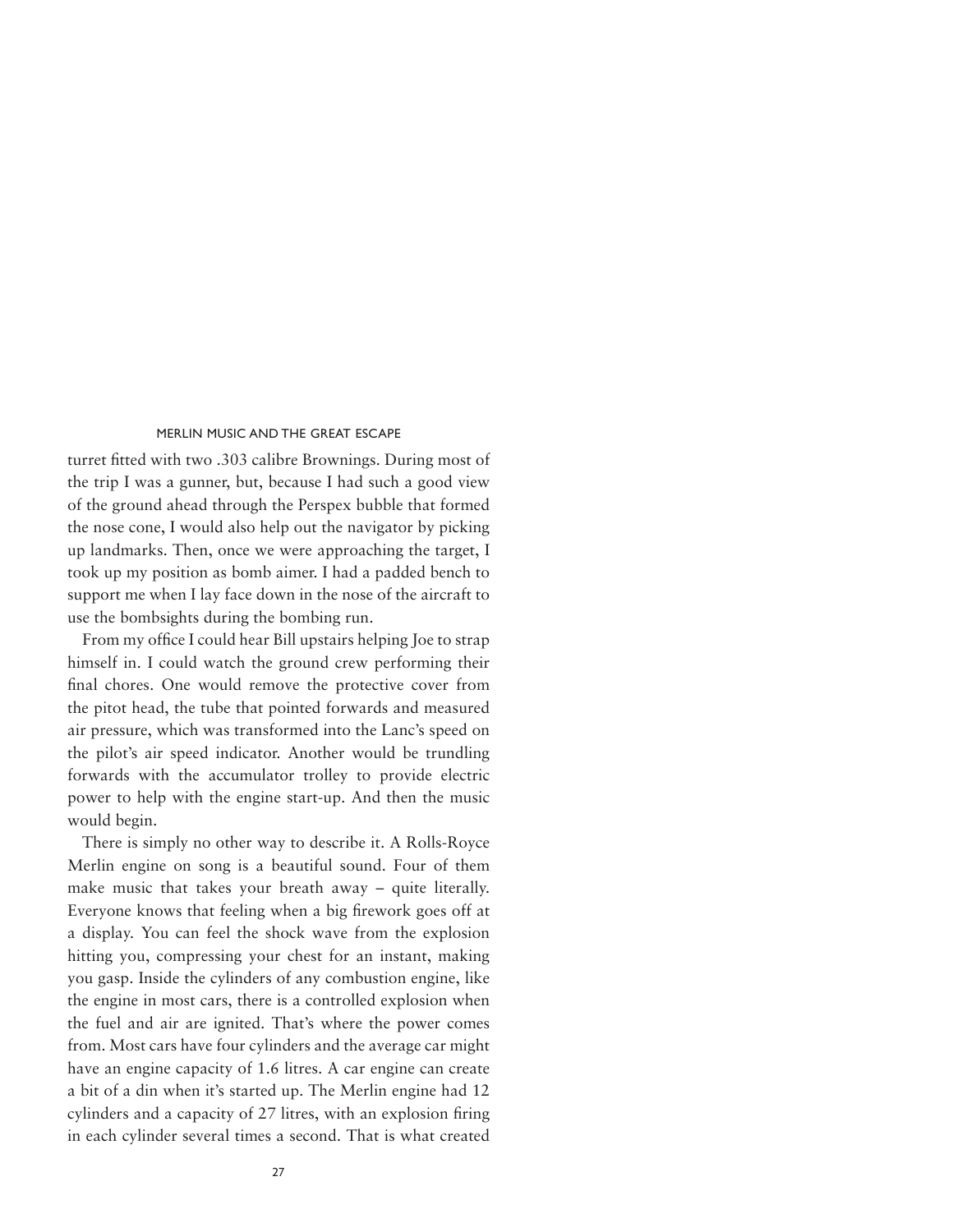turret fitted with two .303 calibre Brownings. During most of the trip I was a gunner, but, because I had such a good view of the ground ahead through the Perspex bubble that formed the nose cone, I would also help out the navigator by picking up landmarks. Then, once we were approaching the target, I took up my position as bomb aimer. I had a padded bench to support me when I lay face down in the nose of the aircraft to use the bombsights during the bombing run.

From my office I could hear Bill upstairs helping Joe to strap himself in. I could watch the ground crew performing their final chores. One would remove the protective cover from the pitot head, the tube that pointed forwards and measured air pressure, which was transformed into the Lanc's speed on the pilot's air speed indicator. Another would be trundling forwards with the accumulator trolley to provide electric power to help with the engine start-up. And then the music would begin.

 There is simply no other way to describe it. A Rolls-Royce Merlin engine on song is a beautiful sound. Four of them make music that takes your breath away – quite literally. Everyone knows that feeling when a big firework goes off at a display. You can feel the shock wave from the explosion hitting you, compressing your chest for an instant, making you gasp. Inside the cylinders of any combustion engine, like the engine in most cars, there is a controlled explosion when the fuel and air are ignited. That's where the power comes from. Most cars have four cylinders and the average car might have an engine capacity of 1.6 litres. A car engine can create a bit of a din when it's started up. The Merlin engine had 12 cylinders and a capacity of 27 litres, with an explosion firing in each cylinder several times a second. That is what created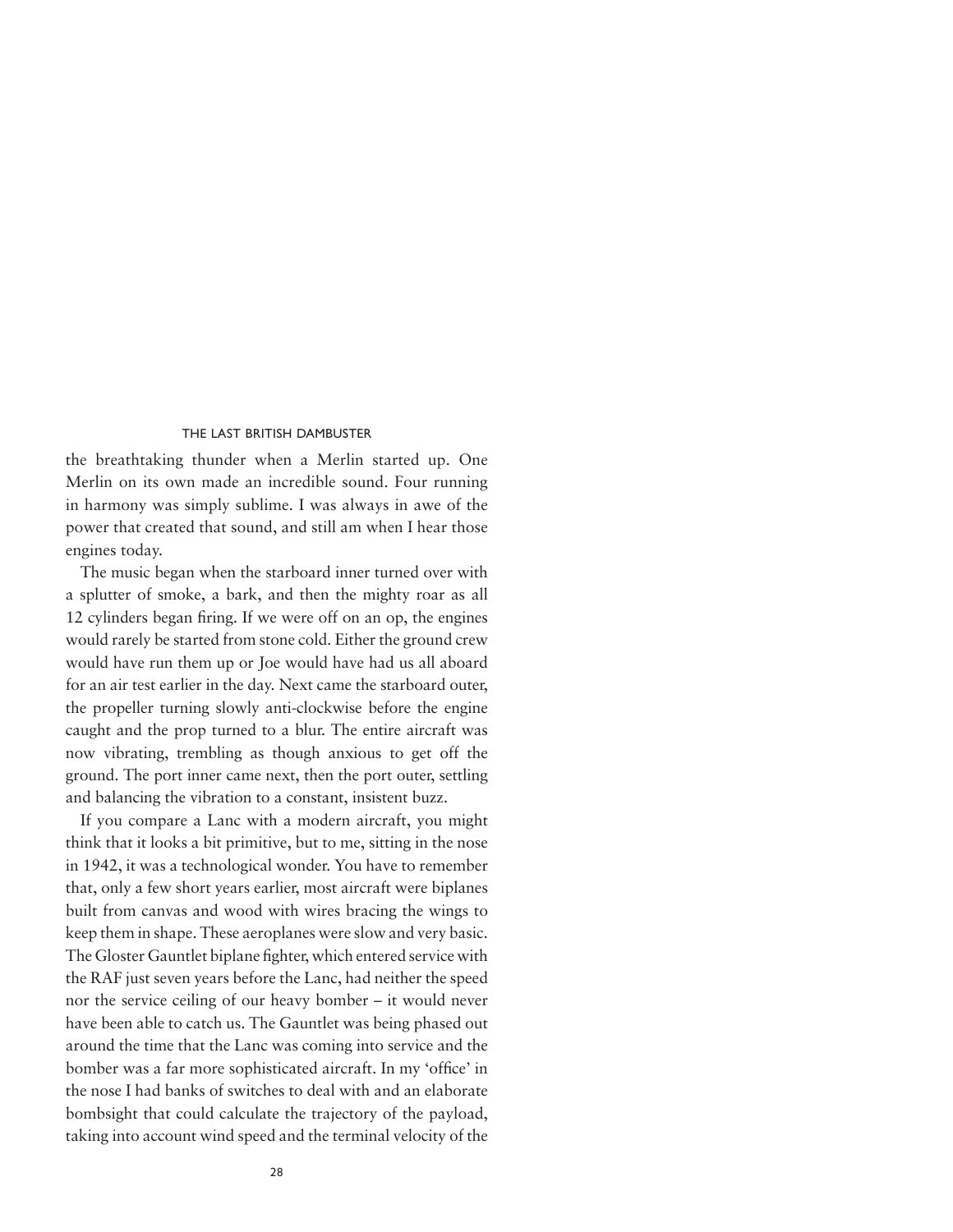the breathtaking thunder when a Merlin started up. One Merlin on its own made an incredible sound. Four running in harmony was simply sublime. I was always in awe of the power that created that sound, and still am when I hear those engines today.

 The music began when the starboard inner turned over with a splutter of smoke, a bark, and then the mighty roar as all 12 cylinders began firing. If we were off on an op, the engines would rarely be started from stone cold. Either the ground crew would have run them up or Joe would have had us all aboard for an air test earlier in the day. Next came the starboard outer, the propeller turning slowly anti-clockwise before the engine caught and the prop turned to a blur. The entire aircraft was now vibrating, trembling as though anxious to get off the ground. The port inner came next, then the port outer, settling and balancing the vibration to a constant, insistent buzz.

 If you compare a Lanc with a modern aircraft, you might think that it looks a bit primitive, but to me, sitting in the nose in 1942, it was a technological wonder. You have to remember that, only a few short years earlier, most aircraft were biplanes built from canvas and wood with wires bracing the wings to keep them in shape. These aeroplanes were slow and very basic. The Gloster Gauntlet biplane fighter, which entered service with the RAF just seven years before the Lanc, had neither the speed nor the service ceiling of our heavy bomber – it would never have been able to catch us. The Gauntlet was being phased out around the time that the Lanc was coming into service and the bomber was a far more sophisticated aircraft. In my 'office' in the nose I had banks of switches to deal with and an elaborate bombsight that could calculate the trajectory of the payload, taking into account wind speed and the terminal velocity of the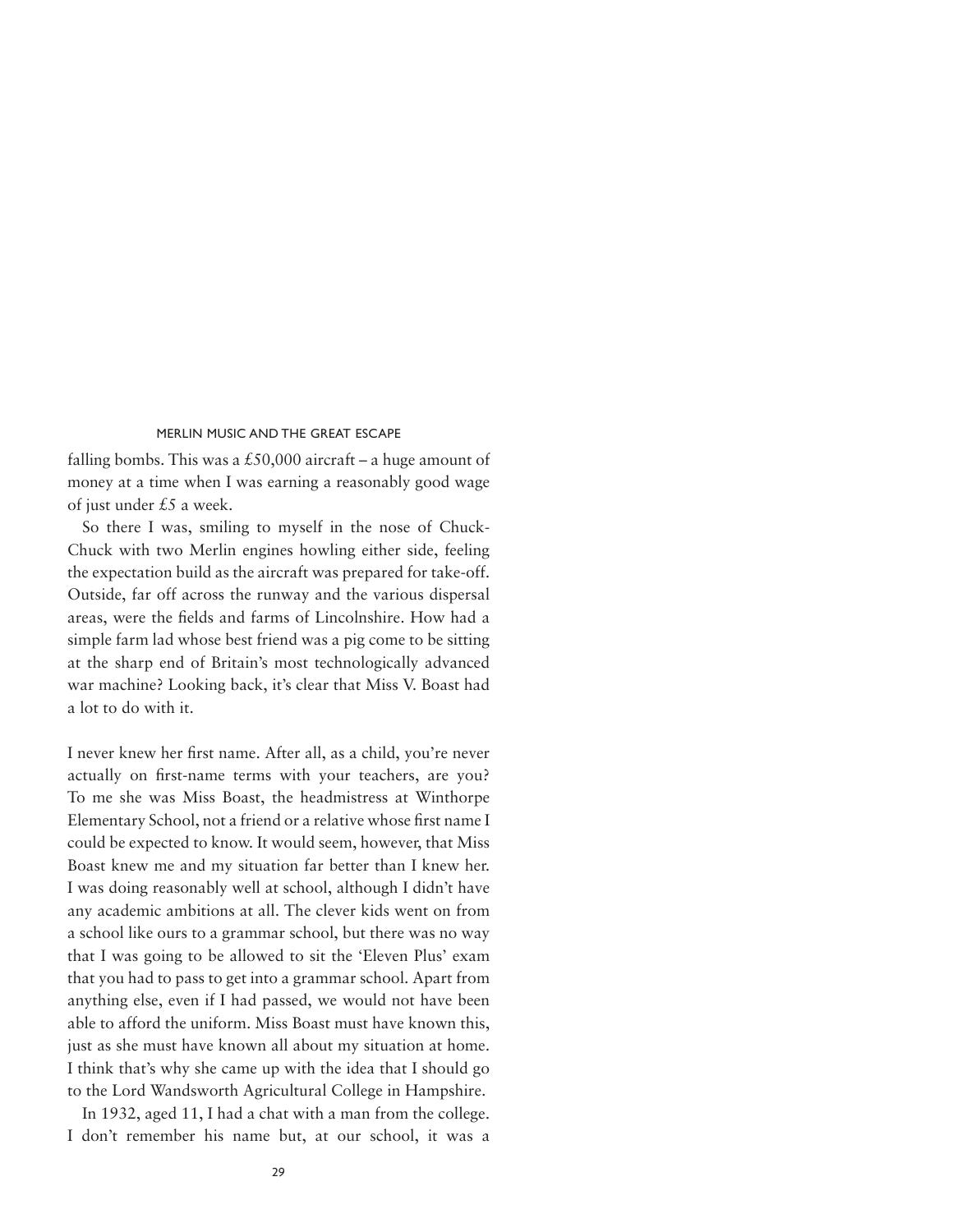falling bombs. This was a £50,000 aircraft – a huge amount of money at a time when I was earning a reasonably good wage of just under £5 a week.

 So there I was, smiling to myself in the nose of Chuck-Chuck with two Merlin engines howling either side, feeling the expectation build as the aircraft was prepared for take-off. Outside, far off across the runway and the various dispersal areas, were the fields and farms of Lincolnshire. How had a simple farm lad whose best friend was a pig come to be sitting at the sharp end of Britain's most technologically advanced war machine? Looking back, it's clear that Miss V. Boast had a lot to do with it.

I never knew her first name. After all, as a child, you're never actually on first-name terms with your teachers, are you? To me she was Miss Boast, the headmistress at Winthorpe Elementary School, not a friend or a relative whose first name I could be expected to know. It would seem, however, that Miss Boast knew me and my situation far better than I knew her. I was doing reasonably well at school, although I didn't have any academic ambitions at all. The clever kids went on from a school like ours to a grammar school, but there was no way that I was going to be allowed to sit the 'Eleven Plus' exam that you had to pass to get into a grammar school. Apart from anything else, even if I had passed, we would not have been able to afford the uniform. Miss Boast must have known this, just as she must have known all about my situation at home. I think that's why she came up with the idea that I should go to the Lord Wandsworth Agricultural College in Hampshire.

 In 1932, aged 11, I had a chat with a man from the college. I don't remember his name but, at our school, it was a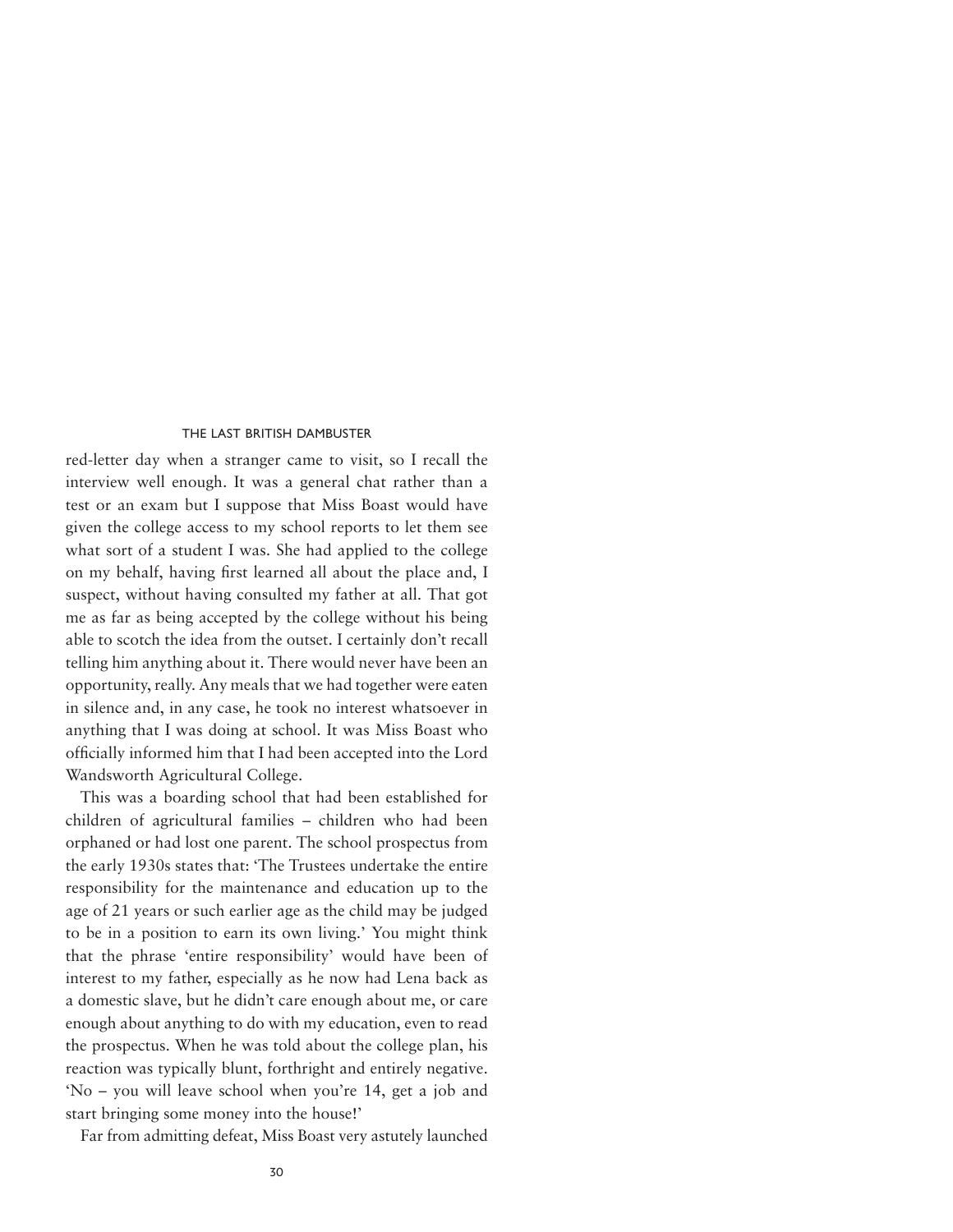red-letter day when a stranger came to visit, so I recall the interview well enough. It was a general chat rather than a test or an exam but I suppose that Miss Boast would have given the college access to my school reports to let them see what sort of a student I was. She had applied to the college on my behalf, having first learned all about the place and, I suspect, without having consulted my father at all. That got me as far as being accepted by the college without his being able to scotch the idea from the outset. I certainly don't recall telling him anything about it. There would never have been an opportunity, really. Any meals that we had together were eaten in silence and, in any case, he took no interest whatsoever in anything that I was doing at school. It was Miss Boast who officially informed him that I had been accepted into the Lord Wandsworth Agricultural College.

 This was a boarding school that had been established for children of agricultural families – children who had been orphaned or had lost one parent. The school prospectus from the early 1930s states that: 'The Trustees undertake the entire responsibility for the maintenance and education up to the age of 21 years or such earlier age as the child may be judged to be in a position to earn its own living.' You might think that the phrase 'entire responsibility' would have been of interest to my father, especially as he now had Lena back as a domestic slave, but he didn't care enough about me, or care enough about anything to do with my education, even to read the prospectus. When he was told about the college plan, his reaction was typically blunt, forthright and entirely negative. 'No – you will leave school when you're 14, get a job and start bringing some money into the house!'

Far from admitting defeat, Miss Boast very astutely launched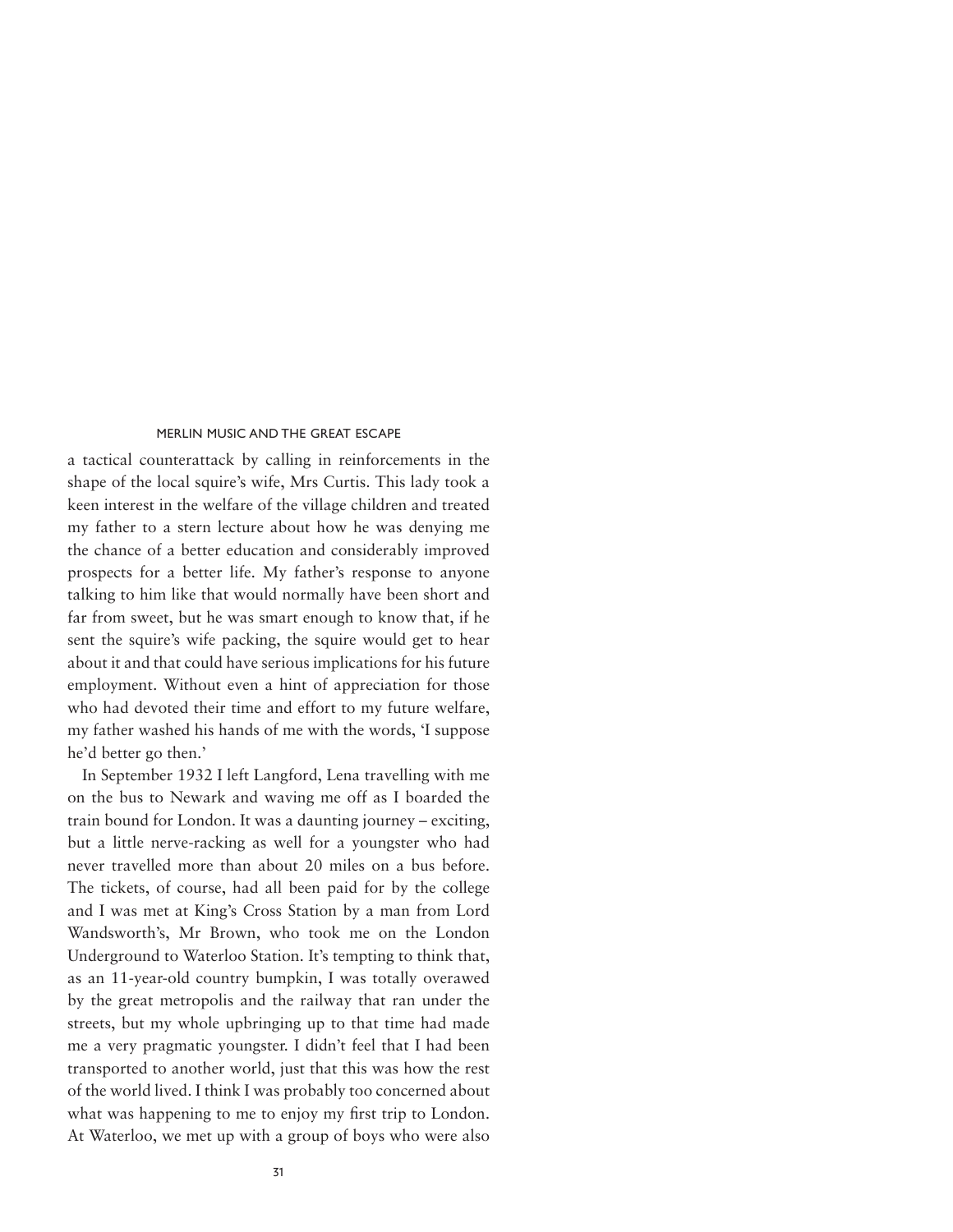a tactical counterattack by calling in reinforcements in the shape of the local squire's wife, Mrs Curtis. This lady took a keen interest in the welfare of the village children and treated my father to a stern lecture about how he was denying me the chance of a better education and considerably improved prospects for a better life. My father's response to anyone talking to him like that would normally have been short and far from sweet, but he was smart enough to know that, if he sent the squire's wife packing, the squire would get to hear about it and that could have serious implications for his future employment. Without even a hint of appreciation for those who had devoted their time and effort to my future welfare, my father washed his hands of me with the words, 'I suppose he'd better go then.'

 In September 1932 I left Langford, Lena travelling with me on the bus to Newark and waving me off as I boarded the train bound for London. It was a daunting journey – exciting, but a little nerve-racking as well for a youngster who had never travelled more than about 20 miles on a bus before. The tickets, of course, had all been paid for by the college and I was met at King's Cross Station by a man from Lord Wandsworth's, Mr Brown, who took me on the London Underground to Waterloo Station. It's tempting to think that, as an 11-year-old country bumpkin, I was totally overawed by the great metropolis and the railway that ran under the streets, but my whole upbringing up to that time had made me a very pragmatic youngster. I didn't feel that I had been transported to another world, just that this was how the rest of the world lived. I think I was probably too concerned about what was happening to me to enjoy my first trip to London. At Waterloo, we met up with a group of boys who were also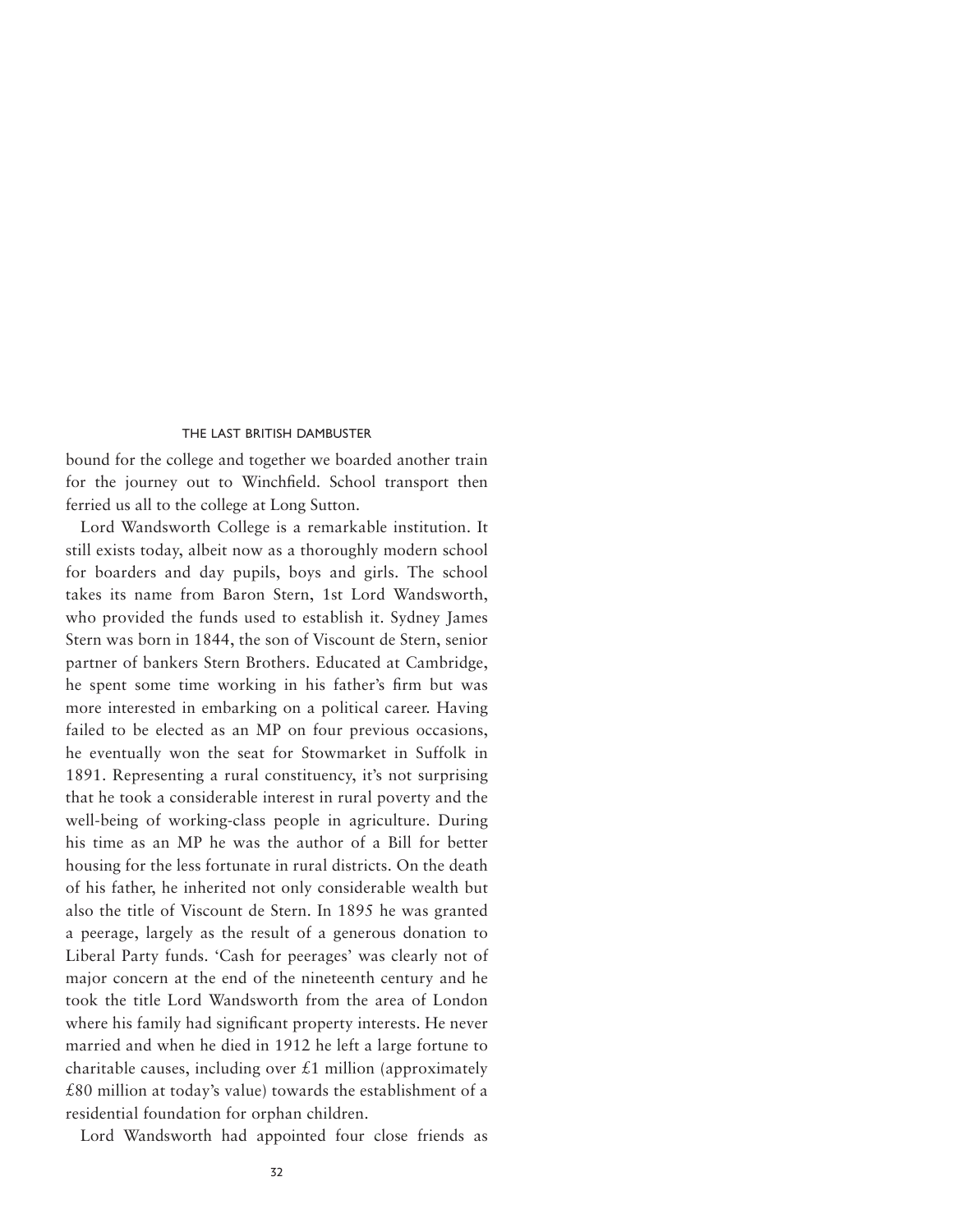bound for the college and together we boarded another train for the journey out to Winchfield. School transport then ferried us all to the college at Long Sutton.

 Lord Wandsworth College is a remarkable institution. It still exists today, albeit now as a thoroughly modern school for boarders and day pupils, boys and girls. The school takes its name from Baron Stern, 1st Lord Wandsworth, who provided the funds used to establish it. Sydney James Stern was born in 1844, the son of Viscount de Stern, senior partner of bankers Stern Brothers. Educated at Cambridge, he spent some time working in his father's firm but was more interested in embarking on a political career. Having failed to be elected as an MP on four previous occasions, he eventually won the seat for Stowmarket in Suffolk in 1891. Representing a rural constituency, it's not surprising that he took a considerable interest in rural poverty and the well-being of working-class people in agriculture. During his time as an MP he was the author of a Bill for better housing for the less fortunate in rural districts. On the death of his father, he inherited not only considerable wealth but also the title of Viscount de Stern. In 1895 he was granted a peerage, largely as the result of a generous donation to Liberal Party funds. 'Cash for peerages' was clearly not of major concern at the end of the nineteenth century and he took the title Lord Wandsworth from the area of London where his family had significant property interests. He never married and when he died in 1912 he left a large fortune to charitable causes, including over  $£1$  million (approximately £80 million at today's value) towards the establishment of a residential foundation for orphan children.

Lord Wandsworth had appointed four close friends as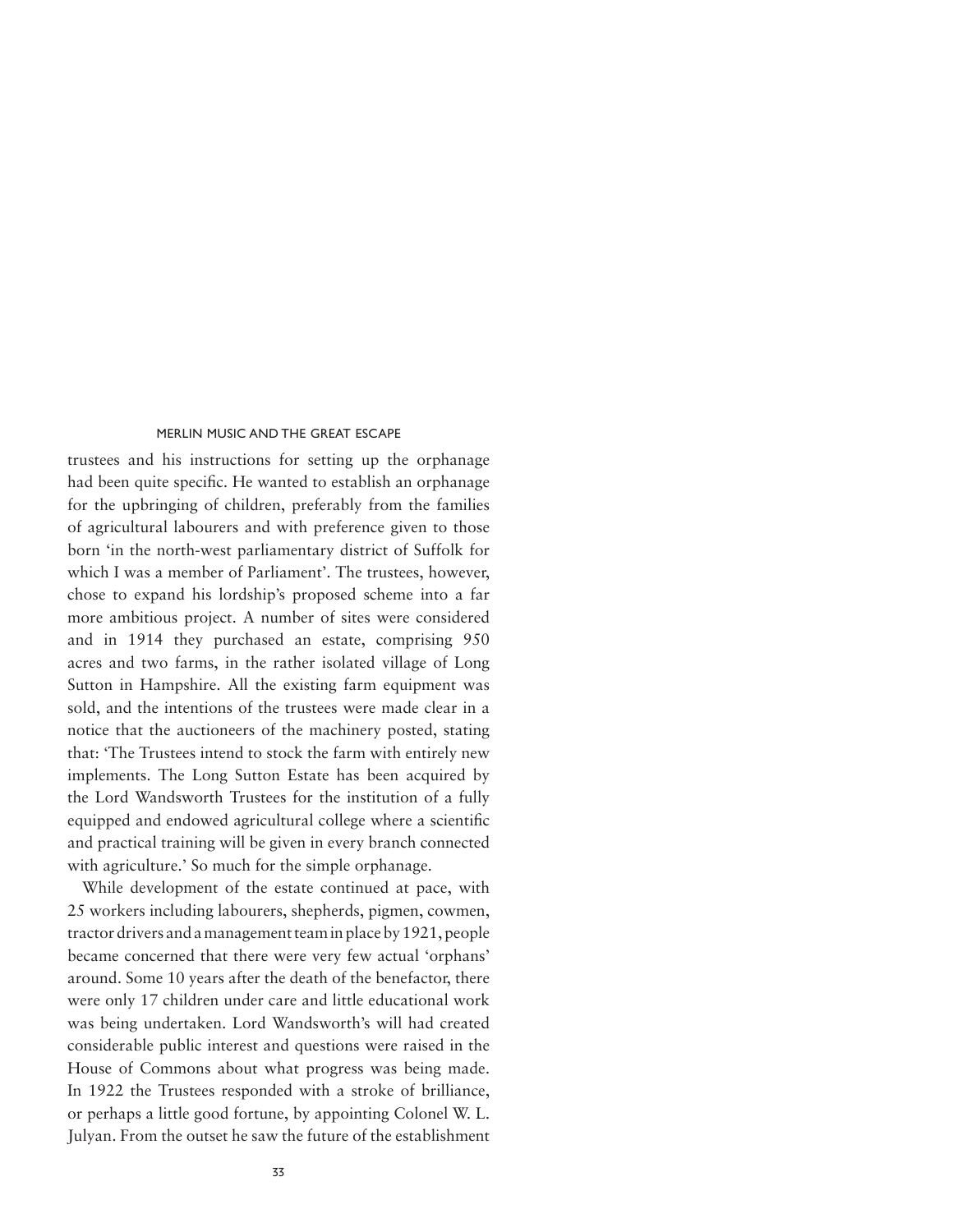trustees and his instructions for setting up the orphanage had been quite specific. He wanted to establish an orphanage for the upbringing of children, preferably from the families of agricultural labourers and with preference given to those born 'in the north-west parliamentary district of Suffolk for which I was a member of Parliament'. The trustees, however, chose to expand his lordship's proposed scheme into a far more ambitious project. A number of sites were considered and in 1914 they purchased an estate, comprising 950 acres and two farms, in the rather isolated village of Long Sutton in Hampshire. All the existing farm equipment was sold, and the intentions of the trustees were made clear in a notice that the auctioneers of the machinery posted, stating that: 'The Trustees intend to stock the farm with entirely new implements. The Long Sutton Estate has been acquired by the Lord Wandsworth Trustees for the institution of a fully equipped and endowed agricultural college where a scientific and practical training will be given in every branch connected with agriculture.' So much for the simple orphanage.

 While development of the estate continued at pace, with 25 workers including labourers, shepherds, pigmen, cowmen, tractor drivers and a management team in place by 1921, people became concerned that there were very few actual 'orphans' around. Some 10 years after the death of the benefactor, there were only 17 children under care and little educational work was being undertaken. Lord Wandsworth's will had created considerable public interest and questions were raised in the House of Commons about what progress was being made. In 1922 the Trustees responded with a stroke of brilliance, or perhaps a little good fortune, by appointing Colonel W. L. Julyan. From the outset he saw the future of the establishment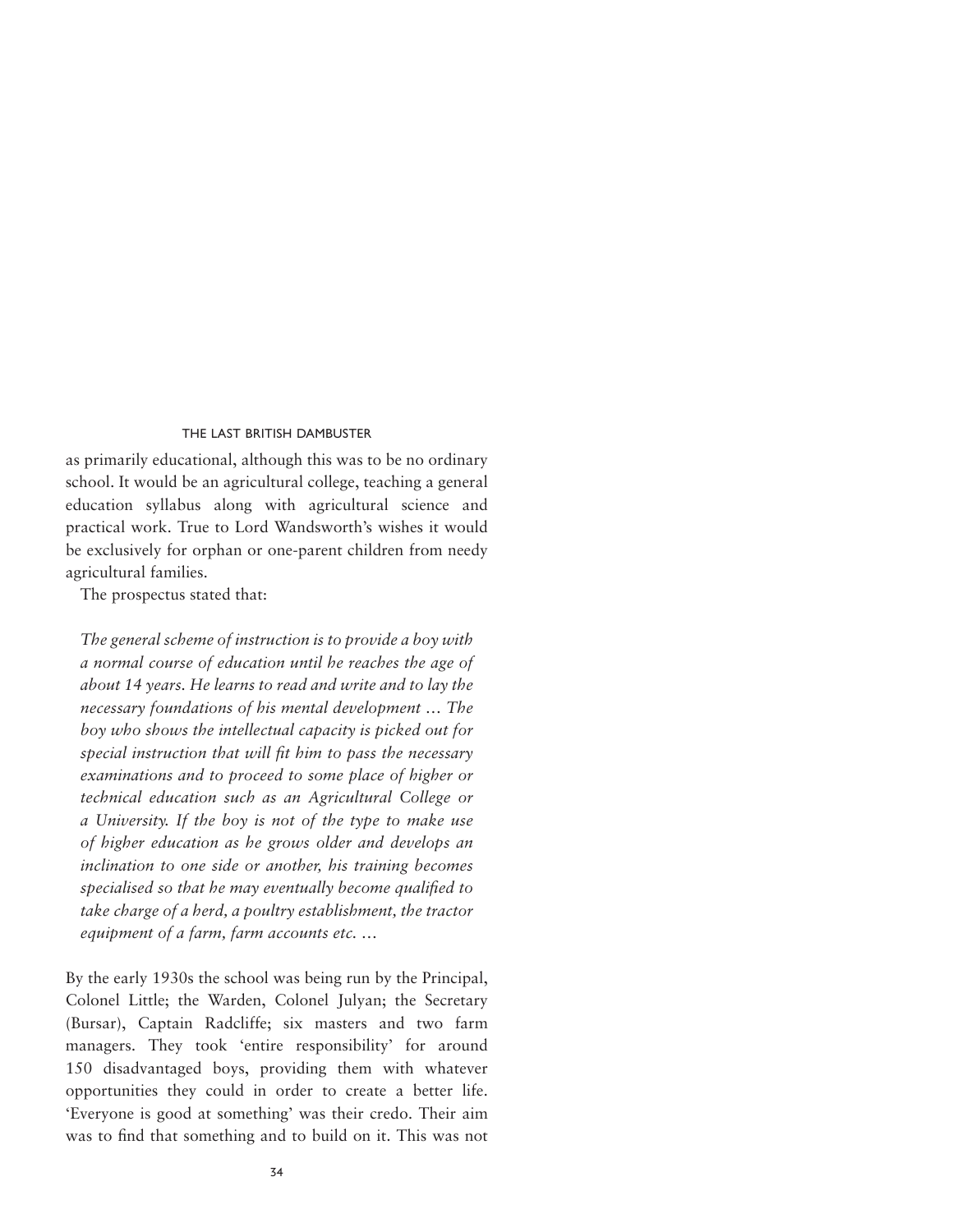as primarily educational, although this was to be no ordinary school. It would be an agricultural college, teaching a general education syllabus along with agricultural science and practical work. True to Lord Wandsworth's wishes it would be exclusively for orphan or one-parent children from needy agricultural families.

The prospectus stated that:

*The general scheme of instruction is to provide a boy with a normal course of education until he reaches the age of about 14 years. He learns to read and write and to lay the necessary foundations of his mental development … The boy who shows the intellectual capacity is picked out for special instruction that will fi t him to pass the necessary examinations and to proceed to some place of higher or technical education such as an Agricultural College or a University. If the boy is not of the type to make use of higher education as he grows older and develops an inclination to one side or another, his training becomes*  specialised so that he may eventually become qualified to *take charge of a herd, a poultry establishment, the tractor equipment of a farm, farm accounts etc. …*

By the early 1930s the school was being run by the Principal, Colonel Little; the Warden, Colonel Julyan; the Secretary (Bursar), Captain Radcliffe; six masters and two farm managers. They took 'entire responsibility' for around 150 disadvantaged boys, providing them with whatever opportunities they could in order to create a better life. 'Everyone is good at something' was their credo. Their aim was to find that something and to build on it. This was not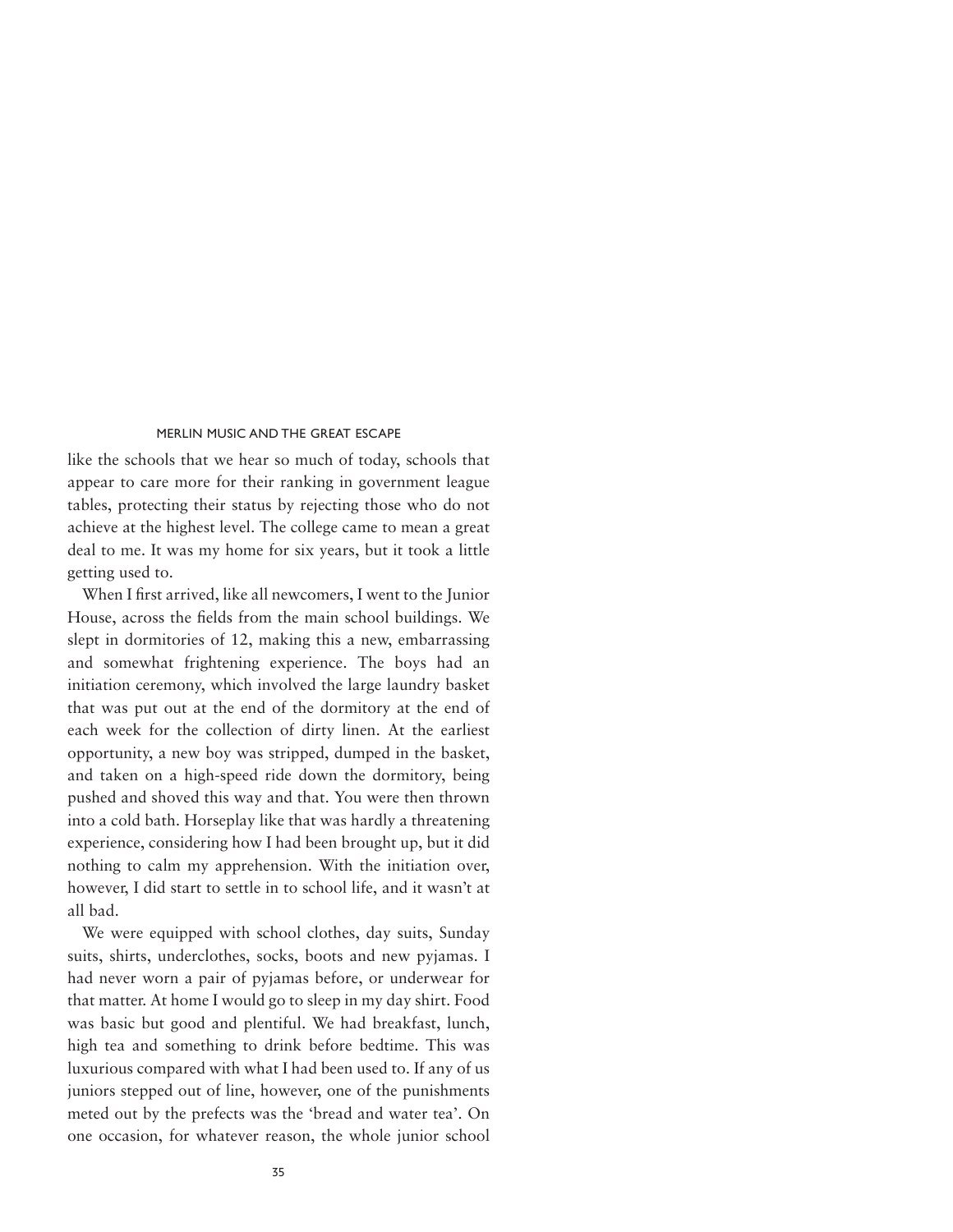like the schools that we hear so much of today, schools that appear to care more for their ranking in government league tables, protecting their status by rejecting those who do not achieve at the highest level. The college came to mean a great deal to me. It was my home for six years, but it took a little getting used to.

When I first arrived, like all newcomers, I went to the Junior House, across the fields from the main school buildings. We slept in dormitories of 12, making this a new, embarrassing and somewhat frightening experience. The boys had an initiation ceremony, which involved the large laundry basket that was put out at the end of the dormitory at the end of each week for the collection of dirty linen. At the earliest opportunity, a new boy was stripped, dumped in the basket, and taken on a high-speed ride down the dormitory, being pushed and shoved this way and that. You were then thrown into a cold bath. Horseplay like that was hardly a threatening experience, considering how I had been brought up, but it did nothing to calm my apprehension. With the initiation over, however, I did start to settle in to school life, and it wasn't at all bad.

We were equipped with school clothes, day suits, Sunday suits, shirts, underclothes, socks, boots and new pyjamas. I had never worn a pair of pyjamas before, or underwear for that matter. At home I would go to sleep in my day shirt. Food was basic but good and plentiful. We had breakfast, lunch, high tea and something to drink before bedtime. This was luxurious compared with what I had been used to. If any of us juniors stepped out of line, however, one of the punishments meted out by the prefects was the 'bread and water tea'. On one occasion, for whatever reason, the whole junior school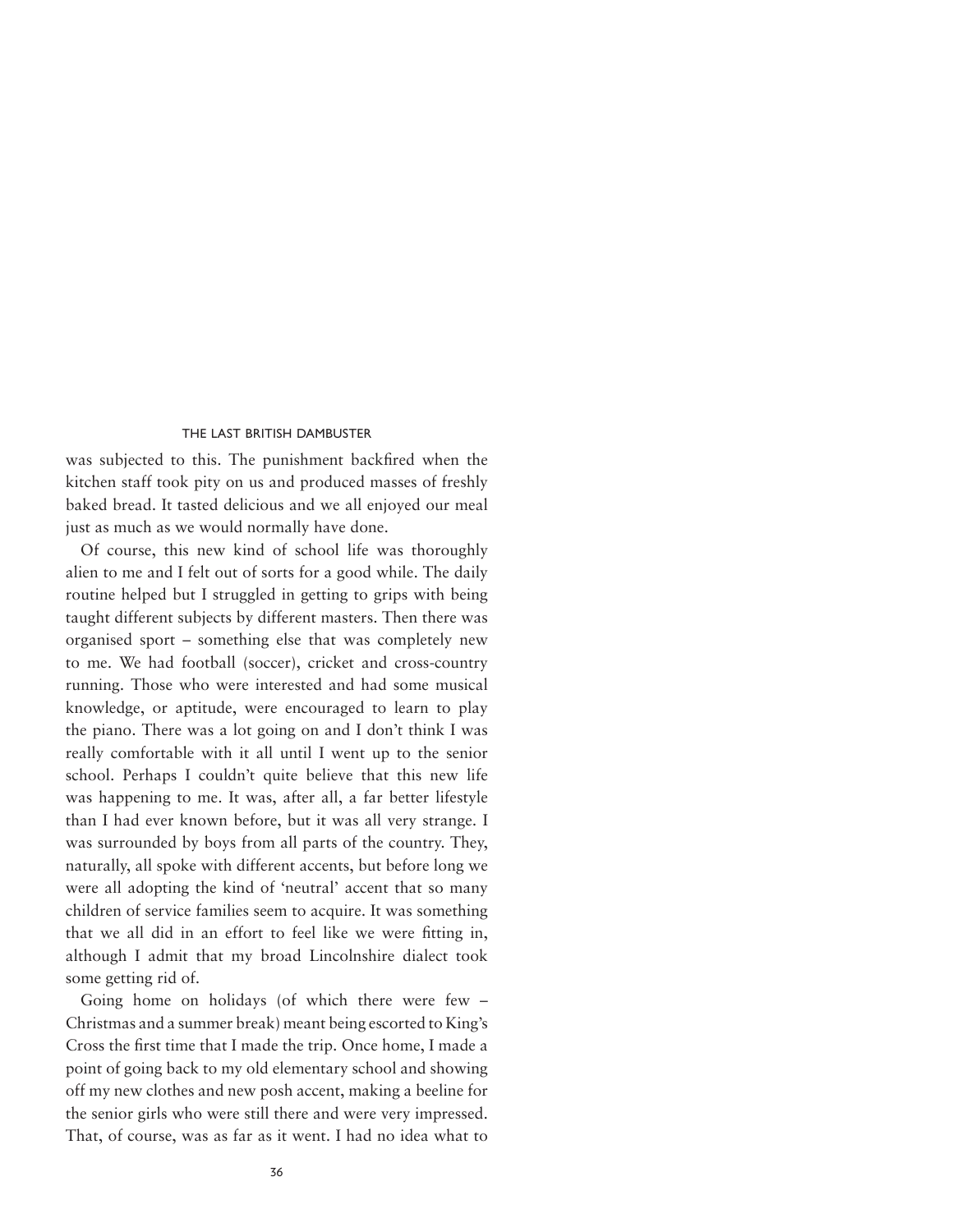was subjected to this. The punishment backfired when the kitchen staff took pity on us and produced masses of freshly baked bread. It tasted delicious and we all enjoyed our meal just as much as we would normally have done.

 Of course, this new kind of school life was thoroughly alien to me and I felt out of sorts for a good while. The daily routine helped but I struggled in getting to grips with being taught different subjects by different masters. Then there was organised sport – something else that was completely new to me. We had football (soccer), cricket and cross-country running. Those who were interested and had some musical knowledge, or aptitude, were encouraged to learn to play the piano. There was a lot going on and I don't think I was really comfortable with it all until I went up to the senior school. Perhaps I couldn't quite believe that this new life was happening to me. It was, after all, a far better lifestyle than I had ever known before, but it was all very strange. I was surrounded by boys from all parts of the country. They, naturally, all spoke with different accents, but before long we were all adopting the kind of 'neutral' accent that so many children of service families seem to acquire. It was something that we all did in an effort to feel like we were fitting in, although I admit that my broad Lincolnshire dialect took some getting rid of.

 Going home on holidays (of which there were few – Christmas and a summer break) meant being escorted to King's Cross the first time that I made the trip. Once home, I made a point of going back to my old elementary school and showing off my new clothes and new posh accent, making a beeline for the senior girls who were still there and were very impressed. That, of course, was as far as it went. I had no idea what to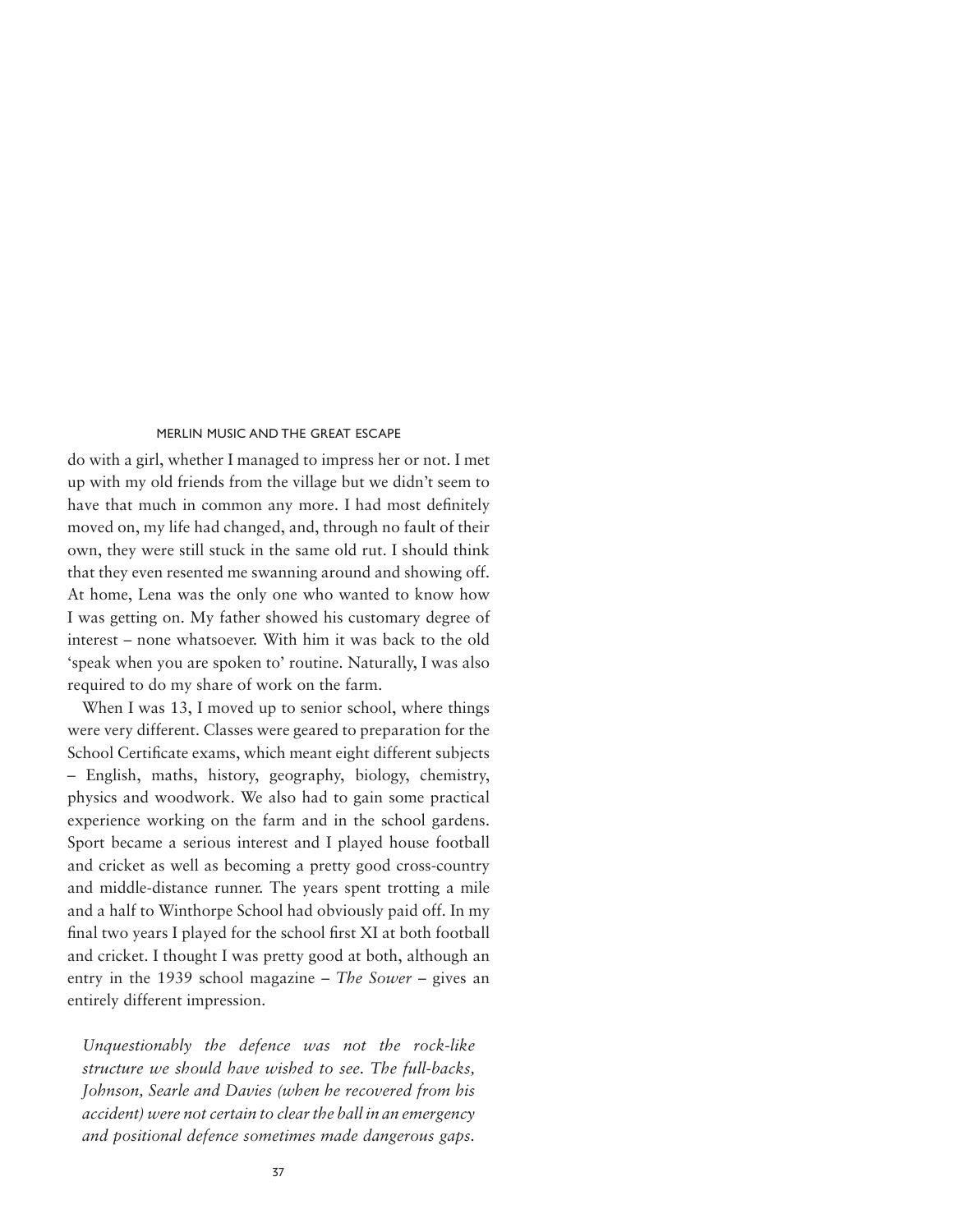do with a girl, whether I managed to impress her or not. I met up with my old friends from the village but we didn't seem to have that much in common any more. I had most definitely moved on, my life had changed, and, through no fault of their own, they were still stuck in the same old rut. I should think that they even resented me swanning around and showing off. At home, Lena was the only one who wanted to know how I was getting on. My father showed his customary degree of interest – none whatsoever. With him it was back to the old 'speak when you are spoken to' routine. Naturally, I was also required to do my share of work on the farm.

When I was 13, I moved up to senior school, where things were very different. Classes were geared to preparation for the School Certificate exams, which meant eight different subjects – English, maths, history, geography, biology, chemistry, physics and woodwork. We also had to gain some practical experience working on the farm and in the school gardens. Sport became a serious interest and I played house football and cricket as well as becoming a pretty good cross-country and middle-distance runner. The years spent trotting a mile and a half to Winthorpe School had obviously paid off. In my final two years I played for the school first XI at both football and cricket. I thought I was pretty good at both, although an entry in the 1939 school magazine – *The Sower* – gives an entirely different impression.

*Unquestionably the defence was not the rock-like structure we should have wished to see. The full-backs, Johnson, Searle and Davies (when he recovered from his accident) were not certain to clear the ball in an emergency and positional defence sometimes made dangerous gaps.*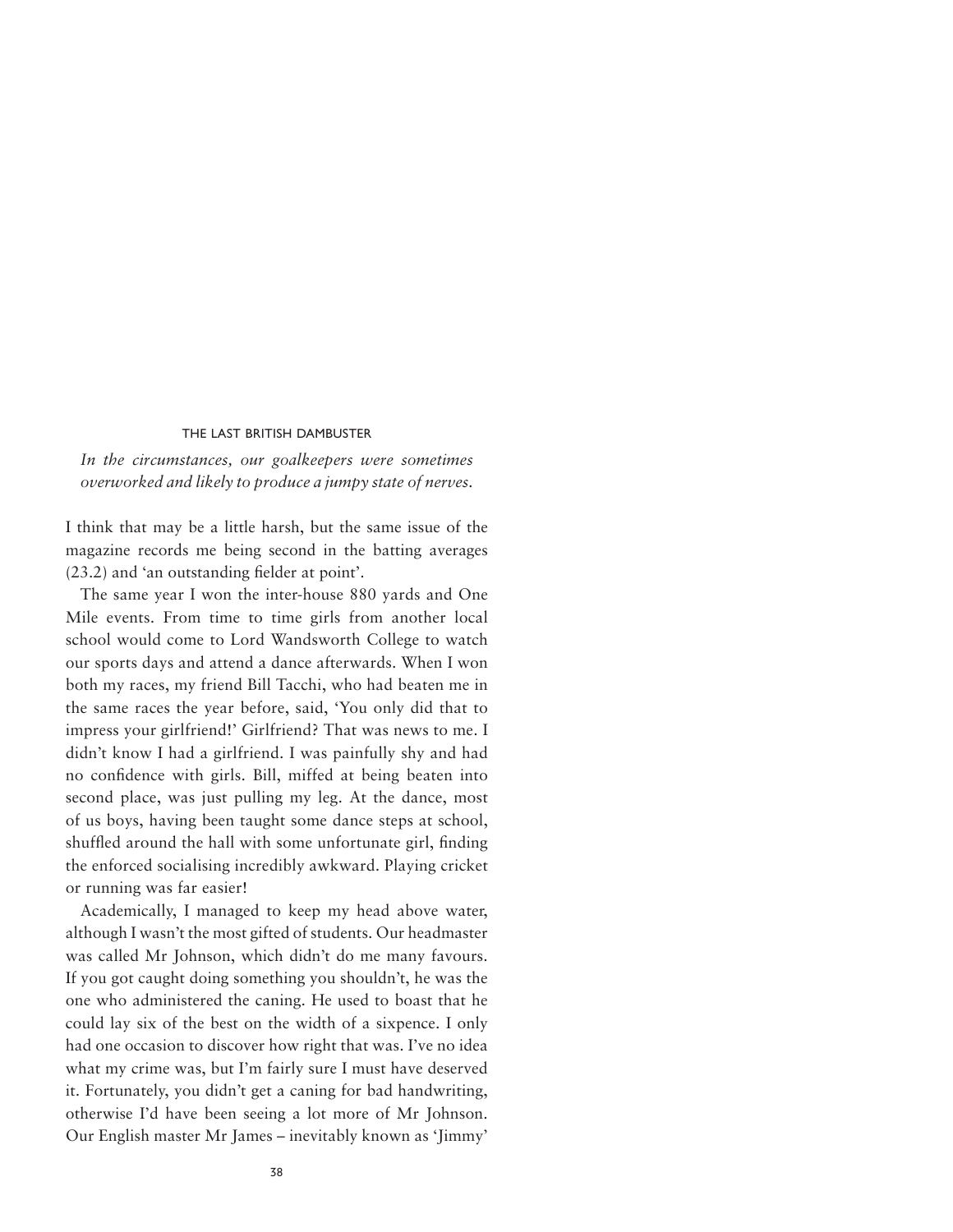*In the circumstances, our goalkeepers were sometimes overworked and likely to produce a jumpy state of nerves.*

I think that may be a little harsh, but the same issue of the magazine records me being second in the batting averages  $(23.2)$  and 'an outstanding fielder at point'.

 The same year I won the inter-house 880 yards and One Mile events. From time to time girls from another local school would come to Lord Wandsworth College to watch our sports days and attend a dance afterwards. When I won both my races, my friend Bill Tacchi, who had beaten me in the same races the year before, said, 'You only did that to impress your girlfriend!' Girlfriend? That was news to me. I didn't know I had a girlfriend. I was painfully shy and had no confidence with girls. Bill, miffed at being beaten into second place, was just pulling my leg. At the dance, most of us boys, having been taught some dance steps at school, shuffled around the hall with some unfortunate girl, finding the enforced socialising incredibly awkward. Playing cricket or running was far easier!

 Academically, I managed to keep my head above water, although I wasn't the most gifted of students. Our headmaster was called Mr Johnson, which didn't do me many favours. If you got caught doing something you shouldn't, he was the one who administered the caning. He used to boast that he could lay six of the best on the width of a sixpence. I only had one occasion to discover how right that was. I've no idea what my crime was, but I'm fairly sure I must have deserved it. Fortunately, you didn't get a caning for bad handwriting, otherwise I'd have been seeing a lot more of Mr Johnson. Our English master Mr James – inevitably known as 'Jimmy'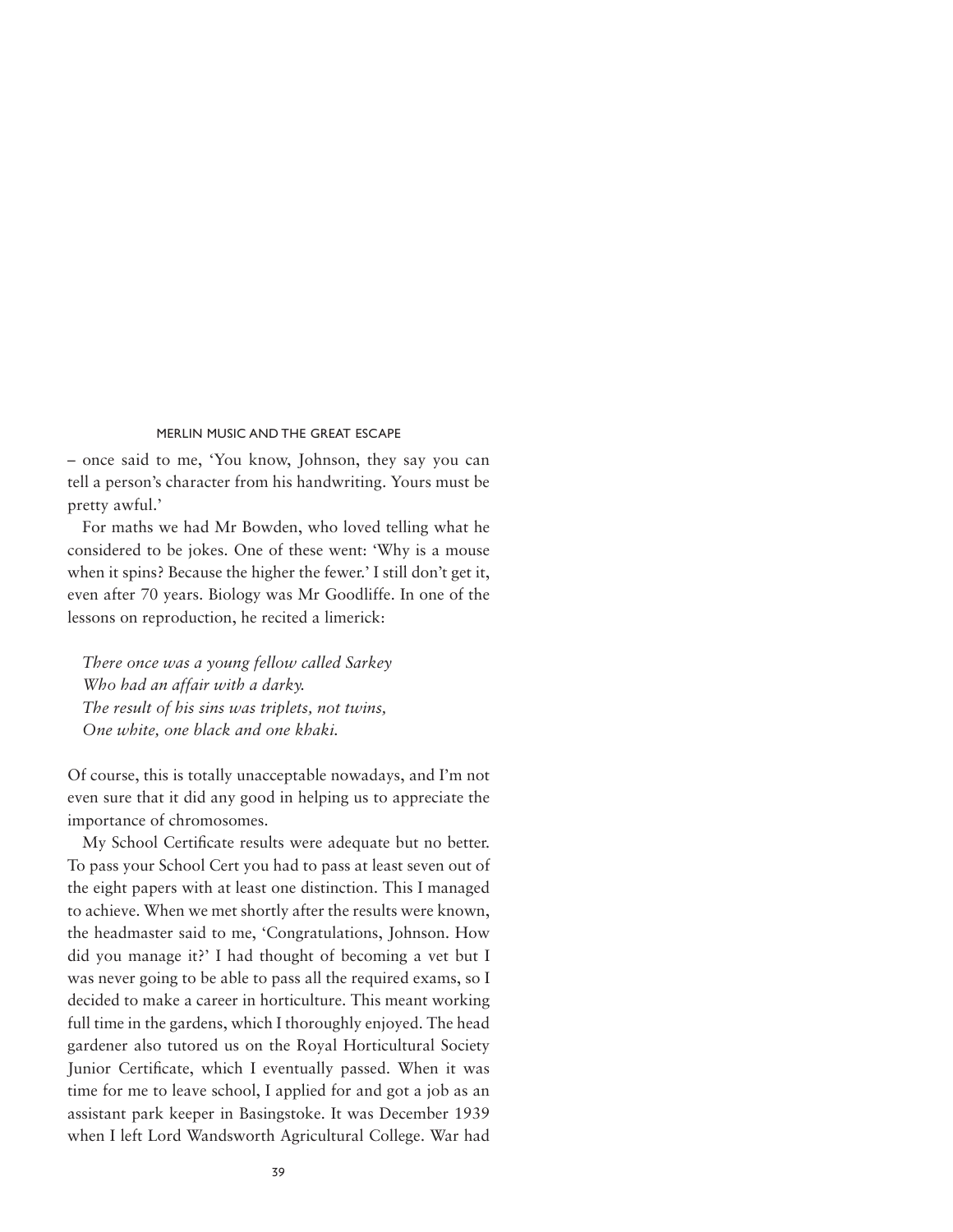– once said to me, 'You know, Johnson, they say you can tell a person's character from his handwriting. Yours must be pretty awful.'

 For maths we had Mr Bowden, who loved telling what he considered to be jokes. One of these went: 'Why is a mouse when it spins? Because the higher the fewer.' I still don't get it, even after 70 years. Biology was Mr Goodliffe. In one of the lessons on reproduction, he recited a limerick:

*There once was a young fellow called Sarkey Who had an affair with a darky. The result of his sins was triplets, not twins, One white, one black and one khaki.*

Of course, this is totally unacceptable nowadays, and I'm not even sure that it did any good in helping us to appreciate the importance of chromosomes.

My School Certificate results were adequate but no better. To pass your School Cert you had to pass at least seven out of the eight papers with at least one distinction. This I managed to achieve. When we met shortly after the results were known, the headmaster said to me, 'Congratulations, Johnson. How did you manage it?' I had thought of becoming a vet but I was never going to be able to pass all the required exams, so I decided to make a career in horticulture. This meant working full time in the gardens, which I thoroughly enjoyed. The head gardener also tutored us on the Royal Horticultural Society Junior Certificate, which I eventually passed. When it was time for me to leave school, I applied for and got a job as an assistant park keeper in Basingstoke. It was December 1939 when I left Lord Wandsworth Agricultural College. War had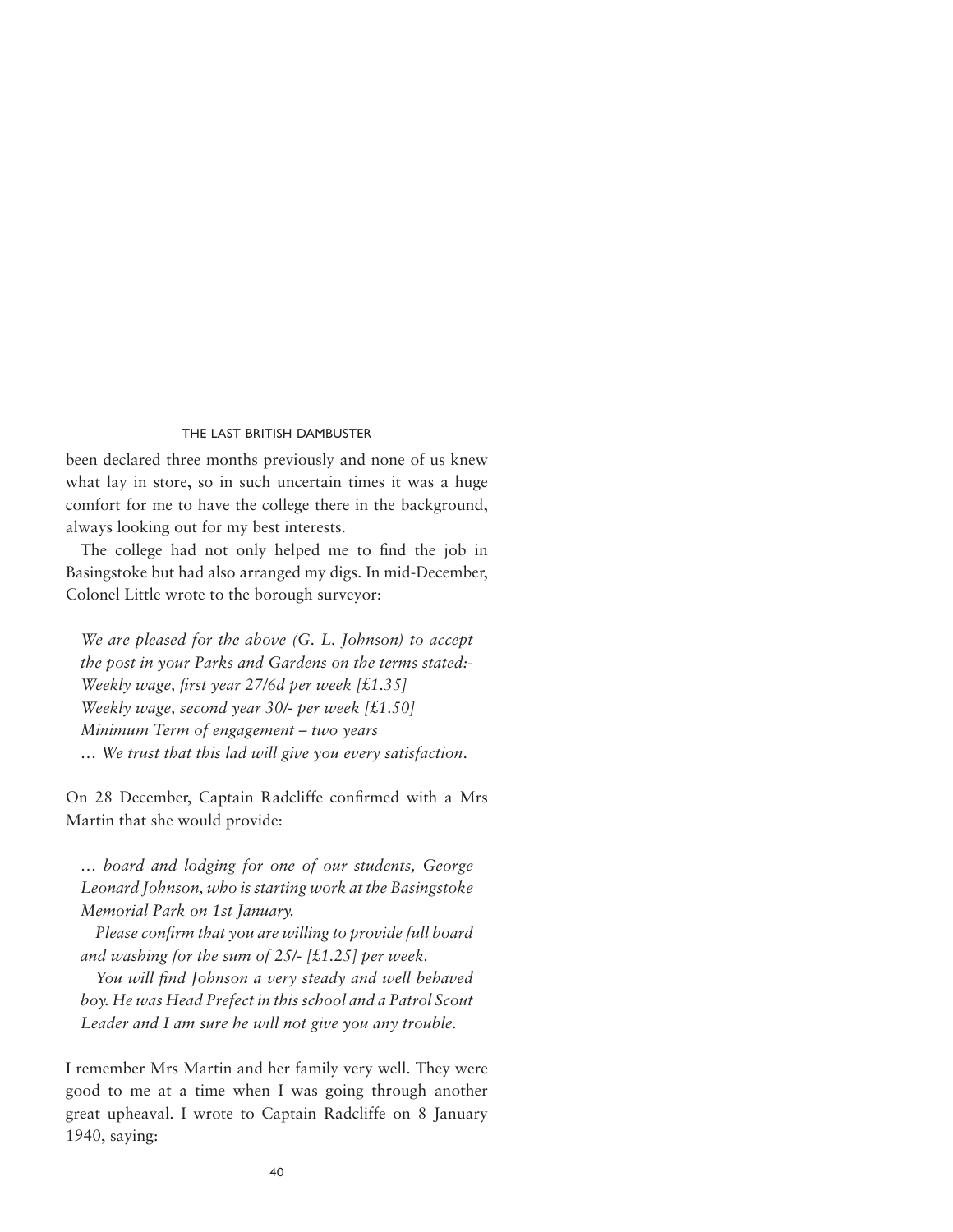been declared three months previously and none of us knew what lay in store, so in such uncertain times it was a huge comfort for me to have the college there in the background, always looking out for my best interests.

The college had not only helped me to find the job in Basingstoke but had also arranged my digs. In mid-December, Colonel Little wrote to the borough surveyor:

*We are pleased for the above (G. L. Johnson) to accept the post in your Parks and Gardens on the terms stated:- Weekly wage, first year 27/6d per week [£1.35] Weekly wage, second year 30/- per week [£1.50] Minimum Term of engagement – two years* … *We trust that this lad will give you every satisfaction*.

On 28 December, Captain Radcliffe confirmed with a Mrs Martin that she would provide:

… *board and lodging for one of our students, George Leonard Johnson, who is starting work at the Basingstoke Memorial Park on 1st January.* 

*Please confirm that you are willing to provide full board and washing for the sum of 25/- [£1.25] per week.* 

You will find Johnson a very steady and well behaved *boy. He was Head Prefect in this school and a Patrol Scout Leader and I am sure he will not give you any trouble.*

I remember Mrs Martin and her family very well. They were good to me at a time when I was going through another great upheaval. I wrote to Captain Radcliffe on 8 January 1940, saying: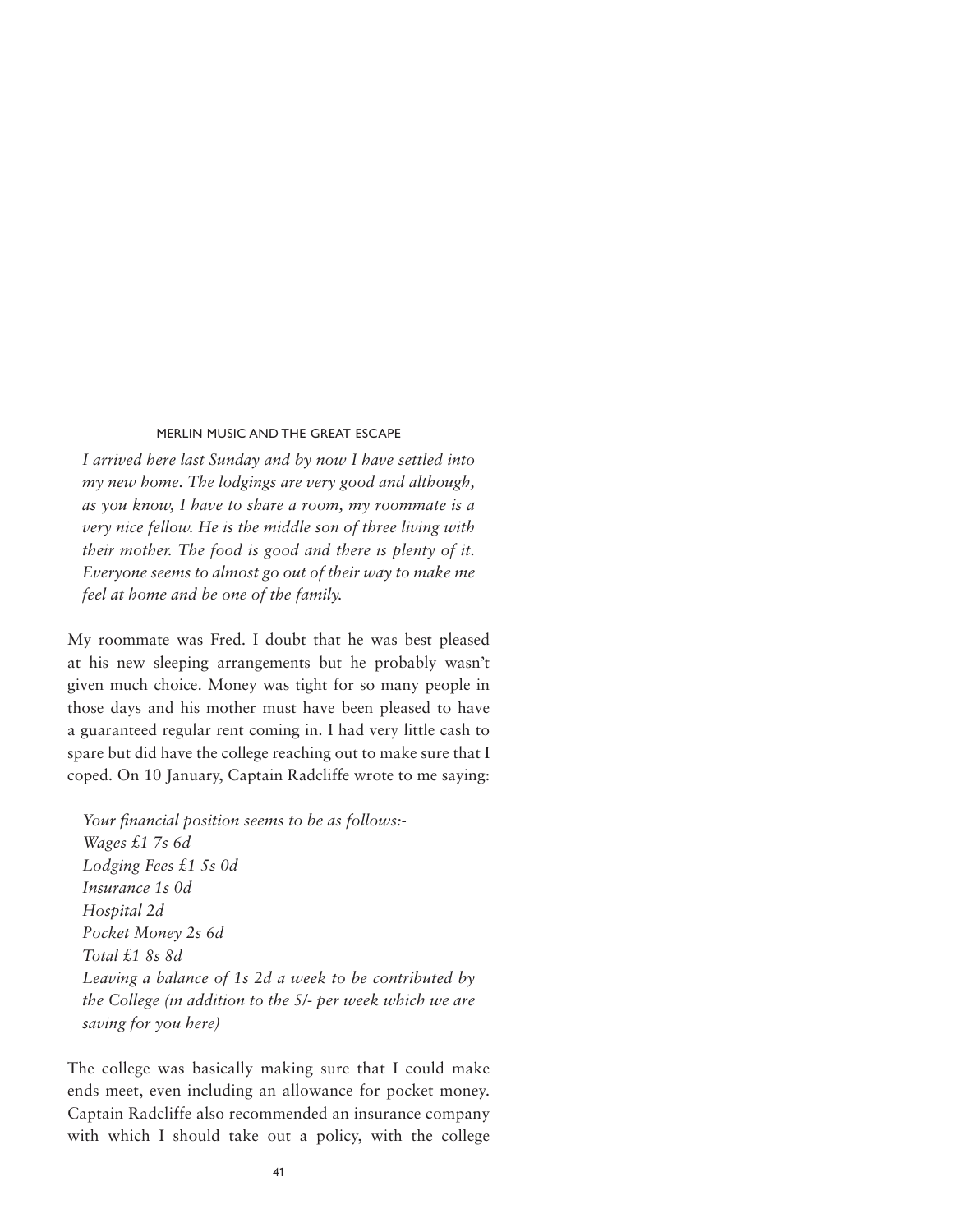*I arrived here last Sunday and by now I have settled into my new home. The lodgings are very good and although, as you know, I have to share a room, my roommate is a very nice fellow. He is the middle son of three living with their mother. The food is good and there is plenty of it. Everyone seems to almost go out of their way to make me feel at home and be one of the family.* 

My roommate was Fred. I doubt that he was best pleased at his new sleeping arrangements but he probably wasn't given much choice. Money was tight for so many people in those days and his mother must have been pleased to have a guaranteed regular rent coming in. I had very little cash to spare but did have the college reaching out to make sure that I coped. On 10 January, Captain Radcliffe wrote to me saying:

Your financial position seems to be as follows:-*Wages £1 7s 6d Lodging Fees £1 5s 0d Insurance 1s 0d Hospital 2d Pocket Money 2s 6d Total £1 8s 8d Leaving a balance of 1s 2d a week to be contributed by the College (in addition to the 5/- per week which we are saving for you here)*

The college was basically making sure that I could make ends meet, even including an allowance for pocket money. Captain Radcliffe also recommended an insurance company with which I should take out a policy, with the college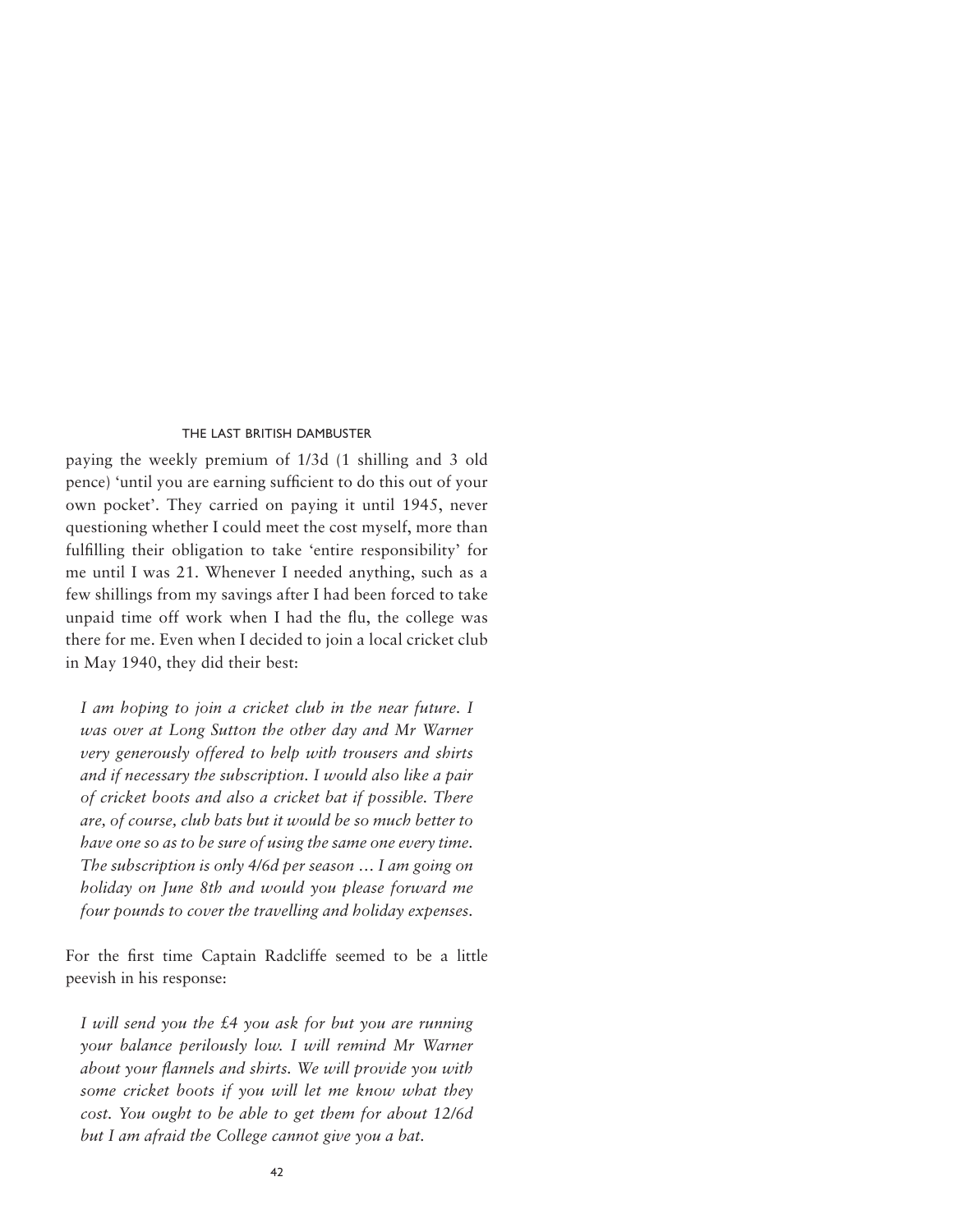paying the weekly premium of 1/3d (1 shilling and 3 old pence) 'until you are earning sufficient to do this out of your own pocket'. They carried on paying it until 1945, never questioning whether I could meet the cost myself, more than fulfilling their obligation to take 'entire responsibility' for me until I was 21. Whenever I needed anything, such as a few shillings from my savings after I had been forced to take unpaid time off work when I had the flu, the college was there for me. Even when I decided to join a local cricket club in May 1940, they did their best:

*I am hoping to join a cricket club in the near future. I was over at Long Sutton the other day and Mr Warner very generously offered to help with trousers and shirts and if necessary the subscription. I would also like a pair of cricket boots and also a cricket bat if possible. There are, of course, club bats but it would be so much better to have one so as to be sure of using the same one every time. The subscription is only 4/6d per season* … *I am going on holiday on June 8th and would you please forward me four pounds to cover the travelling and holiday expenses.*

For the first time Captain Radcliffe seemed to be a little peevish in his response:

*I will send you the £4 you ask for but you are running your balance perilously low. I will remind Mr Warner*  about your flannels and shirts. We will provide you with *some cricket boots if you will let me know what they cost. You ought to be able to get them for about 12/6d but I am afraid the College cannot give you a bat.*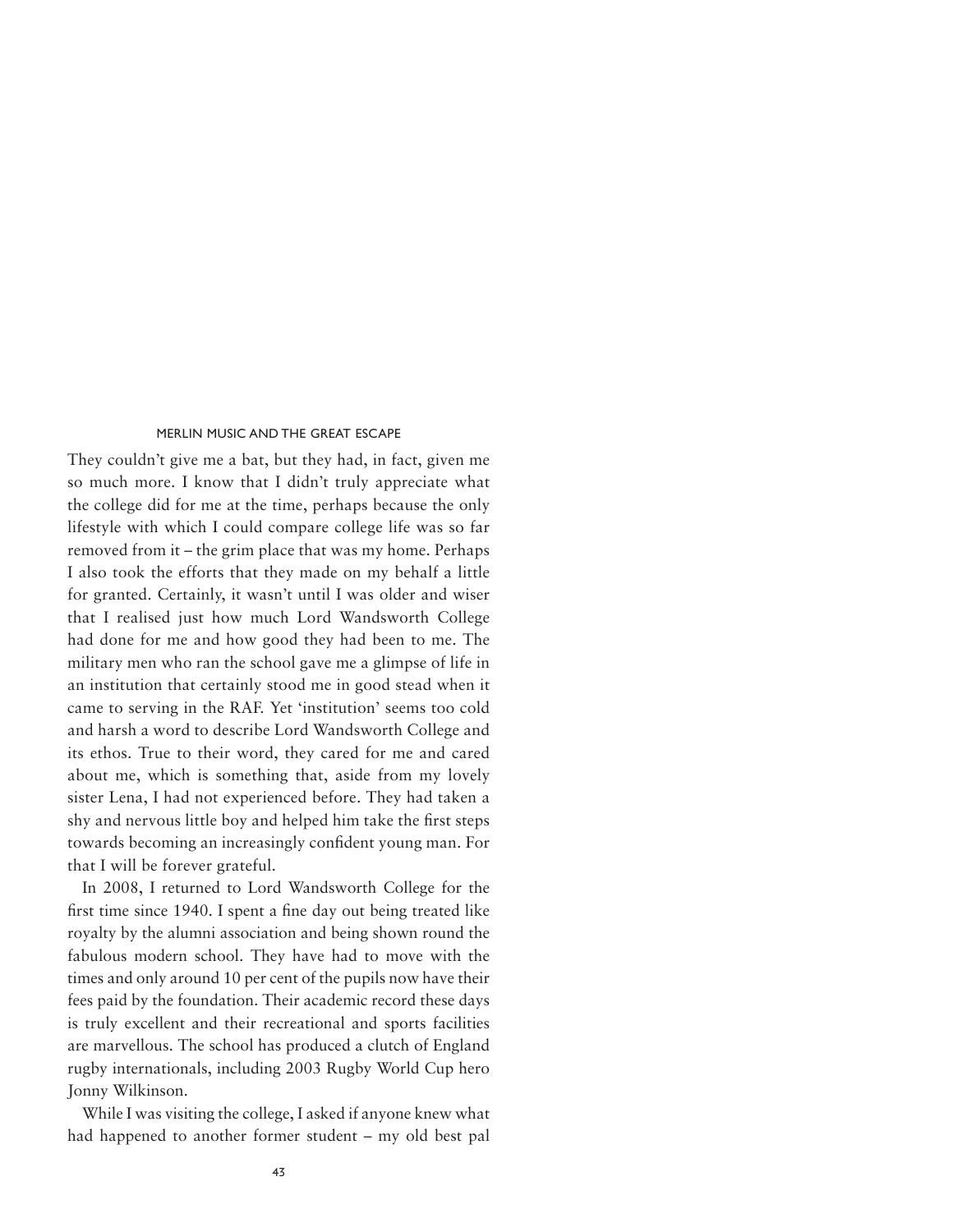They couldn't give me a bat, but they had, in fact, given me so much more. I know that I didn't truly appreciate what the college did for me at the time, perhaps because the only lifestyle with which I could compare college life was so far removed from it – the grim place that was my home. Perhaps I also took the efforts that they made on my behalf a little for granted. Certainly, it wasn't until I was older and wiser that I realised just how much Lord Wandsworth College had done for me and how good they had been to me. The military men who ran the school gave me a glimpse of life in an institution that certainly stood me in good stead when it came to serving in the RAF. Yet 'institution' seems too cold and harsh a word to describe Lord Wandsworth College and its ethos. True to their word, they cared for me and cared about me, which is something that, aside from my lovely sister Lena, I had not experienced before. They had taken a shy and nervous little boy and helped him take the first steps towards becoming an increasingly confident young man. For that I will be forever grateful.

 In 2008, I returned to Lord Wandsworth College for the first time since 1940. I spent a fine day out being treated like royalty by the alumni association and being shown round the fabulous modern school. They have had to move with the times and only around 10 per cent of the pupils now have their fees paid by the foundation. Their academic record these days is truly excellent and their recreational and sports facilities are marvellous. The school has produced a clutch of England rugby internationals, including 2003 Rugby World Cup hero Jonny Wilkinson.

 While I was visiting the college, I asked if anyone knew what had happened to another former student – my old best pal